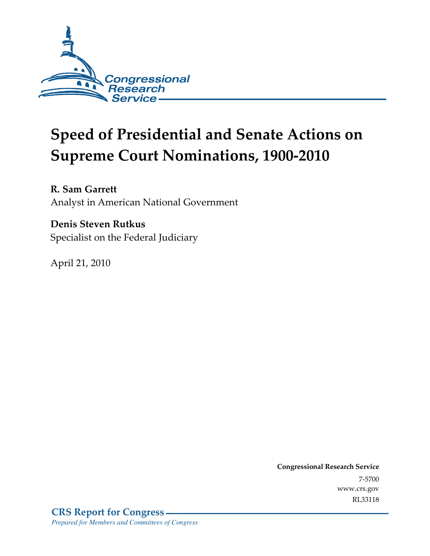

# **Speed of Presidential and Senate Actions on Supreme Court Nominations, 1900-2010**

**R. Sam Garrett** 

Analyst in American National Government

## **Denis Steven Rutkus**

Specialist on the Federal Judiciary

April 21, 2010

**Congressional Research Service** 7-5700 www.crs.gov RL33118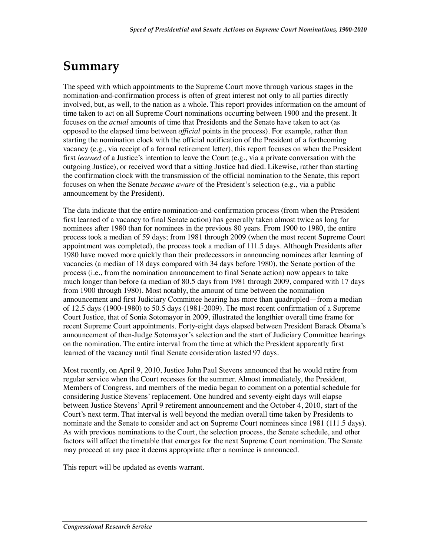## **Summary**

The speed with which appointments to the Supreme Court move through various stages in the nomination-and-confirmation process is often of great interest not only to all parties directly involved, but, as well, to the nation as a whole. This report provides information on the amount of time taken to act on all Supreme Court nominations occurring between 1900 and the present. It focuses on the *actual* amounts of time that Presidents and the Senate have taken to act (as opposed to the elapsed time between *official* points in the process). For example, rather than starting the nomination clock with the official notification of the President of a forthcoming vacancy (e.g., via receipt of a formal retirement letter), this report focuses on when the President first *learned* of a Justice's intention to leave the Court (e.g., via a private conversation with the outgoing Justice), or received word that a sitting Justice had died. Likewise, rather than starting the confirmation clock with the transmission of the official nomination to the Senate, this report focuses on when the Senate *became aware* of the President's selection (e.g., via a public announcement by the President).

The data indicate that the entire nomination-and-confirmation process (from when the President first learned of a vacancy to final Senate action) has generally taken almost twice as long for nominees after 1980 than for nominees in the previous 80 years. From 1900 to 1980, the entire process took a median of 59 days; from 1981 through 2009 (when the most recent Supreme Court appointment was completed), the process took a median of 111.5 days. Although Presidents after 1980 have moved more quickly than their predecessors in announcing nominees after learning of vacancies (a median of 18 days compared with 34 days before 1980), the Senate portion of the process (i.e., from the nomination announcement to final Senate action) now appears to take much longer than before (a median of 80.5 days from 1981 through 2009, compared with 17 days from 1900 through 1980). Most notably, the amount of time between the nomination announcement and first Judiciary Committee hearing has more than quadrupled—from a median of 12.5 days (1900-1980) to 50.5 days (1981-2009). The most recent confirmation of a Supreme Court Justice, that of Sonia Sotomayor in 2009, illustrated the lengthier overall time frame for recent Supreme Court appointments. Forty-eight days elapsed between President Barack Obama's announcement of then-Judge Sotomayor's selection and the start of Judiciary Committee hearings on the nomination. The entire interval from the time at which the President apparently first learned of the vacancy until final Senate consideration lasted 97 days.

Most recently, on April 9, 2010, Justice John Paul Stevens announced that he would retire from regular service when the Court recesses for the summer. Almost immediately, the President, Members of Congress, and members of the media began to comment on a potential schedule for considering Justice Stevens' replacement. One hundred and seventy-eight days will elapse between Justice Stevens' April 9 retirement announcement and the October 4, 2010, start of the Court's next term. That interval is well beyond the median overall time taken by Presidents to nominate and the Senate to consider and act on Supreme Court nominees since 1981 (111.5 days). As with previous nominations to the Court, the selection process, the Senate schedule, and other factors will affect the timetable that emerges for the next Supreme Court nomination. The Senate may proceed at any pace it deems appropriate after a nominee is announced.

This report will be updated as events warrant.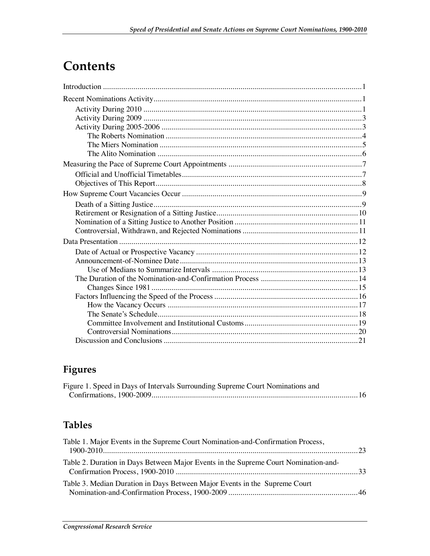## **Contents**

## **Figures**

| Figure 1. Speed in Days of Intervals Surrounding Supreme Court Nominations and |  |
|--------------------------------------------------------------------------------|--|
|                                                                                |  |

## **Tables**

| Table 1. Major Events in the Supreme Court Nomination-and-Confirmation Process,     |  |
|-------------------------------------------------------------------------------------|--|
| Table 2. Duration in Days Between Major Events in the Supreme Court Nomination-and- |  |
| Table 3. Median Duration in Days Between Major Events in the Supreme Court          |  |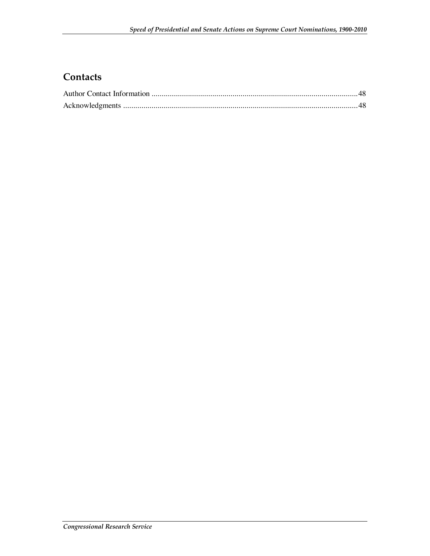## **Contacts**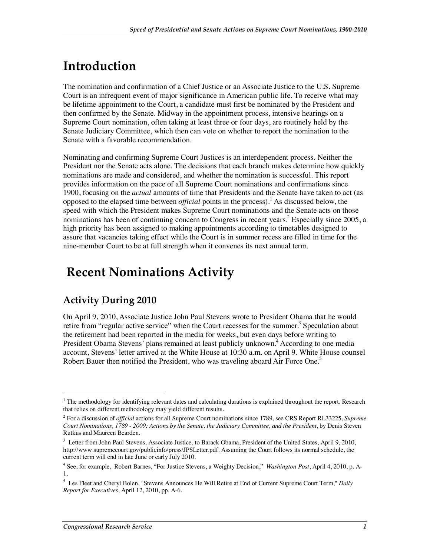# **Introduction**

The nomination and confirmation of a Chief Justice or an Associate Justice to the U.S. Supreme Court is an infrequent event of major significance in American public life. To receive what may be lifetime appointment to the Court, a candidate must first be nominated by the President and then confirmed by the Senate. Midway in the appointment process, intensive hearings on a Supreme Court nomination, often taking at least three or four days, are routinely held by the Senate Judiciary Committee, which then can vote on whether to report the nomination to the Senate with a favorable recommendation.

Nominating and confirming Supreme Court Justices is an interdependent process. Neither the President nor the Senate acts alone. The decisions that each branch makes determine how quickly nominations are made and considered, and whether the nomination is successful. This report provides information on the pace of all Supreme Court nominations and confirmations since 1900, focusing on the *actual* amounts of time that Presidents and the Senate have taken to act (as opposed to the elapsed time between *official* points in the process).<sup>1</sup> As discussed below, the speed with which the President makes Supreme Court nominations and the Senate acts on those nominations has been of continuing concern to Congress in recent years.<sup>2</sup> Especially since 2005, a high priority has been assigned to making appointments according to timetables designed to assure that vacancies taking effect while the Court is in summer recess are filled in time for the nine-member Court to be at full strength when it convenes its next annual term.

# **Recent Nominations Activity**

## **Activity During 2010**

1

On April 9, 2010, Associate Justice John Paul Stevens wrote to President Obama that he would retire from "regular active service" when the Court recesses for the summer.<sup>3</sup> Speculation about the retirement had been reported in the media for weeks, but even days before writing to President Obama Stevens' plans remained at least publicly unknown.<sup>4</sup> According to one media account, Stevens' letter arrived at the White House at 10:30 a.m. on April 9. White House counsel Robert Bauer then notified the President, who was traveling aboard Air Force One.<sup>5</sup>

 $1$  The methodology for identifying relevant dates and calculating durations is explained throughout the report. Research that relies on different methodology may yield different results.

<sup>2</sup> For a discussion of *official* actions for all Supreme Court nominations since 1789, see CRS Report RL33225, *Supreme Court Nominations, 1789 - 2009: Actions by the Senate, the Judiciary Committee, and the President*, by Denis Steven Rutkus and Maureen Bearden.

<sup>&</sup>lt;sup>3</sup> Letter from John Paul Stevens, Associate Justice, to Barack Obama, President of the United States, April 9, 2010, http://www.supremecourt.gov/publicinfo/press/JPSLetter.pdf. Assuming the Court follows its normal schedule, the current term will end in late June or early July 2010.

<sup>4</sup> See, for example, Robert Barnes, "For Justice Stevens, a Weighty Decision," *Washington Post*, April 4, 2010, p. A-1.

<sup>5</sup> Les Fleet and Cheryl Bolen, "Stevens Announces He Will Retire at End of Current Supreme Court Term," *Daily Report for Executives*, April 12, 2010, pp. A-6.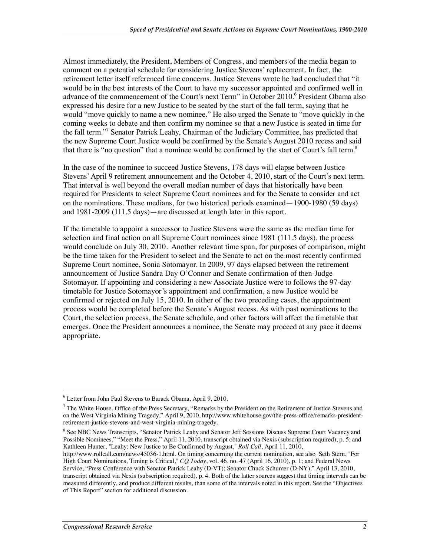Almost immediately, the President, Members of Congress, and members of the media began to comment on a potential schedule for considering Justice Stevens' replacement. In fact, the retirement letter itself referenced time concerns. Justice Stevens wrote he had concluded that "it would be in the best interests of the Court to have my successor appointed and confirmed well in advance of the commencement of the Court's next Term" in October 2010.<sup>6</sup> President Obama also expressed his desire for a new Justice to be seated by the start of the fall term, saying that he would "move quickly to name a new nominee." He also urged the Senate to "move quickly in the coming weeks to debate and then confirm my nominee so that a new Justice is seated in time for the fall term."<sup>7</sup> Senator Patrick Leahy, Chairman of the Judiciary Committee, has predicted that the new Supreme Court Justice would be confirmed by the Senate's August 2010 recess and said that there is "no question" that a nominee would be confirmed by the start of Court's fall term.<sup>8</sup>

In the case of the nominee to succeed Justice Stevens, 178 days will elapse between Justice Stevens' April 9 retirement announcement and the October 4, 2010, start of the Court's next term. That interval is well beyond the overall median number of days that historically have been required for Presidents to select Supreme Court nominees and for the Senate to consider and act on the nominations. These medians, for two historical periods examined—1900-1980 (59 days) and 1981-2009 (111.5 days)—are discussed at length later in this report.

If the timetable to appoint a successor to Justice Stevens were the same as the median time for selection and final action on all Supreme Court nominees since 1981 (111.5 days), the process would conclude on July 30, 2010. Another relevant time span, for purposes of comparison, might be the time taken for the President to select and the Senate to act on the most recently confirmed Supreme Court nominee, Sonia Sotomayor. In 2009, 97 days elapsed between the retirement announcement of Justice Sandra Day O'Connor and Senate confirmation of then-Judge Sotomayor. If appointing and considering a new Associate Justice were to follows the 97-day timetable for Justice Sotomayor's appointment and confirmation, a new Justice would be confirmed or rejected on July 15, 2010. In either of the two preceding cases, the appointment process would be completed before the Senate's August recess. As with past nominations to the Court, the selection process, the Senate schedule, and other factors will affect the timetable that emerges. Once the President announces a nominee, the Senate may proceed at any pace it deems appropriate.

<sup>8</sup> See NBC News Transcripts, "Senator Patrick Leahy and Senator Jeff Sessions Discuss Supreme Court Vacancy and Possible Nominees," "Meet the Press," April 11, 2010, transcript obtained via Nexis (subscription required), p. 5; and Kathleen Hunter, "Leahy: New Justice to Be Confirmed by August," *Roll Call*, April 11, 2010,

<sup>6</sup> Letter from John Paul Stevens to Barack Obama, April 9, 2010.

 $7$  The White House, Office of the Press Secretary, "Remarks by the President on the Retirement of Justice Stevens and on the West Virginia Mining Tragedy," April 9, 2010, http://www.whitehouse.gov/the-press-office/remarks-presidentretirement-justice-stevens-and-west-virginia-mining-tragedy.

http://www.rollcall.com/news/45036-1.html. On timing concerning the current nomination, see also Seth Stern, "For High Court Nominations, Timing is Critical," *CQ Today*, vol. 46, no. 47 (April 16, 2010), p. 1; and Federal News Service, "Press Conference with Senator Patrick Leahy (D-VT); Senator Chuck Schumer (D-NY)," April 13, 2010, transcript obtained via Nexis (subscription required), p. 4. Both of the latter sources suggest that timing intervals can be measured differently, and produce different results, than some of the intervals noted in this report. See the "Objectives of This Report" section for additional discussion.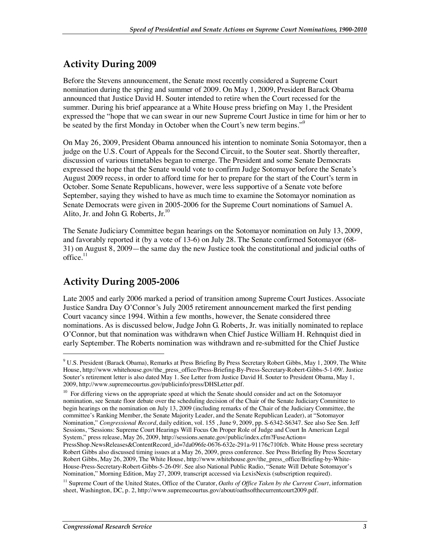## **Activity During 2009**

Before the Stevens announcement, the Senate most recently considered a Supreme Court nomination during the spring and summer of 2009. On May 1, 2009, President Barack Obama announced that Justice David H. Souter intended to retire when the Court recessed for the summer. During his brief appearance at a White House press briefing on May 1, the President expressed the "hope that we can swear in our new Supreme Court Justice in time for him or her to be seated by the first Monday in October when the Court's new term begins."<sup>9</sup>

On May 26, 2009, President Obama announced his intention to nominate Sonia Sotomayor, then a judge on the U.S. Court of Appeals for the Second Circuit, to the Souter seat. Shortly thereafter, discussion of various timetables began to emerge. The President and some Senate Democrats expressed the hope that the Senate would vote to confirm Judge Sotomayor before the Senate's August 2009 recess, in order to afford time for her to prepare for the start of the Court's term in October. Some Senate Republicans, however, were less supportive of a Senate vote before September, saying they wished to have as much time to examine the Sotomayor nomination as Senate Democrats were given in 2005-2006 for the Supreme Court nominations of Samuel A. Alito, Jr. and John G. Roberts,  $Jr^{10}$ 

The Senate Judiciary Committee began hearings on the Sotomayor nomination on July 13, 2009, and favorably reported it (by a vote of 13-6) on July 28. The Senate confirmed Sotomayor (68- 31) on August 8, 2009—the same day the new Justice took the constitutional and judicial oaths of office. $11$ 

## **Activity During 2005-2006**

**.** 

Late 2005 and early 2006 marked a period of transition among Supreme Court Justices. Associate Justice Sandra Day O'Connor's July 2005 retirement announcement marked the first pending Court vacancy since 1994. Within a few months, however, the Senate considered three nominations. As is discussed below, Judge John G. Roberts, Jr. was initially nominated to replace O'Connor, but that nomination was withdrawn when Chief Justice William H. Rehnquist died in early September. The Roberts nomination was withdrawn and re-submitted for the Chief Justice

<sup>11</sup> Supreme Court of the United States, Office of the Curator, *Oaths of Office Taken by the Current Court*, information sheet, Washington, DC, p. 2, http://www.supremecourtus.gov/about/oathsofthecurrentcourt2009.pdf.

<sup>&</sup>lt;sup>9</sup> U.S. President (Barack Obama), Remarks at Press Briefing By Press Secretary Robert Gibbs, May 1, 2009, The White House, http://www.whitehouse.gov/the\_press\_office/Press-Briefing-By-Press-Secretary-Robert-Gibbs-5-1-09/. Justice Souter's retirement letter is also dated May 1. See Letter from Justice David H. Souter to President Obama, May 1, 2009, http://www.supremecourtus.gov/publicinfo/press/DHSLetter.pdf.

<sup>&</sup>lt;sup>10</sup> For differing views on the appropriate speed at which the Senate should consider and act on the Sotomayor nomination, see Senate floor debate over the scheduling decision of the Chair of the Senate Judiciary Committee to begin hearings on the nomination on July 13, 2009 (including remarks of the Chair of the Judiciary Committee, the committee's Ranking Member, the Senate Majority Leader, and the Senate Republican Leader), at "Sotomayor Nomination," *Congressional Record*, daily edition, vol. 155 , June 9, 2009, pp. S-6342-S6347. See also See Sen. Jeff Sessions, "Sessions: Supreme Court Hearings Will Focus On Proper Role of Judge and Court In American Legal System," press release, May 26, 2009, http://sessions.senate.gov/public/index.cfm?FuseAction=

PressShop.NewsReleases&ContentRecord\_id=7da096fe-0676-632e-291a-91176c710fcb. White House press secretary Robert Gibbs also discussed timing issues at a May 26, 2009, press conference. See Press Briefing By Press Secretary Robert Gibbs, May 26, 2009, The White House, http://www.whitehouse.gov/the\_press\_office/Briefing-by-White-House-Press-Secretary-Robert-Gibbs-5-26-09/. See also National Public Radio, "Senate Will Debate Sotomayor's Nomination," Morning Edition, May 27, 2009, transcript accessed via LexisNexis (subscription required).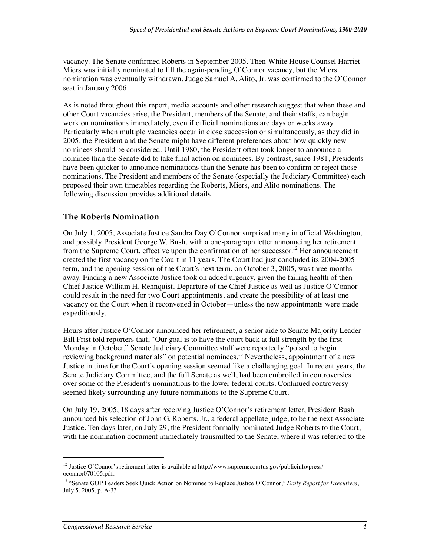vacancy. The Senate confirmed Roberts in September 2005. Then-White House Counsel Harriet Miers was initially nominated to fill the again-pending O'Connor vacancy, but the Miers nomination was eventually withdrawn. Judge Samuel A. Alito, Jr. was confirmed to the O'Connor seat in January 2006.

As is noted throughout this report, media accounts and other research suggest that when these and other Court vacancies arise, the President, members of the Senate, and their staffs, can begin work on nominations immediately, even if official nominations are days or weeks away. Particularly when multiple vacancies occur in close succession or simultaneously, as they did in 2005, the President and the Senate might have different preferences about how quickly new nominees should be considered. Until 1980, the President often took longer to announce a nominee than the Senate did to take final action on nominees. By contrast, since 1981, Presidents have been quicker to announce nominations than the Senate has been to confirm or reject those nominations. The President and members of the Senate (especially the Judiciary Committee) each proposed their own timetables regarding the Roberts, Miers, and Alito nominations. The following discussion provides additional details.

#### **The Roberts Nomination**

On July 1, 2005, Associate Justice Sandra Day O'Connor surprised many in official Washington, and possibly President George W. Bush, with a one-paragraph letter announcing her retirement from the Supreme Court, effective upon the confirmation of her successor.<sup>12</sup> Her announcement created the first vacancy on the Court in 11 years. The Court had just concluded its 2004-2005 term, and the opening session of the Court's next term, on October 3, 2005, was three months away. Finding a new Associate Justice took on added urgency, given the failing health of then-Chief Justice William H. Rehnquist. Departure of the Chief Justice as well as Justice O'Connor could result in the need for two Court appointments, and create the possibility of at least one vacancy on the Court when it reconvened in October—unless the new appointments were made expeditiously.

Hours after Justice O'Connor announced her retirement, a senior aide to Senate Majority Leader Bill Frist told reporters that, "Our goal is to have the court back at full strength by the first Monday in October." Senate Judiciary Committee staff were reportedly "poised to begin reviewing background materials" on potential nominees.<sup>13</sup> Nevertheless, appointment of a new Justice in time for the Court's opening session seemed like a challenging goal. In recent years, the Senate Judiciary Committee, and the full Senate as well, had been embroiled in controversies over some of the President's nominations to the lower federal courts. Continued controversy seemed likely surrounding any future nominations to the Supreme Court.

On July 19, 2005, 18 days after receiving Justice O'Connor's retirement letter, President Bush announced his selection of John G. Roberts, Jr., a federal appellate judge, to be the next Associate Justice. Ten days later, on July 29, the President formally nominated Judge Roberts to the Court, with the nomination document immediately transmitted to the Senate, where it was referred to the

<sup>&</sup>lt;sup>12</sup> Justice O'Connor's retirement letter is available at http://www.supremecourtus.gov/publicinfo/press/ oconnor070105.pdf.

<sup>13 &</sup>quot;Senate GOP Leaders Seek Quick Action on Nominee to Replace Justice O'Connor," *Daily Report for Executives*, July 5, 2005, p. A-33.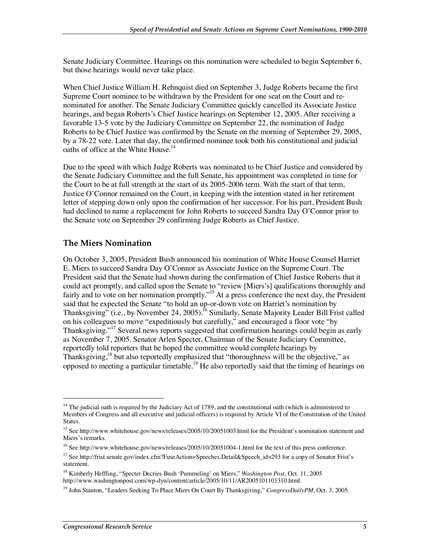Senate Judiciary Committee. Hearings on this nomination were scheduled to begin September 6, but those hearings would never take place.

When Chief Justice William H. Rehnquist died on September 3, Judge Roberts became the first Supreme Court nominee to be withdrawn by the President for one seat on the Court and renominated for another. The Senate Judiciary Committee quickly cancelled its Associate Justice hearings, and began Roberts's Chief Justice hearings on September 12, 2005. After receiving a favorable 13-5 vote by the Judiciary Committee on September 22, the nomination of Judge Roberts to be Chief Justice was confirmed by the Senate on the morning of September 29, 2005, by a 78-22 vote. Later that day, the confirmed nominee took both his constitutional and judicial oaths of office at the White House.<sup>14</sup>

Due to the speed with which Judge Roberts was nominated to be Chief Justice and considered by the Senate Judiciary Committee and the full Senate, his appointment was completed in time for the Court to be at full strength at the start of its 2005-2006 term. With the start of that term, Justice O'Connor remained on the Court, in keeping with the intention stated in her retirement letter of stepping down only upon the confirmation of her successor. For his part, President Bush had declined to name a replacement for John Roberts to succeed Sandra Day O'Connor prior to the Senate vote on September 29 confirming Judge Roberts as Chief Justice.

### **The Miers Nomination**

On October 3, 2005, President Bush announced his nomination of White House Counsel Harriet E. Miers to succeed Sandra Day O'Connor as Associate Justice on the Supreme Court. The President said that the Senate had shown during the confirmation of Chief Justice Roberts that it could act promptly, and called upon the Senate to "review [Miers's] qualifications thoroughly and fairly and to vote on her nomination promptly."<sup>15</sup> At a press conference the next day, the President said that he expected the Senate "to hold an up-or-down vote on Harriet's nomination by Thanksgiving" (i.e., by November 24, 2005).<sup>16</sup> Similarly, Senate Majority Leader Bill Frist called on his colleagues to move "expeditiously but carefully," and encouraged a floor vote "by Thanksgiving."<sup>17</sup> Several news reports suggested that confirmation hearings could begin as early as November 7, 2005. Senator Arlen Specter, Chairman of the Senate Judiciary Committee, reportedly told reporters that he hoped the committee would complete hearings by Thanksgiving, $18$  but also reportedly emphasized that "thoroughness will be the objective," as opposed to meeting a particular timetable.<sup>19</sup> He also reportedly said that the timing of hearings on

**.** 

 $14$  The judicial oath is required by the Judiciary Act of 1789, and the constitutional oath (which is administered to Members of Congress and all executive and judicial officers) is required by Article VI of the Constitution of the United States.

<sup>&</sup>lt;sup>15</sup> See http://www.whitehouse.gov/news/releases/2005/10/20051003.html for the President's nomination statement and Miers's remarks.

<sup>&</sup>lt;sup>16</sup> See http://www.whitehouse.gov/news/releases/2005/10/20051004-1.html for the text of this press conference.

<sup>&</sup>lt;sup>17</sup> See http://frist.senate.gov/index.cfm?FuseAction=Speeches.Detail&Speech\_id=293 for a copy of Senator Frist's statement.

<sup>18</sup> Kimberly Heffling, "Specter Decries Bush 'Pummeling' on Miers," *Washington Post*, Oct. 11, 2005 http://www.washingtonpost.com/wp-dyn/content/article/2005/10/11/AR2005101101310.html.

<sup>19</sup> John Stanton, "Leaders Seeking To Place Miers On Court By Thanksgiving," *CongressDailyPM*, Oct. 3, 2005.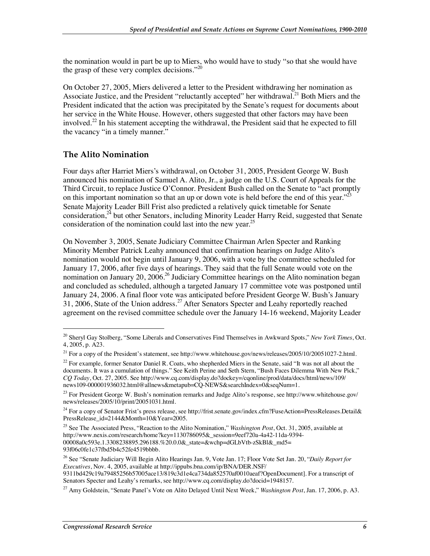the nomination would in part be up to Miers, who would have to study "so that she would have the grasp of these very complex decisions." $^{20}$ 

On October 27, 2005, Miers delivered a letter to the President withdrawing her nomination as Associate Justice, and the President "reluctantly accepted" her withdrawal.<sup>21</sup> Both Miers and the President indicated that the action was precipitated by the Senate's request for documents about her service in the White House. However, others suggested that other factors may have been involved.<sup>22</sup> In his statement accepting the withdrawal, the President said that he expected to fill the vacancy "in a timely manner."

### **The Alito Nomination**

1

Four days after Harriet Miers's withdrawal, on October 31, 2005, President George W. Bush announced his nomination of Samuel A. Alito, Jr., a judge on the U.S. Court of Appeals for the Third Circuit, to replace Justice O'Connor. President Bush called on the Senate to "act promptly on this important nomination so that an up or down vote is held before the end of this year.<sup>32</sup> Senate Majority Leader Bill Frist also predicted a relatively quick timetable for Senate consideration, $^{24}$  but other Senators, including Minority Leader Harry Reid, suggested that Senate consideration of the nomination could last into the new year.<sup>25</sup>

On November 3, 2005, Senate Judiciary Committee Chairman Arlen Specter and Ranking Minority Member Patrick Leahy announced that confirmation hearings on Judge Alito's nomination would not begin until January 9, 2006, with a vote by the committee scheduled for January 17, 2006, after five days of hearings. They said that the full Senate would vote on the nomination on January 20, 2006.<sup>26</sup> Judiciary Committee hearings on the Alito nomination began and concluded as scheduled, although a targeted January 17 committee vote was postponed until January 24, 2006. A final floor vote was anticipated before President George W. Bush's January 31, 2006, State of the Union address.27 After Senators Specter and Leahy reportedly reached agreement on the revised committee schedule over the January 14-16 weekend, Majority Leader

<sup>20</sup> Sheryl Gay Stolberg, "Some Liberals and Conservatives Find Themselves in Awkward Spots," *New York Times*, Oct. 4, 2005, p. A23.

 $^{21}$  For a copy of the President's statement, see http://www.whitehouse.gov/news/releases/2005/10/20051027-2.html.

<sup>&</sup>lt;sup>22</sup> For example, former Senator Daniel R. Coats, who shepherded Miers in the Senate, said "It was not all about the documents. It was a cumulation of things." See Keith Perine and Seth Stern, "Bush Faces Dilemma With New Pick," *CQ Today*, Oct. 27, 2005. See http://www.cq.com/display.do?dockey=/cqonline/prod/data/docs/html/news/109/ news109-000001936032.html@allnews&metapub=CQ-NEWS&searchIndex=0&seqNum=1.

<sup>&</sup>lt;sup>23</sup> For President George W. Bush's nomination remarks and Judge Alito's response, see http://www.whitehouse.gov/ news/releases/2005/10/print/20051031.html.

<sup>&</sup>lt;sup>24</sup> For a copy of Senator Frist's press release, see http://frist.senate.gov/index.cfm?FuseAction=PressReleases.Detail& PressRelease\_id=2144&Month=10&Year=2005.

<sup>25</sup> See The Associated Press, "Reaction to the Alito Nomination," *Washington Post*, Oct. 31, 2005, available at http://www.nexis.com/research/home?key=1130786095&\_session=9eef720a-4a42-11da-9394- 00008a0c593e.1.3308238895.296188.%20.0.0&\_state=&wchp=dGLbVtb-zSkBl&\_md5= 93f06c0fe1c37fbd5b4c52fe4519bbbb.

<sup>26</sup> See "Senate Judiciary Will Begin Alito Hearings Jan. 9, Vote Jan. 17; Floor Vote Set Jan. 20, "*Daily Report for Executives*, Nov. 4, 2005, available at http://ippubs.bna.com/ip/BNA/DER.NSF/

<sup>9311</sup>bd429c19a79485256b57005ace13/819c3d1e4ca734da852570af0010aeaf?OpenDocument]. For a transcript of Senators Specter and Leahy's remarks, see http://www.cq.com/display.do?docid=1948157.

<sup>27</sup> Amy Goldstein, "Senate Panel's Vote on Alito Delayed Until Next Week," *Washington Post*, Jan. 17, 2006, p. A3.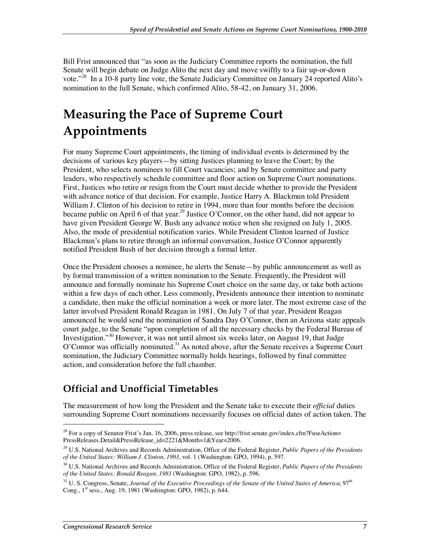Bill Frist announced that "as soon as the Judiciary Committee reports the nomination, the full Senate will begin debate on Judge Alito the next day and move swiftly to a fair up-or-down vote."<sup>28</sup> In a 10-8 party line vote, the Senate Judiciary Committee on January 24 reported Alito's nomination to the full Senate, which confirmed Alito, 58-42, on January 31, 2006.

# **Measuring the Pace of Supreme Court Appointments**

For many Supreme Court appointments, the timing of individual events is determined by the decisions of various key players—by sitting Justices planning to leave the Court; by the President, who selects nominees to fill Court vacancies; and by Senate committee and party leaders, who respectively schedule committee and floor action on Supreme Court nominations. First, Justices who retire or resign from the Court must decide whether to provide the President with advance notice of that decision. For example, Justice Harry A. Blackmun told President William J. Clinton of his decision to retire in 1994, more than four months before the decision became public on April 6 of that year.<sup>29</sup> Justice O'Connor, on the other hand, did not appear to have given President George W. Bush any advance notice when she resigned on July 1, 2005. Also, the mode of presidential notification varies. While President Clinton learned of Justice Blackmun's plans to retire through an informal conversation, Justice O'Connor apparently notified President Bush of her decision through a formal letter.

Once the President chooses a nominee, he alerts the Senate—by public announcement as well as by formal transmission of a written nomination to the Senate. Frequently, the President will announce and formally nominate his Supreme Court choice on the same day, or take both actions within a few days of each other. Less commonly, Presidents announce their intention to nominate a candidate, then make the official nomination a week or more later. The most extreme case of the latter involved President Ronald Reagan in 1981. On July 7 of that year, President Reagan announced he would send the nomination of Sandra Day O'Connor, then an Arizona state appeals court judge, to the Senate "upon completion of all the necessary checks by the Federal Bureau of Investigation."30 However, it was not until almost six weeks later, on August 19, that Judge O'Connor was officially nominated.<sup>31</sup> As noted above, after the Senate receives a Supreme Court nomination, the Judiciary Committee normally holds hearings, followed by final committee action, and consideration before the full chamber.

## **Official and Unofficial Timetables**

The measurement of how long the President and the Senate take to execute their *official* duties surrounding Supreme Court nominations necessarily focuses on official dates of action taken. The

<sup>&</sup>lt;sup>28</sup> For a copy of Senator Frist's Jan. 16, 2006, press release, see http://frist.senate.gov/index.cfm?FuseAction= PressReleases.Detail&PressRelease\_id=2221&Month=1&Year=2006.

<sup>29</sup> U.S. National Archives and Records Administration, Office of the Federal Register, *Public Papers of the Presidents of the United States: William J. Clinton, 1993,* vol. 1 (Washington: GPO, 1994), p. 597.

<sup>30</sup> U.S. National Archives and Records Administration, Office of the Federal Register, *Public Papers of the Presidents of the United States: Ronald Reagan, 1981* (Washington: GPO, 1982), p. 596.

<sup>&</sup>lt;sup>31</sup> U. S. Congress, Senate, *Journal of the Executive Proceedings of the Senate of the United States of America*, 97<sup>th</sup> Cong., 1st sess., Aug. 19, 1981 (Washington: GPO, 1982), p. 644.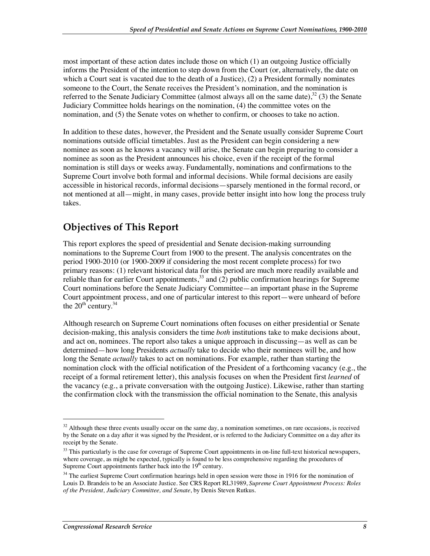most important of these action dates include those on which (1) an outgoing Justice officially informs the President of the intention to step down from the Court (or, alternatively, the date on which a Court seat is vacated due to the death of a Justice), (2) a President formally nominates someone to the Court, the Senate receives the President's nomination, and the nomination is referred to the Senate Judiciary Committee (almost always all on the same date), $3^2$  (3) the Senate Judiciary Committee holds hearings on the nomination, (4) the committee votes on the nomination, and (5) the Senate votes on whether to confirm, or chooses to take no action.

In addition to these dates, however, the President and the Senate usually consider Supreme Court nominations outside official timetables. Just as the President can begin considering a new nominee as soon as he knows a vacancy will arise, the Senate can begin preparing to consider a nominee as soon as the President announces his choice, even if the receipt of the formal nomination is still days or weeks away. Fundamentally, nominations and confirmations to the Supreme Court involve both formal and informal decisions. While formal decisions are easily accessible in historical records, informal decisions—sparsely mentioned in the formal record, or not mentioned at all—might, in many cases, provide better insight into how long the process truly takes.

## **Objectives of This Report**

This report explores the speed of presidential and Senate decision-making surrounding nominations to the Supreme Court from 1900 to the present. The analysis concentrates on the period 1900-2010 (or 1900-2009 if considering the most recent complete process) for two primary reasons: (1) relevant historical data for this period are much more readily available and reliable than for earlier Court appointments,  $33$  and (2) public confirmation hearings for Supreme Court nominations before the Senate Judiciary Committee—an important phase in the Supreme Court appointment process, and one of particular interest to this report—were unheard of before the  $20^{th}$  century.<sup>34</sup>

Although research on Supreme Court nominations often focuses on either presidential or Senate decision-making, this analysis considers the time *both* institutions take to make decisions about, and act on, nominees. The report also takes a unique approach in discussing—as well as can be determined—how long Presidents *actually* take to decide who their nominees will be, and how long the Senate *actually* takes to act on nominations. For example, rather than starting the nomination clock with the official notification of the President of a forthcoming vacancy (e.g., the receipt of a formal retirement letter), this analysis focuses on when the President first *learned* of the vacancy (e.g., a private conversation with the outgoing Justice). Likewise, rather than starting the confirmation clock with the transmission the official nomination to the Senate, this analysis

 $32$  Although these three events usually occur on the same day, a nomination sometimes, on rare occasions, is received by the Senate on a day after it was signed by the President, or is referred to the Judiciary Committee on a day after its receipt by the Senate.

<sup>&</sup>lt;sup>33</sup> This particularly is the case for coverage of Supreme Court appointments in on-line full-text historical newspapers, where coverage, as might be expected, typically is found to be less comprehensive regarding the procedures of Supreme Court appointments farther back into the 19<sup>th</sup> century.

<sup>&</sup>lt;sup>34</sup> The earliest Supreme Court confirmation hearings held in open session were those in 1916 for the nomination of Louis D. Brandeis to be an Associate Justice. See CRS Report RL31989, *Supreme Court Appointment Process: Roles of the President, Judiciary Committee, and Senate*, by Denis Steven Rutkus.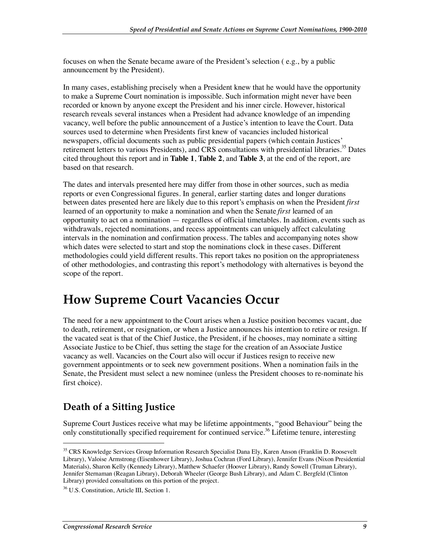focuses on when the Senate became aware of the President's selection ( e.g., by a public announcement by the President).

In many cases, establishing precisely when a President knew that he would have the opportunity to make a Supreme Court nomination is impossible. Such information might never have been recorded or known by anyone except the President and his inner circle. However, historical research reveals several instances when a President had advance knowledge of an impending vacancy, well before the public announcement of a Justice's intention to leave the Court. Data sources used to determine when Presidents first knew of vacancies included historical newspapers, official documents such as public presidential papers (which contain Justices' retirement letters to various Presidents), and CRS consultations with presidential libraries.<sup>35</sup> Dates cited throughout this report and in **Table 1**, **Table 2**, and **Table 3**, at the end of the report, are based on that research.

The dates and intervals presented here may differ from those in other sources, such as media reports or even Congressional figures. In general, earlier starting dates and longer durations between dates presented here are likely due to this report's emphasis on when the President *first* learned of an opportunity to make a nomination and when the Senate *first* learned of an opportunity to act on a nomination — regardless of official timetables. In addition, events such as withdrawals, rejected nominations, and recess appointments can uniquely affect calculating intervals in the nomination and confirmation process. The tables and accompanying notes show which dates were selected to start and stop the nominations clock in these cases. Different methodologies could yield different results. This report takes no position on the appropriateness of other methodologies, and contrasting this report's methodology with alternatives is beyond the scope of the report.

## **How Supreme Court Vacancies Occur**

The need for a new appointment to the Court arises when a Justice position becomes vacant, due to death, retirement, or resignation, or when a Justice announces his intention to retire or resign. If the vacated seat is that of the Chief Justice, the President, if he chooses, may nominate a sitting Associate Justice to be Chief, thus setting the stage for the creation of an Associate Justice vacancy as well. Vacancies on the Court also will occur if Justices resign to receive new government appointments or to seek new government positions. When a nomination fails in the Senate, the President must select a new nominee (unless the President chooses to re-nominate his first choice).

## **Death of a Sitting Justice**

Supreme Court Justices receive what may be lifetime appointments, "good Behaviour" being the only constitutionally specified requirement for continued service.<sup>36</sup> Lifetime tenure, interesting

<sup>&</sup>lt;sup>35</sup> CRS Knowledge Services Group Information Research Specialist Dana Ely, Karen Anson (Franklin D. Roosevelt Library), Valoise Armstrong (Eisenhower Library), Joshua Cochran (Ford Library), Jennifer Evans (Nixon Presidential Materials), Sharon Kelly (Kennedy Library), Matthew Schaefer (Hoover Library), Randy Sowell (Truman Library), Jennifer Sternaman (Reagan Library), Deborah Wheeler (George Bush Library), and Adam C. Bergfeld (Clinton Library) provided consultations on this portion of the project.

<sup>36</sup> U.S. Constitution, Article III, Section 1.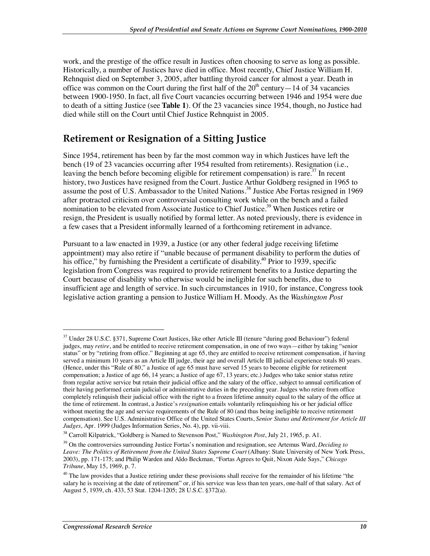work, and the prestige of the office result in Justices often choosing to serve as long as possible. Historically, a number of Justices have died in office. Most recently, Chief Justice William H. Rehnquist died on September 3, 2005, after battling thyroid cancer for almost a year. Death in office was common on the Court during the first half of the  $20<sup>th</sup>$  century - 14 of 34 vacancies between 1900-1950. In fact, all five Court vacancies occurring between 1946 and 1954 were due to death of a sitting Justice (see **Table 1**). Of the 23 vacancies since 1954, though, no Justice had died while still on the Court until Chief Justice Rehnquist in 2005.

## **Retirement or Resignation of a Sitting Justice**

Since 1954, retirement has been by far the most common way in which Justices have left the bench (19 of 23 vacancies occurring after 1954 resulted from retirements). Resignation (i.e., leaving the bench before becoming eligible for retirement compensation) is rare.<sup>37</sup> In recent history, two Justices have resigned from the Court. Justice Arthur Goldberg resigned in 1965 to assume the post of U.S. Ambassador to the United Nations.<sup>38</sup> Justice Abe Fortas resigned in 1969 after protracted criticism over controversial consulting work while on the bench and a failed nomination to be elevated from Associate Justice to Chief Justice.<sup>39</sup> When Justices retire or resign, the President is usually notified by formal letter. As noted previously, there is evidence in a few cases that a President informally learned of a forthcoming retirement in advance.

Pursuant to a law enacted in 1939, a Justice (or any other federal judge receiving lifetime appointment) may also retire if "unable because of permanent disability to perform the duties of his office," by furnishing the President a certificate of disability.<sup>40</sup> Prior to 1939, specific legislation from Congress was required to provide retirement benefits to a Justice departing the Court because of disability who otherwise would be ineligible for such benefits, due to insufficient age and length of service. In such circumstances in 1910, for instance, Congress took legislative action granting a pension to Justice William H. Moody. As the *Washington Post* 

**.** 

 $37$  Under 28 U.S.C. §371, Supreme Court Justices, like other Article III (tenure "during good Behaviour") federal judges, may *retire*, and be entitled to receive retirement compensation, in one of two ways—either by taking "senior status" or by "retiring from office." Beginning at age 65, they are entitled to receive retirement compensation, if having served a minimum 10 years as an Article III judge, their age and overall Article III judicial experience totals 80 years. (Hence, under this "Rule of 80," a Justice of age 65 must have served 15 years to become eligible for retirement compensation; a Justice of age 66, 14 years; a Justice of age 67, 13 years; etc.) Judges who take senior status retire from regular active service but retain their judicial office and the salary of the office, subject to annual certification of their having performed certain judicial or administrative duties in the preceding year. Judges who retire from office completely relinquish their judicial office with the right to a frozen lifetime annuity equal to the salary of the office at the time of retirement. In contrast, a Justice's *resignation* entails voluntarily relinquishing his or her judicial office without meeting the age and service requirements of the Rule of 80 (and thus being ineligible to receive retirement compensation). See U.S. Administrative Office of the United States Courts, *Senior Status and Retirement for Article III Judges*, Apr. 1999 (Judges Information Series, No. 4), pp. vii-viii.

<sup>38</sup> Carroll Kilpatrick, "Goldberg is Named to Stevenson Post," *Washington Post*, July 21, 1965, p. A1.

<sup>39</sup> On the controversies surrounding Justice Fortas's nomination and resignation, see Artemus Ward, *Deciding to Leave: The Politics of Retirement from the United States Supreme Court* (Albany: State University of New York Press, 2003), pp. 171-175; and Philip Warden and Aldo Beckman, "Fortas Agrees to Quit, Nixon Aide Says," *Chicago Tribune*, May 15, 1969, p. 7.

 $40$  The law provides that a Justice retiring under these provisions shall receive for the remainder of his lifetime "the salary he is receiving at the date of retirement" or, if his service was less than ten years, one-half of that salary. Act of August 5, 1939, ch. 433, 53 Stat. 1204-1205; 28 U.S.C. §372(a).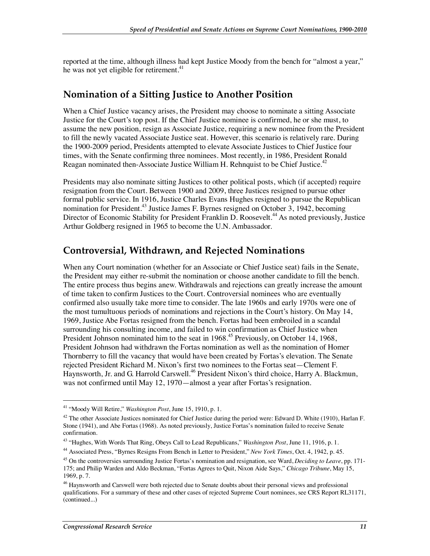reported at the time, although illness had kept Justice Moody from the bench for "almost a year," he was not yet eligible for retirement.<sup>41</sup>

### **Nomination of a Sitting Justice to Another Position**

When a Chief Justice vacancy arises, the President may choose to nominate a sitting Associate Justice for the Court's top post. If the Chief Justice nominee is confirmed, he or she must, to assume the new position, resign as Associate Justice, requiring a new nominee from the President to fill the newly vacated Associate Justice seat. However, this scenario is relatively rare. During the 1900-2009 period, Presidents attempted to elevate Associate Justices to Chief Justice four times, with the Senate confirming three nominees. Most recently, in 1986, President Ronald Reagan nominated then-Associate Justice William H. Rehnquist to be Chief Justice.<sup>42</sup>

Presidents may also nominate sitting Justices to other political posts, which (if accepted) require resignation from the Court. Between 1900 and 2009, three Justices resigned to pursue other formal public service. In 1916, Justice Charles Evans Hughes resigned to pursue the Republican nomination for President.<sup>43</sup> Justice James F. Byrnes resigned on October 3, 1942, becoming Director of Economic Stability for President Franklin D. Roosevelt.<sup>44</sup> As noted previously, Justice Arthur Goldberg resigned in 1965 to become the U.N. Ambassador.

### **Controversial, Withdrawn, and Rejected Nominations**

When any Court nomination (whether for an Associate or Chief Justice seat) fails in the Senate, the President may either re-submit the nomination or choose another candidate to fill the bench. The entire process thus begins anew. Withdrawals and rejections can greatly increase the amount of time taken to confirm Justices to the Court. Controversial nominees who are eventually confirmed also usually take more time to consider. The late 1960s and early 1970s were one of the most tumultuous periods of nominations and rejections in the Court's history. On May 14, 1969, Justice Abe Fortas resigned from the bench. Fortas had been embroiled in a scandal surrounding his consulting income, and failed to win confirmation as Chief Justice when President Johnson nominated him to the seat in  $1968<sup>45</sup>$  Previously, on October 14, 1968, President Johnson had withdrawn the Fortas nomination as well as the nomination of Homer Thornberry to fill the vacancy that would have been created by Fortas's elevation. The Senate rejected President Richard M. Nixon's first two nominees to the Fortas seat—Clement F. Haynsworth, Jr. and G. Harrold Carswell.<sup>46</sup> President Nixon's third choice, Harry A. Blackmun, was not confirmed until May 12, 1970—almost a year after Fortas's resignation.

<sup>41 &</sup>quot;Moody Will Retire," *Washington Post*, June 15, 1910, p. 1.

<sup>&</sup>lt;sup>42</sup> The other Associate Justices nominated for Chief Justice during the period were: Edward D. White (1910), Harlan F. Stone (1941), and Abe Fortas (1968). As noted previously, Justice Fortas's nomination failed to receive Senate confirmation.

<sup>43 &</sup>quot;Hughes, With Words That Ring, Obeys Call to Lead Republicans," *Washington Post*, June 11, 1916, p. 1.

<sup>44</sup> Associated Press, "Byrnes Resigns From Bench in Letter to President," *New York Times*, Oct. 4, 1942, p. 45.

<sup>45</sup> On the controversies surrounding Justice Fortas's nomination and resignation, see Ward, *Deciding to Leave*, pp. 171- 175; and Philip Warden and Aldo Beckman, "Fortas Agrees to Quit, Nixon Aide Says," *Chicago Tribune*, May 15, 1969, p. 7.

<sup>&</sup>lt;sup>46</sup> Haynsworth and Carswell were both rejected due to Senate doubts about their personal views and professional qualifications. For a summary of these and other cases of rejected Supreme Court nominees, see CRS Report RL31171, (continued...)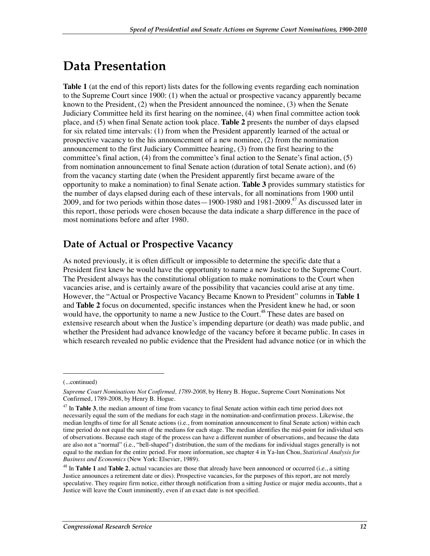## **Data Presentation**

**Table 1** (at the end of this report) lists dates for the following events regarding each nomination to the Supreme Court since 1900: (1) when the actual or prospective vacancy apparently became known to the President, (2) when the President announced the nominee, (3) when the Senate Judiciary Committee held its first hearing on the nominee, (4) when final committee action took place, and (5) when final Senate action took place. **Table 2** presents the number of days elapsed for six related time intervals: (1) from when the President apparently learned of the actual or prospective vacancy to the his announcement of a new nominee, (2) from the nomination announcement to the first Judiciary Committee hearing, (3) from the first hearing to the committee's final action, (4) from the committee's final action to the Senate's final action, (5) from nomination announcement to final Senate action (duration of total Senate action), and (6) from the vacancy starting date (when the President apparently first became aware of the opportunity to make a nomination) to final Senate action. **Table 3** provides summary statistics for the number of days elapsed during each of these intervals, for all nominations from 1900 until 2009, and for two periods within those dates  $-1900-1980$  and 1981-2009.<sup>47</sup> As discussed later in this report, those periods were chosen because the data indicate a sharp difference in the pace of most nominations before and after 1980.

### **Date of Actual or Prospective Vacancy**

As noted previously, it is often difficult or impossible to determine the specific date that a President first knew he would have the opportunity to name a new Justice to the Supreme Court. The President always has the constitutional obligation to make nominations to the Court when vacancies arise, and is certainly aware of the possibility that vacancies could arise at any time. However, the "Actual or Prospective Vacancy Became Known to President" columns in **Table 1** and **Table 2** focus on documented, specific instances when the President knew he had, or soon would have, the opportunity to name a new Justice to the Court.<sup>48</sup> These dates are based on extensive research about when the Justice's impending departure (or death) was made public, and whether the President had advance knowledge of the vacancy before it became public. In cases in which research revealed no public evidence that the President had advance notice (or in which the

**.** 

<sup>(...</sup>continued)

*Supreme Court Nominations Not Confirmed, 1789-2008*, by Henry B. Hogue, Supreme Court Nominations Not Confirmed, 1789-2008, by Henry B. Hogue.

<sup>&</sup>lt;sup>47</sup> In **Table 3**, the median amount of time from vacancy to final Senate action within each time period does not necessarily equal the sum of the medians for each stage in the nomination-and-confirmation process. Likewise, the median lengths of time for all Senate actions (i.e., from nomination announcement to final Senate action) within each time period do not equal the sum of the medians for each stage. The median identifies the mid-point for individual sets of observations. Because each stage of the process can have a different number of observations, and because the data are also not a "normal" (i.e., "bell-shaped") distribution, the sum of the medians for individual stages generally is not equal to the median for the entire period. For more information, see chapter 4 in Ya-lun Chou, *Statistical Analysis for Business and Economics* (New York: Elsevier, 1989).

<sup>48</sup> In **Table 1** and **Table 2**, actual vacancies are those that already have been announced or occurred (i.e., a sitting Justice announces a retirement date or dies). Prospective vacancies, for the purposes of this report, are not merely speculative. They require firm notice, either through notification from a sitting Justice or major media accounts, that a Justice will leave the Court imminently, even if an exact date is not specified.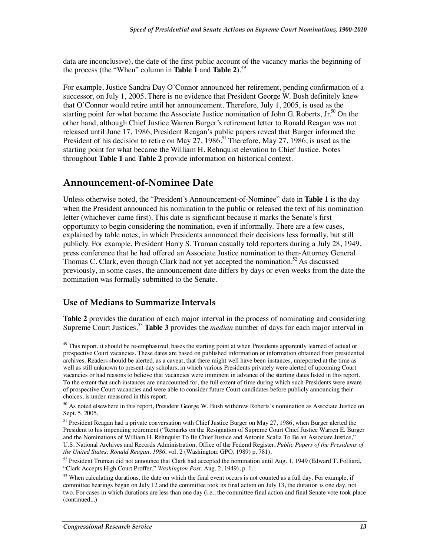data are inconclusive), the date of the first public account of the vacancy marks the beginning of the process (the "When" column in **Table 1** and **Table 2**).<sup>49</sup>

For example, Justice Sandra Day O'Connor announced her retirement, pending confirmation of a successor, on July 1, 2005. There is no evidence that President George W. Bush definitely knew that O'Connor would retire until her announcement. Therefore, July 1, 2005, is used as the starting point for what became the Associate Justice nomination of John G. Roberts, Jr.<sup>50</sup> On the other hand, although Chief Justice Warren Burger's retirement letter to Ronald Reagan was not released until June 17, 1986, President Reagan's public papers reveal that Burger informed the President of his decision to retire on May  $27$ , 1986.<sup>51</sup> Therefore, May 27, 1986, is used as the starting point for what became the William H. Rehnquist elevation to Chief Justice. Notes throughout **Table 1** and **Table 2** provide information on historical context.

### **Announcement-of-Nominee Date**

Unless otherwise noted, the "President's Announcement-of-Nominee" date in **Table 1** is the day when the President announced his nomination to the public or released the text of his nomination letter (whichever came first). This date is significant because it marks the Senate's first opportunity to begin considering the nomination, even if informally. There are a few cases, explained by table notes, in which Presidents announced their decisions less formally, but still publicly. For example, President Harry S. Truman casually told reporters during a July 28, 1949, press conference that he had offered an Associate Justice nomination to then-Attorney General Thomas C. Clark, even though Clark had not yet accepted the nomination.<sup>52</sup> As discussed previously, in some cases, the announcement date differs by days or even weeks from the date the nomination was formally submitted to the Senate.

### **Use of Medians to Summarize Intervals**

**Table 2** provides the duration of each major interval in the process of nominating and considering Supreme Court Justices.<sup>53</sup> **Table 3** provides the *median* number of days for each major interval in

<sup>&</sup>lt;sup>49</sup> This report, it should be re-emphasized, bases the starting point at when Presidents apparently learned of actual or prospective Court vacancies. These dates are based on published information or information obtained from presidential archives. Readers should be alerted, as a caveat, that there might well have been instances, unreported at the time as well as still unknown to present-day scholars, in which various Presidents privately were alerted of upcoming Court vacancies or had reasons to believe that vacancies were imminent in advance of the starting dates listed in this report. To the extent that such instances are unaccounted for, the full extent of time during which such Presidents were aware of prospective Court vacancies and were able to consider future Court candidates before publicly announcing their choices, is under-measured in this report.

<sup>&</sup>lt;sup>50</sup> As noted elsewhere in this report, President George W. Bush withdrew Roberts's nomination as Associate Justice on Sept. 5, 2005.

<sup>&</sup>lt;sup>51</sup> President Reagan had a private conversation with Chief Justice Burger on May 27, 1986, when Burger alerted the President to his impending retirement ("Remarks on the Resignation of Supreme Court Chief Justice Warren E. Burger and the Nominations of William H. Rehnquist To Be Chief Justice and Antonin Scalia To Be an Associate Justice," U.S. National Archives and Records Administration, Office of the Federal Register, *Public Papers of the Presidents of the United States: Ronald Reagan, 1986*, vol. 2 (Washington: GPO, 1989) p. 781).

 $52$  President Truman did not announce that Clark had accepted the nomination until Aug. 1, 1949 (Edward T. Folliard, "Clark Accepts High Court Proffer," *Washington Post*, Aug. 2, 1949), p. 1.

<sup>&</sup>lt;sup>53</sup> When calculating durations, the date on which the final event occurs is not counted as a full day. For example, if committee hearings began on July 12 and the committee took its final action on July 13, the duration is one day, not two. For cases in which durations are less than one day (i.e., the committee final action and final Senate vote took place (continued...)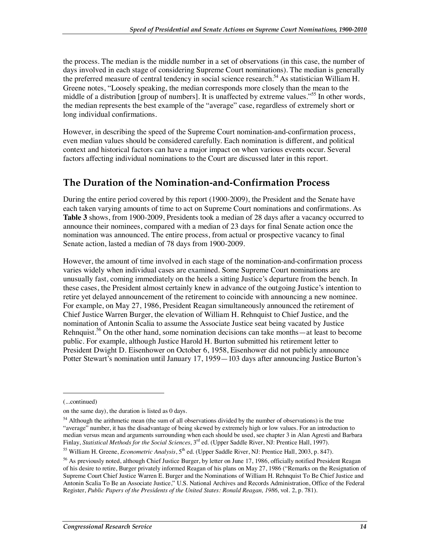the process. The median is the middle number in a set of observations (in this case, the number of days involved in each stage of considering Supreme Court nominations). The median is generally the preferred measure of central tendency in social science research.<sup>54</sup> As statistician William H. Greene notes, "Loosely speaking, the median corresponds more closely than the mean to the middle of a distribution [group of numbers]. It is unaffected by extreme values."<sup>55</sup> In other words, the median represents the best example of the "average" case, regardless of extremely short or long individual confirmations.

However, in describing the speed of the Supreme Court nomination-and-confirmation process, even median values should be considered carefully. Each nomination is different, and political context and historical factors can have a major impact on when various events occur. Several factors affecting individual nominations to the Court are discussed later in this report.

## **The Duration of the Nomination-and-Confirmation Process**

During the entire period covered by this report (1900-2009), the President and the Senate have each taken varying amounts of time to act on Supreme Court nominations and confirmations. As **Table 3** shows, from 1900-2009, Presidents took a median of 28 days after a vacancy occurred to announce their nominees, compared with a median of 23 days for final Senate action once the nomination was announced. The entire process, from actual or prospective vacancy to final Senate action, lasted a median of 78 days from 1900-2009.

However, the amount of time involved in each stage of the nomination-and-confirmation process varies widely when individual cases are examined. Some Supreme Court nominations are unusually fast, coming immediately on the heels a sitting Justice's departure from the bench. In these cases, the President almost certainly knew in advance of the outgoing Justice's intention to retire yet delayed announcement of the retirement to coincide with announcing a new nominee. For example, on May 27, 1986, President Reagan simultaneously announced the retirement of Chief Justice Warren Burger, the elevation of William H. Rehnquist to Chief Justice, and the nomination of Antonin Scalia to assume the Associate Justice seat being vacated by Justice Rehnquist.<sup>56</sup> On the other hand, some nomination decisions can take months—at least to become public. For example, although Justice Harold H. Burton submitted his retirement letter to President Dwight D. Eisenhower on October 6, 1958, Eisenhower did not publicly announce Potter Stewart's nomination until January 17, 1959—103 days after announcing Justice Burton's

<sup>(...</sup>continued)

on the same day), the duration is listed as 0 days.

<sup>&</sup>lt;sup>54</sup> Although the arithmetic mean (the sum of all observations divided by the number of observations) is the true "average" number, it has the disadvantage of being skewed by extremely high or low values. For an introduction to median versus mean and arguments surrounding when each should be used, see chapter 3 in Alan Agresti and Barbara Finlay, *Statistical Methods for the Social Sciences*, 3<sup>rd</sup> ed. (Upper Saddle River, NJ: Prentice Hall, 1997).

<sup>&</sup>lt;sup>55</sup> William H. Greene, *Econometric Analysis*, 5<sup>th</sup> ed. (Upper Saddle River, NJ: Prentice Hall, 2003, p. 847).

<sup>&</sup>lt;sup>56</sup> As previously noted, although Chief Justice Burger, by letter on June 17, 1986, officially notified President Reagan of his desire to retire, Burger privately informed Reagan of his plans on May 27, 1986 ("Remarks on the Resignation of Supreme Court Chief Justice Warren E. Burger and the Nominations of William H. Rehnquist To Be Chief Justice and Antonin Scalia To Be an Associate Justice," U.S. National Archives and Records Administration, Office of the Federal Register, *Public Papers of the Presidents of the United States: Ronald Reagan, 1986*, vol. 2, p. 781).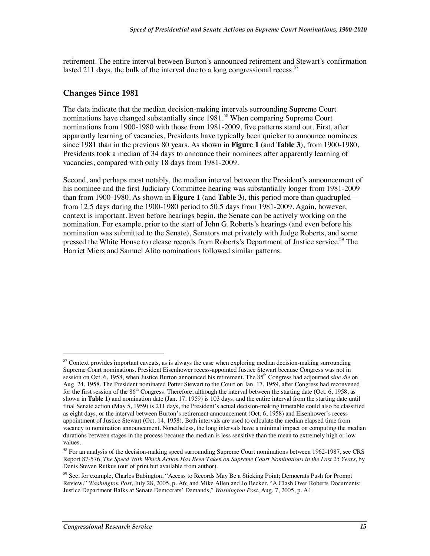retirement. The entire interval between Burton's announced retirement and Stewart's confirmation lasted 211 days, the bulk of the interval due to a long congressional recess.<sup>57</sup>

#### **Changes Since 1981**

The data indicate that the median decision-making intervals surrounding Supreme Court nominations have changed substantially since  $1981$ <sup>58</sup> When comparing Supreme Court nominations from 1900-1980 with those from 1981-2009, five patterns stand out. First, after apparently learning of vacancies, Presidents have typically been quicker to announce nominees since 1981 than in the previous 80 years. As shown in **Figure 1** (and **Table 3**), from 1900-1980, Presidents took a median of 34 days to announce their nominees after apparently learning of vacancies, compared with only 18 days from 1981-2009.

Second, and perhaps most notably, the median interval between the President's announcement of his nominee and the first Judiciary Committee hearing was substantially longer from 1981-2009 than from 1900-1980. As shown in **Figure 1** (and **Table 3**), this period more than quadrupled from 12.5 days during the 1900-1980 period to 50.5 days from 1981-2009. Again, however, context is important. Even before hearings begin, the Senate can be actively working on the nomination. For example, prior to the start of John G. Roberts's hearings (and even before his nomination was submitted to the Senate), Senators met privately with Judge Roberts, and some pressed the White House to release records from Roberts's Department of Justice service.<sup>59</sup> The Harriet Miers and Samuel Alito nominations followed similar patterns.

**.** 

 $57$  Context provides important caveats, as is always the case when exploring median decision-making surrounding Supreme Court nominations. President Eisenhower recess-appointed Justice Stewart because Congress was not in session on Oct. 6, 1958, when Justice Burton announced his retirement. The 85<sup>th</sup> Congress had adjourned *sine die* on Aug. 24, 1958. The President nominated Potter Stewart to the Court on Jan. 17, 1959, after Congress had reconvened for the first session of the  $86<sup>th</sup>$  Congress. Therefore, although the interval between the starting date (Oct. 6, 1958, as shown in **Table 1**) and nomination date (Jan. 17, 1959) is 103 days, and the entire interval from the starting date until final Senate action (May 5, 1959) is 211 days, the President's actual decision-making timetable could also be classified as eight days, or the interval between Burton's retirement announcement (Oct. 6, 1958) and Eisenhower's recess appointment of Justice Stewart (Oct. 14, 1958). Both intervals are used to calculate the median elapsed time from vacancy to nomination announcement. Nonetheless, the long intervals have a minimal impact on computing the median durations between stages in the process because the median is less sensitive than the mean to extremely high or low values.

<sup>&</sup>lt;sup>58</sup> For an analysis of the decision-making speed surrounding Supreme Court nominations between 1962-1987, see CRS Report 87-576, *The Speed With Which Action Has Been Taken on Supreme Court Nominations in the Last 25 Years*, by Denis Steven Rutkus (out of print but available from author).

<sup>59</sup> See, for example, Charles Babington, "Access to Records May Be a Sticking Point; Democrats Push for Prompt Review," *Washington Post*, July 28, 2005, p. A6; and Mike Allen and Jo Becker, "A Clash Over Roberts Documents; Justice Department Balks at Senate Democrats' Demands," *Washington Post*, Aug. 7, 2005, p. A4.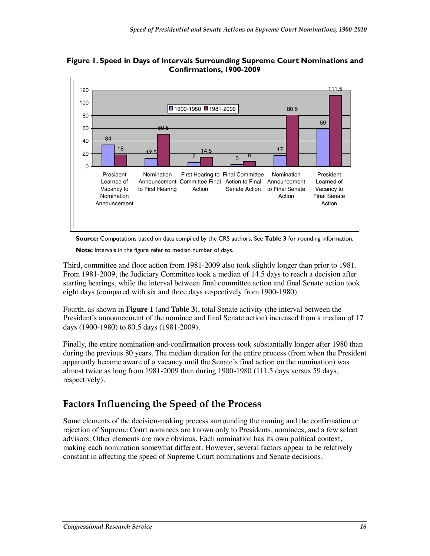

**Figure 1. Speed in Days of Intervals Surrounding Supreme Court Nominations and Confirmations, 1900-2009** 

**Source:** Computations based on data compiled by the CRS authors. See **Table 3** for rounding information.

**Note:** Intervals in the figure refer to median number of days.

Third, committee and floor action from 1981-2009 also took slightly longer than prior to 1981. From 1981-2009, the Judiciary Committee took a median of 14.5 days to reach a decision after starting hearings, while the interval between final committee action and final Senate action took eight days (compared with six and three days respectively from 1900-1980).

Fourth, as shown in **Figure 1** (and **Table 3**), total Senate activity (the interval between the President's announcement of the nominee and final Senate action) increased from a median of 17 days (1900-1980) to 80.5 days (1981-2009).

Finally, the entire nomination-and-confirmation process took substantially longer after 1980 than during the previous 80 years. The median duration for the entire process (from when the President apparently became aware of a vacancy until the Senate's final action on the nomination) was almost twice as long from 1981-2009 than during 1900-1980 (111.5 days versus 59 days, respectively).

### **Factors Influencing the Speed of the Process**

Some elements of the decision-making process surrounding the naming and the confirmation or rejection of Supreme Court nominees are known only to Presidents, nominees, and a few select advisors. Other elements are more obvious. Each nomination has its own political context, making each nomination somewhat different. However, several factors appear to be relatively constant in affecting the speed of Supreme Court nominations and Senate decisions.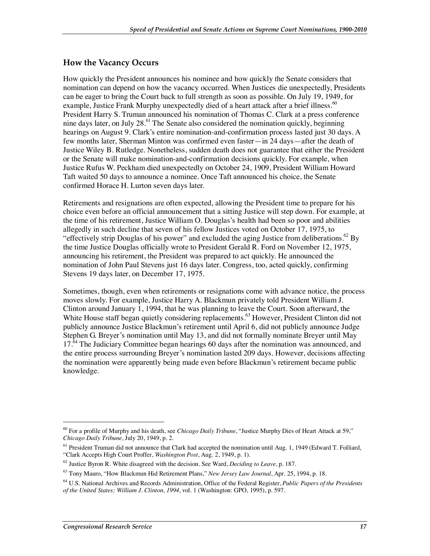### **How the Vacancy Occurs**

How quickly the President announces his nominee and how quickly the Senate considers that nomination can depend on how the vacancy occurred. When Justices die unexpectedly, Presidents can be eager to bring the Court back to full strength as soon as possible. On July 19, 1949, for example, Justice Frank Murphy unexpectedly died of a heart attack after a brief illness.<sup>60</sup> President Harry S. Truman announced his nomination of Thomas C. Clark at a press conference nine days later, on July 28. $^{61}$  The Senate also considered the nomination quickly, beginning hearings on August 9. Clark's entire nomination-and-confirmation process lasted just 30 days. A few months later, Sherman Minton was confirmed even faster—in 24 days—after the death of Justice Wiley B. Rutledge. Nonetheless, sudden death does not guarantee that either the President or the Senate will make nomination-and-confirmation decisions quickly. For example, when Justice Rufus W. Peckham died unexpectedly on October 24, 1909, President William Howard Taft waited 50 days to announce a nominee. Once Taft announced his choice, the Senate confirmed Horace H. Lurton seven days later.

Retirements and resignations are often expected, allowing the President time to prepare for his choice even before an official announcement that a sitting Justice will step down. For example, at the time of his retirement, Justice William O. Douglas's health had been so poor and abilities allegedly in such decline that seven of his fellow Justices voted on October 17, 1975, to "effectively strip Douglas of his power" and excluded the aging Justice from deliberations.<sup>62</sup> By the time Justice Douglas officially wrote to President Gerald R. Ford on November 12, 1975, announcing his retirement, the President was prepared to act quickly. He announced the nomination of John Paul Stevens just 16 days later. Congress, too, acted quickly, confirming Stevens 19 days later, on December 17, 1975.

Sometimes, though, even when retirements or resignations come with advance notice, the process moves slowly. For example, Justice Harry A. Blackmun privately told President William J. Clinton around January 1, 1994, that he was planning to leave the Court. Soon afterward, the White House staff began quietly considering replacements.<sup>63</sup> However, President Clinton did not publicly announce Justice Blackmun's retirement until April 6, did not publicly announce Judge Stephen G. Breyer's nomination until May 13, and did not formally nominate Breyer until May  $17<sup>64</sup>$  The Judiciary Committee began hearings 60 days after the nomination was announced, and the entire process surrounding Breyer's nomination lasted 209 days. However, decisions affecting the nomination were apparently being made even before Blackmun's retirement became public knowledge.

**.** 

<sup>60</sup> For a profile of Murphy and his death, see *Chicago Daily Tribune*, "Justice Murphy Dies of Heart Attack at 59," *Chicago Daily Tribune*, July 20, 1949, p. 2.

<sup>&</sup>lt;sup>61</sup> President Truman did not announce that Clark had accepted the nomination until Aug. 1, 1949 (Edward T. Folliard, "Clark Accepts High Court Proffer, *Washington Post*, Aug. 2, 1949, p. 1).

<sup>&</sup>lt;sup>62</sup> Justice Byron R. White disagreed with the decision. See Ward, *Deciding to Leave*, p. 187.

<sup>63</sup> Tony Mauro, "How Blackmun Hid Retirement Plans," *New Jersey Law Journal*, Apr. 25, 1994, p. 18.

<sup>64</sup> U.S. National Archives and Records Administration, Office of the Federal Register, *Public Papers of the Presidents of the United States: William J. Clinton, 1994*, vol. 1 (Washington: GPO, 1995), p. 597.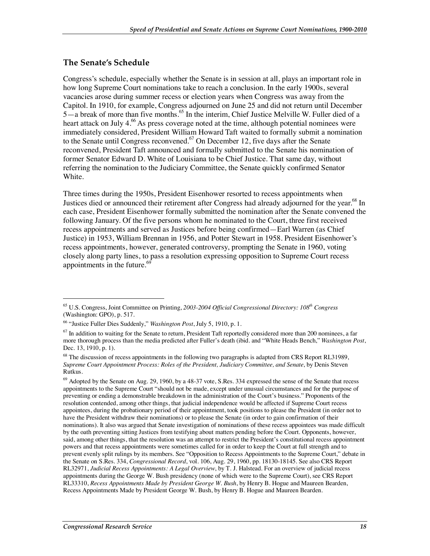#### **The Senate's Schedule**

Congress's schedule, especially whether the Senate is in session at all, plays an important role in how long Supreme Court nominations take to reach a conclusion. In the early 1900s, several vacancies arose during summer recess or election years when Congress was away from the Capitol. In 1910, for example, Congress adjourned on June 25 and did not return until December 5—a break of more than five months.<sup>65</sup> In the interim, Chief Justice Melville W. Fuller died of a heart attack on July 4.<sup>66</sup> As press coverage noted at the time, although potential nominees were immediately considered, President William Howard Taft waited to formally submit a nomination to the Senate until Congress reconvened.<sup>67</sup> On December 12, five days after the Senate reconvened, President Taft announced and formally submitted to the Senate his nomination of former Senator Edward D. White of Louisiana to be Chief Justice. That same day, without referring the nomination to the Judiciary Committee, the Senate quickly confirmed Senator White.

Three times during the 1950s, President Eisenhower resorted to recess appointments when Justices died or announced their retirement after Congress had already adjourned for the year.<sup>68</sup> In each case, President Eisenhower formally submitted the nomination after the Senate convened the following January. Of the five persons whom he nominated to the Court, three first received recess appointments and served as Justices before being confirmed—Earl Warren (as Chief Justice) in 1953, William Brennan in 1956, and Potter Stewart in 1958. President Eisenhower's recess appointments, however, generated controversy, prompting the Senate in 1960, voting closely along party lines, to pass a resolution expressing opposition to Supreme Court recess appointments in the future. $\frac{6}{5}$ 

<sup>65</sup> U.S. Congress, Joint Committee on Printing, *2003-2004 Official Congressional Directory: 108th Congress* (Washington: GPO), p. 517.

<sup>66 &</sup>quot;Justice Fuller Dies Suddenly," *Washington Post*, July 5, 1910, p. 1.

 $67$  In addition to waiting for the Senate to return, President Taft reportedly considered more than 200 nominees, a far more thorough process than the media predicted after Fuller's death (ibid. and "White Heads Bench," *Washington Post*, Dec. 13, 1910, p. 1).

<sup>&</sup>lt;sup>68</sup> The discussion of recess appointments in the following two paragraphs is adapted from CRS Report RL31989, *Supreme Court Appointment Process: Roles of the President, Judiciary Committee, and Senate*, by Denis Steven Rutkus.

 $^{69}$  Adopted by the Senate on Aug. 29, 1960, by a 48-37 vote, S.Res. 334 expressed the sense of the Senate that recess appointments to the Supreme Court "should not be made, except under unusual circumstances and for the purpose of preventing or ending a demonstrable breakdown in the administration of the Court's business." Proponents of the resolution contended, among other things, that judicial independence would be affected if Supreme Court recess appointees, during the probationary period of their appointment, took positions to please the President (in order not to have the President withdraw their nominations) or to please the Senate (in order to gain confirmation of their nominations). It also was argued that Senate investigation of nominations of these recess appointees was made difficult by the oath preventing sitting Justices from testifying about matters pending before the Court. Opponents, however, said, among other things, that the resolution was an attempt to restrict the President's constitutional recess appointment powers and that recess appointments were sometimes called for in order to keep the Court at full strength and to prevent evenly split rulings by its members. See "Opposition to Recess Appointments to the Supreme Court," debate in the Senate on S.Res. 334, *Congressional Record*, vol. 106, Aug. 29, 1960, pp. 18130-18145. See also CRS Report RL32971, *Judicial Recess Appointments: A Legal Overview*, by T. J. Halstead. For an overview of judicial recess appointments during the George W. Bush presidency (none of which were to the Supreme Court), see CRS Report RL33310, *Recess Appointments Made by President George W. Bush*, by Henry B. Hogue and Maureen Bearden, Recess Appointments Made by President George W. Bush, by Henry B. Hogue and Maureen Bearden.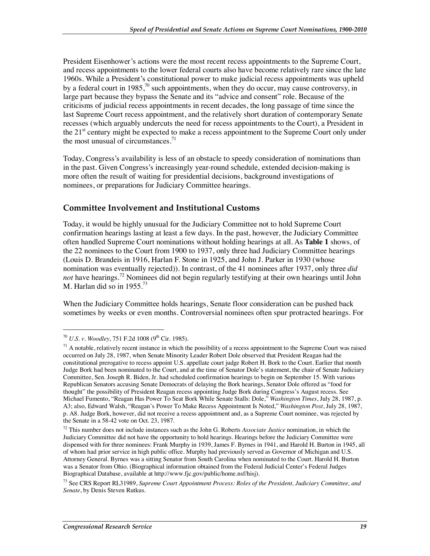President Eisenhower's actions were the most recent recess appointments to the Supreme Court, and recess appointments to the lower federal courts also have become relatively rare since the late 1960s. While a President's constitutional power to make judicial recess appointments was upheld by a federal court in 1985,<sup>70</sup> such appointments, when they do occur, may cause controversy, in large part because they bypass the Senate and its "advice and consent" role. Because of the criticisms of judicial recess appointments in recent decades, the long passage of time since the last Supreme Court recess appointment, and the relatively short duration of contemporary Senate recesses (which arguably undercuts the need for recess appointments to the Court), a President in the  $21<sup>st</sup>$  century might be expected to make a recess appointment to the Supreme Court only under the most unusual of circumstances. $71$ 

Today, Congress's availability is less of an obstacle to speedy consideration of nominations than in the past. Given Congress's increasingly year-round schedule, extended decision-making is more often the result of waiting for presidential decisions, background investigations of nominees, or preparations for Judiciary Committee hearings.

#### **Committee Involvement and Institutional Customs**

Today, it would be highly unusual for the Judiciary Committee not to hold Supreme Court confirmation hearings lasting at least a few days. In the past, however, the Judiciary Committee often handled Supreme Court nominations without holding hearings at all. As **Table 1** shows, of the 22 nominees to the Court from 1900 to 1937, only three had Judiciary Committee hearings (Louis D. Brandeis in 1916, Harlan F. Stone in 1925, and John J. Parker in 1930 (whose nomination was eventually rejected)). In contrast, of the 41 nominees after 1937, only three *did not* have hearings.72 Nominees did not begin regularly testifying at their own hearings until John M. Harlan did so in 1955.73

When the Judiciary Committee holds hearings, Senate floor consideration can be pushed back sometimes by weeks or even months. Controversial nominees often spur protracted hearings. For

**.** 

<sup>&</sup>lt;sup>70</sup> *U.S. v. Woodley*, 751 F.2d 1008 (9<sup>th</sup> Cir. 1985).

 $71$  A notable, relatively recent instance in which the possibility of a recess appointment to the Supreme Court was raised occurred on July 28, 1987, when Senate Minority Leader Robert Dole observed that President Reagan had the constitutional prerogative to recess appoint U.S. appellate court judge Robert H. Bork to the Court. Earlier that month Judge Bork had been nominated to the Court, and at the time of Senator Dole's statement, the chair of Senate Judiciary Committee, Sen. Joseph R. Biden, Jr. had scheduled confirmation hearings to begin on September 15. With various Republican Senators accusing Senate Democrats of delaying the Bork hearings, Senator Dole offered as "food for thought" the possibility of President Reagan recess appointing Judge Bork during Congress's August recess. See Michael Fumento, "Reagan Has Power To Seat Bork While Senate Stalls: Dole," *Washington Times*, July 28, 1987, p. A3; also, Edward Walsh, "Reagan's Power To Make Recess Appointment Is Noted," *Washington Post*, July 28, 1987, p. A8. Judge Bork, however, did not receive a recess appointment and, as a Supreme Court nominee, was rejected by the Senate in a 58-42 vote on Oct. 23, 1987.

<sup>72</sup> This number does not include instances such as the John G. Roberts *Associate Justice* nomination, in which the Judiciary Committee did not have the opportunity to hold hearings. Hearings before the Judiciary Committee were dispensed with for three nominees: Frank Murphy in 1939, James F. Byrnes in 1941, and Harold H. Burton in 1945, all of whom had prior service in high public office. Murphy had previously served as Governor of Michigan and U.S. Attorney General. Byrnes was a sitting Senator from South Carolina when nominated to the Court. Harold H. Burton was a Senator from Ohio. (Biographical information obtained from the Federal Judicial Center's Federal Judges Biographical Database, available at http://www.fjc.gov/public/home.nsf/hisj).

<sup>73</sup> See CRS Report RL31989, *Supreme Court Appointment Process: Roles of the President, Judiciary Committee, and Senate*, by Denis Steven Rutkus.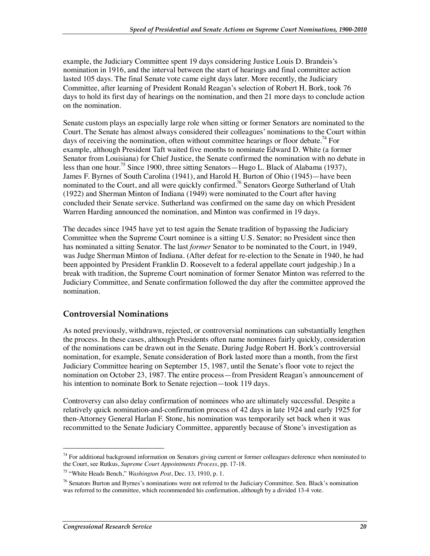example, the Judiciary Committee spent 19 days considering Justice Louis D. Brandeis's nomination in 1916, and the interval between the start of hearings and final committee action lasted 105 days. The final Senate vote came eight days later. More recently, the Judiciary Committee, after learning of President Ronald Reagan's selection of Robert H. Bork, took 76 days to hold its first day of hearings on the nomination, and then 21 more days to conclude action on the nomination.

Senate custom plays an especially large role when sitting or former Senators are nominated to the Court. The Senate has almost always considered their colleagues' nominations to the Court within days of receiving the nomination, often without committee hearings or floor debate.<sup>74</sup> For example, although President Taft waited five months to nominate Edward D. White (a former Senator from Louisiana) for Chief Justice, the Senate confirmed the nomination with no debate in less than one hour.<sup>75</sup> Since 1900, three sitting Senators—Hugo L. Black of Alabama (1937), James F. Byrnes of South Carolina (1941), and Harold H. Burton of Ohio (1945)—have been nominated to the Court, and all were quickly confirmed.<sup>76</sup> Senators George Sutherland of Utah (1922) and Sherman Minton of Indiana (1949) were nominated to the Court after having concluded their Senate service. Sutherland was confirmed on the same day on which President Warren Harding announced the nomination, and Minton was confirmed in 19 days.

The decades since 1945 have yet to test again the Senate tradition of bypassing the Judiciary Committee when the Supreme Court nominee is a sitting U.S. Senator; no President since then has nominated a sitting Senator. The last *former* Senator to be nominated to the Court, in 1949, was Judge Sherman Minton of Indiana. (After defeat for re-election to the Senate in 1940, he had been appointed by President Franklin D. Roosevelt to a federal appellate court judgeship.) In a break with tradition, the Supreme Court nomination of former Senator Minton was referred to the Judiciary Committee, and Senate confirmation followed the day after the committee approved the nomination.

### **Controversial Nominations**

As noted previously, withdrawn, rejected, or controversial nominations can substantially lengthen the process. In these cases, although Presidents often name nominees fairly quickly, consideration of the nominations can be drawn out in the Senate. During Judge Robert H. Bork's controversial nomination, for example, Senate consideration of Bork lasted more than a month, from the first Judiciary Committee hearing on September 15, 1987, until the Senate's floor vote to reject the nomination on October 23, 1987. The entire process—from President Reagan's announcement of his intention to nominate Bork to Senate rejection—took 119 days.

Controversy can also delay confirmation of nominees who are ultimately successful. Despite a relatively quick nomination-and-confirmation process of 42 days in late 1924 and early 1925 for then-Attorney General Harlan F. Stone, his nomination was temporarily set back when it was recommitted to the Senate Judiciary Committee, apparently because of Stone's investigation as

**.** 

 $74$  For additional background information on Senators giving current or former colleagues deference when nominated to the Court, see Rutkus, *Supreme Court Appointments Process*, pp. 17-18.

<sup>75 &</sup>quot;White Heads Bench," *Washington Post*, Dec. 13, 1910, p. 1.

<sup>&</sup>lt;sup>76</sup> Senators Burton and Byrnes's nominations were not referred to the Judiciary Committee. Sen. Black's nomination was referred to the committee, which recommended his confirmation, although by a divided 13-4 vote.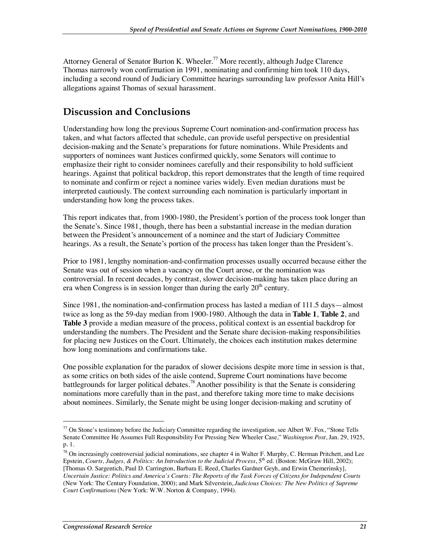Attorney General of Senator Burton K. Wheeler.<sup>77</sup> More recently, although Judge Clarence Thomas narrowly won confirmation in 1991, nominating and confirming him took 110 days, including a second round of Judiciary Committee hearings surrounding law professor Anita Hill's allegations against Thomas of sexual harassment.

## **Discussion and Conclusions**

Understanding how long the previous Supreme Court nomination-and-confirmation process has taken, and what factors affected that schedule, can provide useful perspective on presidential decision-making and the Senate's preparations for future nominations. While Presidents and supporters of nominees want Justices confirmed quickly, some Senators will continue to emphasize their right to consider nominees carefully and their responsibility to hold sufficient hearings. Against that political backdrop, this report demonstrates that the length of time required to nominate and confirm or reject a nominee varies widely. Even median durations must be interpreted cautiously. The context surrounding each nomination is particularly important in understanding how long the process takes.

This report indicates that, from 1900-1980, the President's portion of the process took longer than the Senate's. Since 1981, though, there has been a substantial increase in the median duration between the President's announcement of a nominee and the start of Judiciary Committee hearings. As a result, the Senate's portion of the process has taken longer than the President's.

Prior to 1981, lengthy nomination-and-confirmation processes usually occurred because either the Senate was out of session when a vacancy on the Court arose, or the nomination was controversial. In recent decades, by contrast, slower decision-making has taken place during an era when Congress is in session longer than during the early  $20<sup>th</sup>$  century.

Since 1981, the nomination-and-confirmation process has lasted a median of 111.5 days—almost twice as long as the 59-day median from 1900-1980. Although the data in **Table 1**, **Table 2**, and **Table 3** provide a median measure of the process, political context is an essential backdrop for understanding the numbers. The President and the Senate share decision-making responsibilities for placing new Justices on the Court. Ultimately, the choices each institution makes determine how long nominations and confirmations take.

One possible explanation for the paradox of slower decisions despite more time in session is that, as some critics on both sides of the aisle contend, Supreme Court nominations have become battlegrounds for larger political debates.<sup>78</sup> Another possibility is that the Senate is considering nominations more carefully than in the past, and therefore taking more time to make decisions about nominees. Similarly, the Senate might be using longer decision-making and scrutiny of

 $77$  On Stone's testimony before the Judiciary Committee regarding the investigation, see Albert W. Fox, "Stone Tells Senate Committee He Assumes Full Responsibility For Pressing New Wheeler Case," *Washington Post*, Jan. 29, 1925, p. 1.

 $78$  On increasingly controversial judicial nominations, see chapter 4 in Walter F. Murphy, C. Herman Pritchett, and Lee Epstein, *Courts, Judges, & Politics: An Introduction to the Judicial Process*, 5<sup>th</sup> ed. (Boston: McGraw Hill, 2002); [Thomas O. Sargentich, Paul D. Carrington, Barbara E. Reed, Charles Gardner Geyh, and Erwin Chemerinsky], *Uncertain Justice: Politics and America's Courts: The Reports of the Task Forces of Citizens for Independent Courts* (New York: The Century Foundation, 2000); and Mark Silverstein, *Judicious Choices: The New Politics of Supreme Court Confirmations* (New York: W.W. Norton & Company, 1994).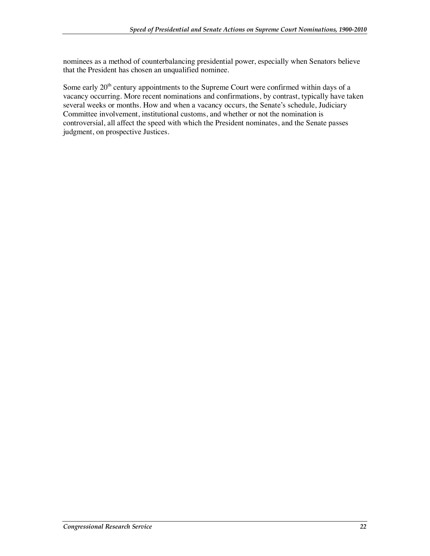nominees as a method of counterbalancing presidential power, especially when Senators believe that the President has chosen an unqualified nominee.

Some early  $20<sup>th</sup>$  century appointments to the Supreme Court were confirmed within days of a vacancy occurring. More recent nominations and confirmations, by contrast, typically have taken several weeks or months. How and when a vacancy occurs, the Senate's schedule, Judiciary Committee involvement, institutional customs, and whether or not the nomination is controversial, all affect the speed with which the President nominates, and the Senate passes judgment, on prospective Justices.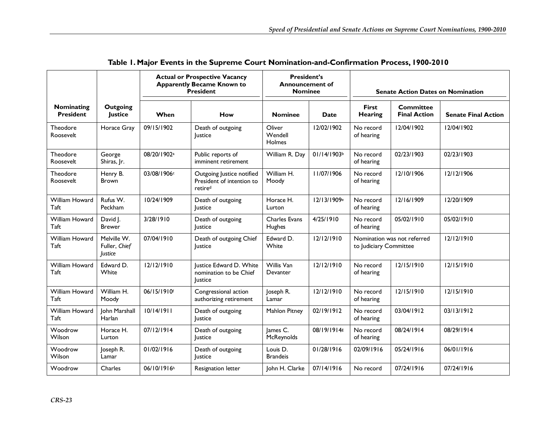|                                       |                                         |             | <b>Actual or Prospective Vacancy</b><br><b>Apparently Became Known to</b><br><b>President</b> | <b>President's</b><br><b>Announcement of</b><br><b>Nominee</b> |                         | <b>Senate Action Dates on Nomination</b>              |                                         |                            |  |
|---------------------------------------|-----------------------------------------|-------------|-----------------------------------------------------------------------------------------------|----------------------------------------------------------------|-------------------------|-------------------------------------------------------|-----------------------------------------|----------------------------|--|
| <b>Nominating</b><br><b>President</b> | Outgoing<br>Justice                     | When<br>How |                                                                                               | <b>Nominee</b>                                                 | <b>Date</b>             | <b>First</b><br>Hearing                               | <b>Committee</b><br><b>Final Action</b> | <b>Senate Final Action</b> |  |
| Theodore<br>Roosevelt                 | Horace Gray                             | 09/15/1902  | Death of outgoing<br><b>Justice</b>                                                           |                                                                | 12/02/1902              | 12/04/1902<br>No record<br>of hearing                 |                                         | 12/04/1902                 |  |
| Theodore<br>Roosevelt                 | George<br>Shiras, Jr.                   | 08/20/1902a | Public reports of<br>imminent retirement                                                      |                                                                | 01/14/1903b             | 02/23/1903<br>No record<br>of hearing                 |                                         | 02/23/1903                 |  |
| Theodore<br>Roosevelt                 | Henry B.<br><b>Brown</b>                | 03/08/1906  | Outgoing Justice notified<br>President of intention to<br>retired                             | William H.<br>Moody                                            | 11/07/1906              | No record<br>of hearing                               | 12/10/1906                              | 12/12/1906                 |  |
| <b>William Howard</b><br>Taft         | Rufus W.<br>Peckham                     | 10/24/1909  | Death of outgoing<br><b>Justice</b>                                                           |                                                                | 12/13/1909 <sup>e</sup> | 12/16/1909<br>No record<br>of hearing                 |                                         | 12/20/1909                 |  |
| William Howard<br>Taft                | David J.<br><b>Brewer</b>               | 3/28/1910   | Death of outgoing<br>Justice                                                                  | Charles Evans<br>Hughes                                        | 4/25/1910               | No record<br>of hearing                               | 05/02/1910                              | 05/02/1910                 |  |
| William Howard<br>Taft                | Melville W.<br>Fuller, Chief<br>lustice | 07/04/1910  | Death of outgoing Chief<br>lustice                                                            | Edward D.<br>White                                             | 12/12/1910              | Nomination was not referred<br>to Judiciary Committee |                                         | 12/12/1910                 |  |
| William Howard<br>Taft                | Edward D.<br>White                      | 12/12/1910  | Justice Edward D. White<br>nomination to be Chief<br>Justice                                  | Willis Van<br>Devanter                                         | 12/12/1910              | No record<br>of hearing                               | 12/15/1910                              | 12/15/1910                 |  |
| William Howard<br>Taft                | William H.<br>Moody                     | 06/15/1910f | Congressional action<br>authorizing retirement                                                | Joseph R.<br>Lamar                                             | 12/12/1910              | No record<br>of hearing                               | 12/15/1910                              | 12/15/1910                 |  |
| <b>William Howard</b><br>Taft         | John Marshall<br>Harlan                 | 10/14/1911  | Death of outgoing<br><b>Justice</b>                                                           | Mahlon Pitney                                                  | 02/19/1912              | No record<br>of hearing                               | 03/04/1912                              | 03/13/1912                 |  |
| Woodrow<br>Wilson                     | Horace H.<br>Lurton                     | 07/12/1914  | Death of outgoing<br>Justice                                                                  | James C.<br>McReynolds                                         | 08/19/1914g             | No record<br>of hearing                               | 08/24/1914                              | 08/29/1914                 |  |
| Woodrow<br>Wilson                     | Joseph R.<br>Lamar                      | 01/02/1916  | Death of outgoing<br>lustice                                                                  | Louis D.<br><b>Brandeis</b>                                    | 01/28/1916              | 02/09/1916                                            | 05/24/1916                              | 06/01/1916                 |  |
| Woodrow                               | Charles                                 | 06/10/1916h | Resignation letter                                                                            | John H. Clarke                                                 | 07/14/1916              | No record                                             | 07/24/1916                              | 07/24/1916                 |  |

#### **Table 1. Major Events in the Supreme Court Nomination-and-Confirmation Process, 1900-2010**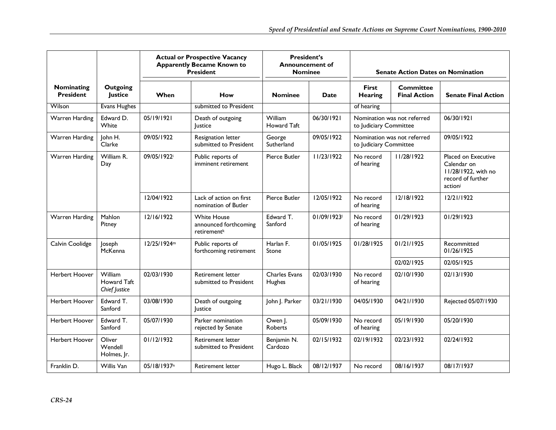|                                       |                                         |                         | <b>Actual or Prospective Vacancy</b><br><b>President's</b><br><b>Apparently Became Known to</b><br><b>Announcement of</b><br><b>President</b><br><b>Nominee</b> |                           |             | <b>Senate Action Dates on Nomination</b> |                                         |                                                                                           |  |
|---------------------------------------|-----------------------------------------|-------------------------|-----------------------------------------------------------------------------------------------------------------------------------------------------------------|---------------------------|-------------|------------------------------------------|-----------------------------------------|-------------------------------------------------------------------------------------------|--|
| <b>Nominating</b><br><b>President</b> | Outgoing<br>Justice                     | When                    | How                                                                                                                                                             | <b>Nominee</b>            | <b>Date</b> | <b>First</b><br><b>Hearing</b>           | <b>Committee</b><br><b>Final Action</b> | <b>Senate Final Action</b>                                                                |  |
| Wilson                                | <b>Evans Hughes</b>                     |                         | submitted to President                                                                                                                                          |                           |             | of hearing                               |                                         |                                                                                           |  |
| <b>Warren Harding</b>                 | Edward D.<br>White                      | 05/19/1921              | Death of outgoing<br>Justice                                                                                                                                    | William<br>Howard Taft    | 06/30/1921  | to Judiciary Committee                   | Nomination was not referred             | 06/30/1921                                                                                |  |
| Warren Harding                        | John H.<br>Clarke                       | 09/05/1922              | Resignation letter<br>submitted to President                                                                                                                    | George<br>Sutherland      | 09/05/1922  | to Judiciary Committee                   | Nomination was not referred             | 09/05/1922                                                                                |  |
| <b>Warren Harding</b>                 | William R.<br>Day                       | 09/05/1922i             | Public reports of<br>imminent retirement                                                                                                                        | Pierce Butler             | 11/23/1922  | No record<br>of hearing                  | 11/28/1922                              | Placed on Executive<br>Calendar on<br>11/28/1922, with no<br>record of further<br>actioni |  |
|                                       |                                         | 12/04/1922              | Lack of action on first<br>nomination of Butler                                                                                                                 | Pierce Butler             | 12/05/1922  | No record<br>of hearing                  | 12/18/1922                              | 12/21/1922                                                                                |  |
| <b>Warren Harding</b>                 | Mahlon<br>Pitney                        | 12/16/1922              | <b>White House</b><br>announced forthcoming<br>retirement <sup>k</sup>                                                                                          | Edward T.<br>Sanford      | 01/09/1923  | No record<br>of hearing                  | 01/29/1923                              | 01/29/1923                                                                                |  |
| Calvin Coolidge                       | loseph<br>McKenna                       | 12/25/1924m             | Public reports of<br>forthcoming retirement                                                                                                                     | Harlan F.<br>Stone        | 01/05/1925  | 01/28/1925                               | 01/21/1925                              | Recommitted<br>01/26/1925                                                                 |  |
|                                       |                                         |                         |                                                                                                                                                                 |                           |             |                                          | 02/02/1925                              | 02/05/1925                                                                                |  |
| Herbert Hoover                        | William<br>Howard Taft<br>Chief Justice | 02/03/1930              | <b>Retirement letter</b><br>submitted to President                                                                                                              | Charles Evans<br>Hughes   | 02/03/1930  | No record<br>of hearing                  | 02/10/1930                              | 02/13/1930                                                                                |  |
| Herbert Hoover                        | Edward T.<br>Sanford                    | 03/08/1930              | Death of outgoing<br>lustice                                                                                                                                    | John J. Parker            | 03/21/1930  | 04/05/1930                               | 04/21/1930                              | Rejected 05/07/1930                                                                       |  |
| <b>Herbert Hoover</b>                 | Edward T.<br>Sanford                    | 05/07/1930              | Parker nomination<br>rejected by Senate                                                                                                                         | Owen J.<br><b>Roberts</b> | 05/09/1930  | No record<br>of hearing                  | 05/19/1930                              | 05/20/1930                                                                                |  |
| Herbert Hoover                        | Oliver<br>Wendell<br>Holmes, Ir.        | 01/12/1932              | <b>Retirement letter</b><br>submitted to President                                                                                                              |                           | 02/15/1932  | 02/19/1932                               | 02/23/1932                              | 02/24/1932                                                                                |  |
| Franklin D.                           | Willis Van                              | 05/18/1937 <sup>n</sup> | <b>Retirement letter</b>                                                                                                                                        | Hugo L. Black             | 08/12/1937  | No record                                | 08/16/1937                              | 08/17/1937                                                                                |  |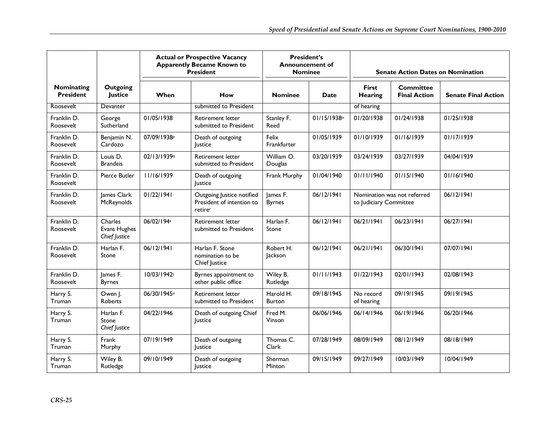|                                       |                                          | <b>Actual or Prospective Vacancy</b><br><b>President's</b><br><b>Apparently Became Known to</b><br><b>Announcement of</b><br><b>President</b><br><b>Nominee</b><br><b>Senate Action Dates on Nomination</b> |                                                                   |                            |                |                                                       |                                         |                            |
|---------------------------------------|------------------------------------------|-------------------------------------------------------------------------------------------------------------------------------------------------------------------------------------------------------------|-------------------------------------------------------------------|----------------------------|----------------|-------------------------------------------------------|-----------------------------------------|----------------------------|
| <b>Nominating</b><br><b>President</b> | <b>Outgoing</b><br>Justice               | When                                                                                                                                                                                                        | How                                                               | <b>Nominee</b>             | <b>Date</b>    | <b>First</b><br><b>Hearing</b>                        | <b>Committee</b><br><b>Final Action</b> | <b>Senate Final Action</b> |
| Roosevelt                             | Devanter                                 |                                                                                                                                                                                                             | submitted to President                                            |                            |                | of hearing                                            |                                         |                            |
| Franklin D.<br>Roosevelt              | George<br>Sutherland                     | 01/05/1938                                                                                                                                                                                                  | <b>Retirement letter</b><br>submitted to President                | Stanley F.<br>Reed         | $01/15/1938$ o | 01/20/1938                                            | 01/24/1938                              | 01/25/1938                 |
| Franklin D.<br>Roosevelt              | Benjamin N.<br>Cardozo                   | 07/09/1938P                                                                                                                                                                                                 | Death of outgoing<br><b>Justice</b>                               | Felix<br>Frankfurter       | 01/05/1939     | 01/10/1939                                            | 01/16/1939                              | 01/17/1939                 |
| Franklin D.<br>Roosevelt              | Louis D.<br><b>Brandeis</b>              | 02/13/19399                                                                                                                                                                                                 | <b>Retirement letter</b><br>submitted to President                | William O.<br>Douglas      | 03/20/1939     | 03/24/1939                                            | 03/27/1939                              | 04/04/1939                 |
| Franklin D.<br>Roosevelt              | Pierce Butler                            | 11/16/1939                                                                                                                                                                                                  | Death of outgoing<br>Justice                                      | Frank Murphy               | 01/04/1940     | 01/11/1940                                            | 01/15/1940                              | 01/16/1940                 |
| Franklin D.<br>Roosevelt              | James Clark<br>McReynolds                | 01/22/1941                                                                                                                                                                                                  | Outgoing Justice notified<br>President of intention to<br>retirer | James F.<br><b>Byrnes</b>  | 06/12/1941     | Nomination was not referred<br>to Judiciary Committee |                                         | 06/12/1941                 |
| Franklin D.<br>Roosevelt              | Charles<br>Evans Hughes<br>Chief Justice | 06/02/194s                                                                                                                                                                                                  | <b>Retirement letter</b><br>submitted to President                | Harlan F.<br>Stone         | 06/12/1941     | 06/21/1941                                            | 06/23/1941                              | 06/27/1941                 |
| Franklin D.<br>Roosevelt              | Harlan F.<br>Stone                       | 06/12/1941                                                                                                                                                                                                  | Harlan F. Stone<br>nomination to be<br>Chief Justice              | Robert H.<br>Jackson       | 06/12/1941     | 06/21/1941                                            | 06/30/1941                              | 07/07/1941                 |
| Franklin D.<br>Roosevelt              | James F.<br><b>Byrnes</b>                | 10/03/1942t                                                                                                                                                                                                 | Byrnes appointment to<br>other public office                      | Wiley B.<br>Rutledge       | 01/11/1943     | 01/22/1943                                            | 02/01/1943                              | 02/08/1943                 |
| Harry S.<br>Truman                    | Owen J.<br>Roberts                       | 06/30/1945u                                                                                                                                                                                                 | <b>Retirement letter</b><br>submitted to President                | Harold H.<br><b>Burton</b> | 09/18/1945     | No record<br>of hearing                               | 09/19/1945                              | 09/19/1945                 |
| Harry S.<br>Truman                    | Harlan F.<br>Stone<br>Chief Justice      | 04/22/1946                                                                                                                                                                                                  | Death of outgoing Chief<br>lustice                                | Fred M.<br>Vinson          | 06/06/1946     | 06/14/1946                                            | 06/19/1946                              | 06/20/1946                 |
| Harry S.<br>Truman                    | Frank<br>Murphy                          | 07/19/1949<br>Death of outgoing<br><b>lustice</b>                                                                                                                                                           |                                                                   | Thomas C.<br>Clark         | 07/28/1949     | 08/09/1949                                            | 08/12/1949                              | 08/18/1949                 |
| Harry S.<br>Truman                    | Wiley B.<br>Rutledge                     | 09/10/1949                                                                                                                                                                                                  | Death of outgoing<br>Justice                                      | Sherman<br>Minton          | 09/15/1949     | 09/27/1949                                            | 10/03/1949                              | 10/04/1949                 |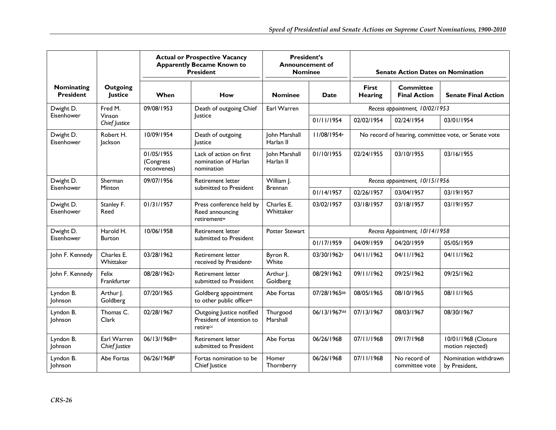|                                        |                              |                                                               | <b>Actual or Prospective Vacancy</b><br><b>President's</b><br><b>Apparently Became Known to</b><br><b>Announcement of</b><br><b>President</b><br><b>Nominee</b> |                            | <b>Senate Action Dates on Nomination</b> |                         |                                         |                                                      |  |  |
|----------------------------------------|------------------------------|---------------------------------------------------------------|-----------------------------------------------------------------------------------------------------------------------------------------------------------------|----------------------------|------------------------------------------|-------------------------|-----------------------------------------|------------------------------------------------------|--|--|
| <b>Nominating</b><br><b>President</b>  | <b>Outgoing</b><br>Justice   | When                                                          | How                                                                                                                                                             |                            | Date                                     | <b>First</b><br>Hearing | <b>Committee</b><br><b>Final Action</b> | <b>Senate Final Action</b>                           |  |  |
| Dwight D.                              | Fred M.                      | 09/08/1953                                                    | Death of outgoing Chief                                                                                                                                         | Earl Warren                |                                          |                         | Recess appointment, 10/02/1953          |                                                      |  |  |
| Eisenhower                             | Vinson<br>Chief Justice      |                                                               | <b>lustice</b>                                                                                                                                                  |                            | 01/11/1954                               | 02/02/1954              | 02/24/1954                              | 03/01/1954                                           |  |  |
| Dwight D.<br>Eisenhower                | Robert H.<br>lackson         | 10/09/1954                                                    | Death of outgoing<br>lustice                                                                                                                                    | John Marshall<br>Harlan II | II/08/1954v                              |                         |                                         | No record of hearing, committee vote, or Senate vote |  |  |
| 01/05/1955<br>(Congress<br>reconvenes) |                              | Lack of action on first<br>nomination of Harlan<br>nomination | John Marshall<br>Harlan II                                                                                                                                      | 01/10/1955                 | 02/24/1955                               | 03/10/1955              | 03/16/1955                              |                                                      |  |  |
| Dwight D.<br>Sherman                   |                              | 09/07/1956                                                    | <b>Retirement letter</b>                                                                                                                                        | William J.                 | Recess appointment, 10/15/1956           |                         |                                         |                                                      |  |  |
| Eisenhower                             | Minton                       |                                                               | submitted to President                                                                                                                                          | <b>Brennan</b>             | 01/14/1957                               | 02/26/1957              | 03/04/1957                              | 03/19/1957                                           |  |  |
| Dwight D.<br>Eisenhower                | Stanley F.<br>Reed           | 01/31/1957                                                    | Press conference held by<br>Reed announcing<br>retirementw                                                                                                      | Charles E.<br>Whittaker    | 03/02/1957                               | 03/18/1957              | 03/18/1957                              | 03/19/1957                                           |  |  |
| Dwight D.                              | Harold H.                    |                                                               | 10/06/1958                                                                                                                                                      | <b>Retirement letter</b>   | <b>Potter Stewart</b>                    |                         | Recess Appointment, 10/14/1958          |                                                      |  |  |
| Eisenhower                             | <b>Burton</b>                |                                                               | submitted to President                                                                                                                                          |                            | 01/17/1959                               | 04/09/1959              | 04/20/1959                              | 05/05/1959                                           |  |  |
| John F. Kennedy                        | Charles E.<br>Whittaker      | 03/28/1962                                                    | <b>Retirement letter</b><br>received by Presidentx                                                                                                              | Byron R.<br>White          | 03/30/1962y                              | 04/11/1962              | 04/11/1962                              | 04/11/1962                                           |  |  |
| John F. Kennedy                        | Felix<br>Frankfurter         | 08/28/1962z                                                   | <b>Retirement letter</b><br>submitted to President                                                                                                              | Arthur J.<br>Goldberg      | 08/29/1962                               | 09/11/1962              | 09/25/1962                              | 09/25/1962                                           |  |  |
| Lyndon B.<br>Johnson                   | Arthur J.<br>Goldberg        | 07/20/1965                                                    | Goldberg appointment<br>to other public officeaa                                                                                                                | Abe Fortas                 | 07/28/1965bb                             | 08/05/1965              | 08/10/1965                              | 08/11/1965                                           |  |  |
| Lyndon B.<br><b>Johnson</b>            | Thomas C.<br>Clark           | 02/28/1967                                                    | Outgoing Justice notified<br>President of intention to<br>retirecc                                                                                              | Thurgood<br>Marshall       | 06/13/1967dd                             | 07/13/1967              | 08/03/1967                              | 08/30/1967                                           |  |  |
| Lyndon B.<br>Johnson                   | Earl Warren<br>Chief Justice | 06/13/1968ee                                                  | <b>Retirement letter</b><br>submitted to President                                                                                                              | Abe Fortas                 | 06/26/1968                               | 07/11/1968              | 09/17/1968                              | 10/01/1968 (Cloture<br>motion rejected)              |  |  |
| Lyndon B.<br>Johnson                   | Abe Fortas                   | 06/26/1968ff                                                  | Fortas nomination to be<br>Chief Justice                                                                                                                        | Homer<br>Thornberry        | 06/26/1968                               | 07/11/1968              | No record of<br>committee vote          | Nomination withdrawn<br>by President,                |  |  |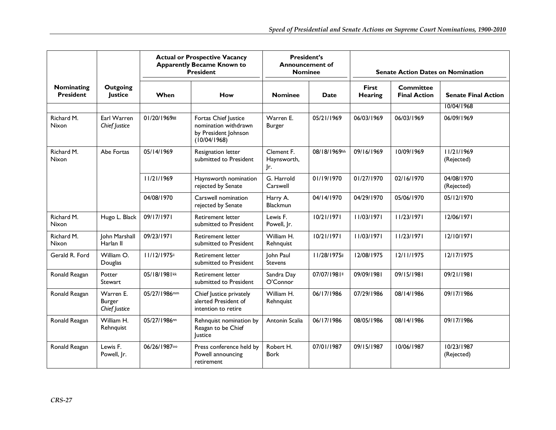|                                                              |                                             |              | <b>Actual or Prospective Vacancy</b><br><b>Apparently Became Known to</b><br><b>President</b> | <b>President's</b><br><b>Announcement of</b><br><b>Nominee</b> |              | <b>Senate Action Dates on Nomination</b> |                                         |                            |  |
|--------------------------------------------------------------|---------------------------------------------|--------------|-----------------------------------------------------------------------------------------------|----------------------------------------------------------------|--------------|------------------------------------------|-----------------------------------------|----------------------------|--|
| Nominating<br>Outgoing<br><b>President</b><br><b>Justice</b> |                                             | When         | How                                                                                           | <b>Nominee</b>                                                 | Date         | <b>First</b><br><b>Hearing</b>           | <b>Committee</b><br><b>Final Action</b> | <b>Senate Final Action</b> |  |
|                                                              |                                             |              |                                                                                               |                                                                |              |                                          |                                         | 10/04/1968                 |  |
| Richard M.<br>Nixon                                          | Earl Warren<br>Chief Justice                | 01/20/1969露  | Fortas Chief Justice<br>nomination withdrawn<br>by President Johnson<br>(10/04/1968)          | Warren E.<br><b>Burger</b>                                     | 05/21/1969   | 06/03/1969                               | 06/03/1969                              | 06/09/1969                 |  |
| Richard M.<br>Abe Fortas<br>Nixon                            |                                             | 05/14/1969   | Resignation letter<br>submitted to President                                                  | Clement F.<br>Haynsworth,<br>Jr.                               | 08/18/1969hh | 09/16/1969                               | 10/09/1969                              | 11/21/1969<br>(Rejected)   |  |
|                                                              |                                             | 11/21/1969   | Haynsworth nomination<br>rejected by Senate                                                   | G. Harrold<br>Carswell                                         | 01/19/1970   | 01/27/1970                               | 02/16/1970                              | 04/08/1970<br>(Rejected)   |  |
|                                                              |                                             | 04/08/1970   | Carswell nomination<br>rejected by Senate                                                     | Harry A.<br><b>Blackmun</b>                                    | 04/14/1970   | 04/29/1970                               | 05/06/1970                              | 05/12/1970                 |  |
| Richard M.<br><b>Nixon</b>                                   | Hugo L. Black                               | 09/17/1971   | <b>Retirement letter</b><br>submitted to President                                            | Lewis F.<br>Powell, Jr.                                        | 10/21/1971   | 11/03/1971                               | 11/23/1971                              | 12/06/1971                 |  |
| Richard M.<br>Nixon                                          | John Marshall<br>Harlan II                  | 09/23/1971   | <b>Retirement letter</b><br>submitted to President                                            | William H.<br>Rehnquist                                        | 10/21/1971   | 11/03/1971                               | 11/23/1971                              | 12/10/1971                 |  |
| Gerald R. Ford                                               | William O.<br>Douglas                       | 11/12/1975ii | <b>Retirement letter</b><br>submitted to President                                            | John Paul<br><b>Stevens</b>                                    | II/28/1975ii | 12/08/1975                               | 12/11/1975                              | 12/17/1975                 |  |
| Ronald Reagan                                                | Potter<br>Stewart                           | 05/18/1981kk | <b>Retirement letter</b><br>submitted to President                                            | Sandra Day<br>O'Connor                                         | 07/07/1981   | 09/09/1981                               | 09/15/1981                              | 09/21/1981                 |  |
| Ronald Reagan                                                | Warren E.<br><b>Burger</b><br>Chief Justice | 05/27/1986mm | Chief Justice privately<br>alerted President of<br>intention to retire                        | William H.<br>Rehnquist                                        | 06/17/1986   | 07/29/1986                               | 08/14/1986                              | 09/17/1986                 |  |
| Ronald Reagan                                                | William H.<br>Rehnquist                     | 05/27/1986nn | Rehnquist nomination by<br>Reagan to be Chief<br><b>Justice</b>                               | Antonin Scalia                                                 | 06/17/1986   | 08/05/1986                               | 08/14/1986                              | 09/17/1986                 |  |
| Ronald Reagan                                                | Lewis F.<br>Powell, Jr.                     | 06/26/198700 | Press conference held by<br>Powell announcing<br>retirement                                   | Robert H.<br><b>Bork</b>                                       | 07/01/1987   | 09/15/1987                               | 10/06/1987                              | 10/23/1987<br>(Rejected)   |  |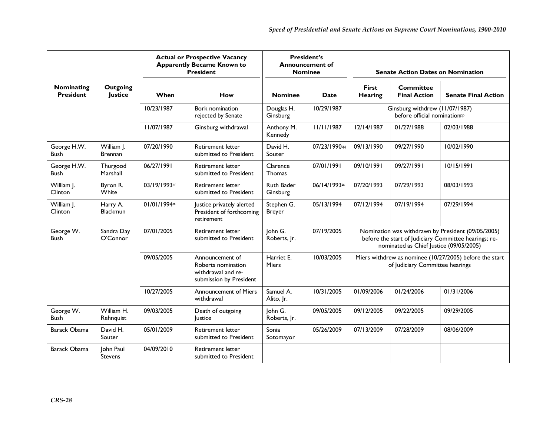|                                |                              |                                                                    | <b>Actual or Prospective Vacancy</b><br><b>Apparently Became Known to</b><br><b>President</b> | <b>President's</b><br><b>Announcement of</b><br><b>Nominee</b> |              | <b>Senate Action Dates on Nomination</b> |                                                                                            |                                                                                                             |  |
|--------------------------------|------------------------------|--------------------------------------------------------------------|-----------------------------------------------------------------------------------------------|----------------------------------------------------------------|--------------|------------------------------------------|--------------------------------------------------------------------------------------------|-------------------------------------------------------------------------------------------------------------|--|
| Nominating<br><b>President</b> | Outgoing<br>Justice          | When                                                               | How                                                                                           | <b>Nominee</b>                                                 | Date         | <b>First</b><br><b>Hearing</b>           | <b>Committee</b><br><b>Final Action</b>                                                    | <b>Senate Final Action</b>                                                                                  |  |
|                                |                              | 10/23/1987                                                         | Bork nomination<br>rejected by Senate                                                         | Douglas H.<br>Ginsburg                                         | 10/29/1987   |                                          | Ginsburg withdrew (11/07/1987)<br>before official nominationPP                             |                                                                                                             |  |
|                                |                              | 11/07/1987                                                         | Ginsburg withdrawal                                                                           | Anthony M.<br>Kennedy                                          | 11/11/1987   | 12/14/1987                               | 01/27/1988                                                                                 | 02/03/1988                                                                                                  |  |
| George H.W.<br><b>Bush</b>     | William J.<br><b>Brennan</b> | 07/20/1990                                                         | <b>Retirement letter</b><br>submitted to President                                            | David H.<br>Souter                                             | 07/23/1990qq | 09/13/1990                               | 09/27/1990                                                                                 | 10/02/1990                                                                                                  |  |
| George H.W.<br><b>Bush</b>     | Thurgood<br>Marshall         | 06/27/1991                                                         | <b>Retirement letter</b><br>submitted to President                                            | Clarence<br><b>Thomas</b>                                      | 07/01/1991   | 09/10/1991                               | 09/27/1991                                                                                 | 10/15/1991                                                                                                  |  |
| William J.<br>Clinton          | Byron R.<br>White            | 03/19/1993rr<br><b>Retirement letter</b><br>submitted to President |                                                                                               | Ruth Bader<br>Ginsburg                                         | 06/14/1993ss | 07/20/1993                               | 07/29/1993                                                                                 | 08/03/1993                                                                                                  |  |
| William J.<br>Clinton          | Harry A.<br>Blackmun         | 01/01/1994tt                                                       | Justice privately alerted<br>President of forthcoming<br>retirement                           | Stephen G.<br><b>Breyer</b>                                    | 05/13/1994   | 07/12/1994                               | 07/19/1994                                                                                 | 07/29/1994                                                                                                  |  |
| George W.<br><b>Bush</b>       | Sandra Day<br>O'Connor       | 07/01/2005                                                         | <b>Retirement letter</b><br>submitted to President                                            | John G.<br>Roberts, Jr.                                        | 07/19/2005   |                                          | nominated as Chief Justice (09/05/2005)                                                    | Nomination was withdrawn by President (09/05/2005)<br>before the start of Judiciary Committee hearings; re- |  |
|                                |                              | 09/05/2005                                                         | Announcement of<br>Roberts nomination<br>withdrawal and re-<br>submission by President        | Harriet E.<br><b>Miers</b>                                     | 10/03/2005   |                                          | Miers withdrew as nominee (10/27/2005) before the start<br>of Judiciary Committee hearings |                                                                                                             |  |
|                                |                              | 10/27/2005                                                         | <b>Announcement of Miers</b><br>withdrawal                                                    | Samuel A.<br>Alito, Jr.                                        | 10/31/2005   | 01/09/2006                               | 01/24/2006                                                                                 | 01/31/2006                                                                                                  |  |
| George W.<br><b>Bush</b>       | William H.<br>Rehnquist      | 09/03/2005                                                         | Death of outgoing<br><b>Justice</b>                                                           | John G.<br>Roberts, Jr.                                        | 09/05/2005   | 09/12/2005                               | 09/22/2005                                                                                 | 09/29/2005                                                                                                  |  |
| Barack Obama                   | David H.<br>Souter           | 05/01/2009                                                         | <b>Retirement letter</b><br>submitted to President                                            | Sonia<br>Sotomayor                                             | 05/26/2009   | 07/13/2009                               | 07/28/2009                                                                                 | 08/06/2009                                                                                                  |  |
| Barack Obama                   | John Paul<br><b>Stevens</b>  | 04/09/2010                                                         | <b>Retirement letter</b><br>submitted to President                                            |                                                                |              |                                          |                                                                                            |                                                                                                             |  |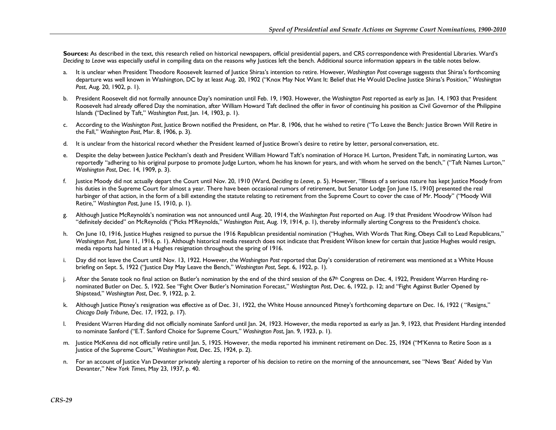**Sources:** As described in the text, this research relied on historical newspapers, official presidential papers, and CRS correspondence with Presidential Libraries. Ward's *Deciding to Leave* was especially useful in compiling data on the reasons why Justices left the bench. Additional source information appears in the table notes below.

- a. It is unclear when President Theodore Roosevelt learned of Justice Shiras's intention to retire. However, *Washington Post* coverage suggests that Shiras's forthcoming departure was well known in Washington, DC by at least Aug. 20, 1902 ("Knox May Not Want It: Belief that He Would Decline Justice Shiras's Position," *Washington Post*, Aug. 20, 1902, p. 1).
- b. President Roosevelt did not formally announce Day's nomination until Feb. 19, 1903. However, the *Washington Post* reported as early as Jan. 14, 1903 that President Roosevelt had already offered Day the nomination, after William Howard Taft declined the offer in favor of continuing his position as Civil Governor of the Philippine Islands ("Declined by Taft," *Washington Post*, Jan. 14, 1903, p. 1).
- c. According to the *Washington Post*, Justice Brown notified the President, on Mar. 8, 1906, that he wished to retire ("To Leave the Bench: Justice Brown Will Retire in the Fall," *Washington Post*, Mar. 8, 1906, p. 3).
- d. It is unclear from the historical record whether the President learned of Justice Brown's desire to retire by letter, personal conversation, etc.
- e. Despite the delay between Justice Peckham's death and President William Howard Taft's nomination of Horace H. Lurton, President Taft, in nominating Lurton, was reportedly "adhering to his original purpose to promote Judge Lurton, whom he has known for years, and with whom he served on the bench," ("Taft Names Lurton," *Washington Post*, Dec. 14, 1909, p. 3).
- f. Justice Moody did not actually depart the Court until Nov. 20, 1910 (Ward, *Deciding to Leave*, p. 5). However, "lllness of a serious nature has kept Justice Moody from his duties in the Supreme Court for almost a year. There have been occasional rumors of retirement, but Senator Lodge [on June 15, 1910] presented the real harbinger of that action, in the form of a bill extending the statute relating to retirement from the Supreme Court to cover the case of Mr. Moody" ("Moody Will Retire," Washington Post, June 15, 1910, p. 1).
- g. Although Justice McReynolds's nomination was not announced until Aug. 20, 1914, the *Washington Post* reported on Aug. 19 that President Woodrow Wilson had "definitely decided" on McReynolds ("Picks M'Reynolds," *Washington Post*, Aug. 19, 1914, p. 1), thereby informally alerting Congress to the President's choice.
- h. On June 10, 1916, Justice Hughes resigned to pursue the 1916 Republican presidential nomination ("Hughes, With Words That Ring, Obeys Call to Lead Republicans," *Washington Post*, June 11, 1916, p. 1). Although historical media research does not indicate that President Wilson knew for certain that Justice Hughes would resign, media reports had hinted at a Hughes resignation throughout the spring of 1916.
- i. Day did not leave the Court until Nov. 13, 1922. However, the *Washington Post* reported that Day's consideration of retirement was mentioned at a White House briefing on Sept. 5, 1922 ("Justice Day May Leave the Bench," *Washington Post*, Sept. 6, 1922, p. 1).
- j. After the Senate took no final action on Butler's nomination by the end of the third session of the 67<sup>th</sup> Congress on Dec. 4, 1922, President Warren Harding renominated Butler on Dec. 5, 1922. See "Fight Over Butler's Nomination Forecast," *Washington Post*, Dec. 6, 1922, p. 12; and "Fight Against Butler Opened by Shipstead," *Washington Post*, Dec. 9, 1922, p. 2.
- k. Although Justice Pitney's resignation was effective as of Dec. 31, 1922, the White House announced Pitney's forthcoming departure on Dec. 16, 1922 ( "Resigns," *Chicago Daily Tribune*, Dec. 17, 1922, p. 17).
- l. President Warren Harding did not officially nominate Sanford until Jan. 24, 1923. However, the media reported as early as Jan. 9, 1923, that President Harding intended to nominate Sanford ("E.T. Sanford Choice for Supreme Court," *Washington Post*, Jan. 9, 1923, p. 1).
- m. Justice McKenna did not officially retire until Jan. 5, 1925. However, the media reported his imminent retirement on Dec. 25, 1924 ("M'Kenna to Retire Soon as a Justice of the Supreme Court," *Washington Post*, Dec. 25, 1924, p. 2).
- n. For an account of Justice Van Devanter privately alerting a reporter of his decision to retire on the morning of the announcement, see "News 'Beat' Aided by Van Devanter," *New York Times*, May 23, 1937, p. 40.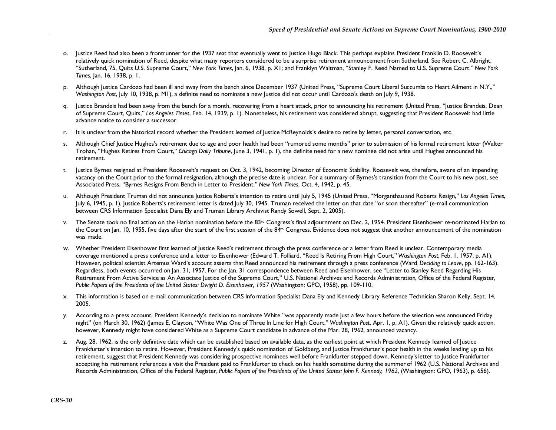- o. Justice Reed had also been a frontrunner for the 1937 seat that eventually went to Justice Hugo Black. This perhaps explains President Franklin D. Roosevelt's relatively quick nomination of Reed, despite what many reporters considered to be a surprise retirement announcement from Sutherland. See Robert C. Albright, "Sutherland, 75, Quits U.S. Supreme Court," *New York Times*, Jan. 6, 1938, p. X1; and Franklyn Waltman, "Stanley F. Reed Named to U.S. Supreme Court." *New York Times*, Jan. 16, 1938, p. 1.
- p. Although Justice Cardozo had been ill and away from the bench since December 1937 (United Press, "Supreme Court Liberal Succumbs to Heart Ailment in N.Y.," *Washington Post*, July 10, 1938, p. M1), a definite need to nominate a new Justice did not occur until Cardozo's death on July 9, 1938.
- q. Justice Brandeis had been away from the bench for a month, recovering from a heart attack, prior to announcing his retirement (United Press, "Justice Brandeis, Dean of Supreme Court, Quits," *Los Angeles Times*, Feb. 14, 1939, p. 1). Nonetheless, his retirement was considered abrupt, suggesting that President Roosevelt had little advance notice to consider a successor.
- r. It is unclear from the historical record whether the President learned of Justice McReynolds's desire to retire by letter, personal conversation, etc.
- s. Although Chief Justice Hughes's retirement due to age and poor health had been "rumored some months" prior to submission of his formal retirement letter (Walter Trohan, "Hughes Retires From Court," *Chicago Daily Tribune*, June 3, 1941, p. 1), the definite need for a new nominee did not arise until Hughes announced his retirement.
- t. Justice Byrnes resigned at President Roosevelt's request on Oct. 3, 1942, becoming Director of Economic Stability. Roosevelt was, therefore, aware of an impending vacancy on the Court prior to the formal resignation, although the precise date is unclear. For a summary of Byrnes's transition from the Court to his new post, see Associated Press, "Byrnes Resigns From Bench in Letter to President," *New York Times*, Oct. 4, 1942, p. 45.
- u. Although President Truman did not announce Justice Roberts's intention to retire until July 5, 1945 (United Press, "Morganthau and Roberts Resign," *Los Angeles Times*, July 6, 1945, p. 1), Justice Roberts's retirement letter is dated July 30, 1945. Truman received the letter on that date "or soon thereafter" (e-mail communication between CRS Information Specialist Dana Ely and Truman Library Archivist Randy Sowell, Sept. 2, 2005).
- v. The Senate took no final action on the Harlan nomination before the 83<sup>rd</sup> Congress's final adjournment on Dec. 2, 1954. President Eisenhower re-nominated Harlan to the Court on Jan. 10, 1955, five days after the start of the first session of the 84<sup>th</sup> Congress. Evidence does not suggest that another announcement of the nomination was made.
- w. Whether President Eisenhower first learned of Justice Reed's retirement through the press conference or a letter from Reed is unclear. Contemporary media coverage mentioned a press conference and a letter to Eisenhower (Edward T. Folliard, "Reed Is Retiring From High Court," *Washington Post*, Feb. 1, 1957, p. A1). However, political scientist Artemus Ward's account asserts that Reed announced his retirement through a press conference (Ward, *Deciding to Leave*, pp. 162-163). Regardless, both events occurred on Jan. 31, 1957. For the Jan. 31 correspondence between Reed and Eisenhower, see "Letter to Stanley Reed Regarding His Retirement From Active Service as An Associate Justice of the Supreme Court," U.S. National Archives and Records Administration, Office of the Federal Register, *Public Papers of the Presidents of the United States: Dwight D. Eisenhower, 1957* (Washington: GPO, 1958), pp. 109-110.
- x. This information is based on e-mail communication between CRS Information Specialist Dana Ely and Kennedy Library Reference Technician Sharon Kelly, Sept. 14, 2005.
- y. According to a press account, President Kennedy's decision to nominate White "was apparently made just a few hours before the selection was announced Friday night" (on March 30, 1962) (James E. Clayton, "White Was One of Three In Line for High Court," *Washington Post*, Apr. 1, p. A1). Given the relatively quick action, however, Kennedy might have considered White as a Supreme Court candidate in advance of the Mar. 28, 1962, announced vacancy.
- z. Aug. 28, 1962, is the only definitive date which can be established based on available data, as the earliest point at which President Kennedy learned of Justice Frankfurter's intention to retire. However, President Kennedy's quick nomination of Goldberg, and Justice Frankfurter's poor health in the weeks leading up to his retirement, suggest that President Kennedy was considering prospective nominees well before Frankfurter stepped down. Kennedy's letter to Justice Frankfurter accepting his retirement references a visit the President paid to Frankfurter to check on his health sometime during the summer of 1962 (U.S. National Archives and Records Administration, Office of the Federal Register, *Public Papers of the Presidents of the United States: John F. Kennedy, 1962*, (Washington: GPO, 1963), p. 656).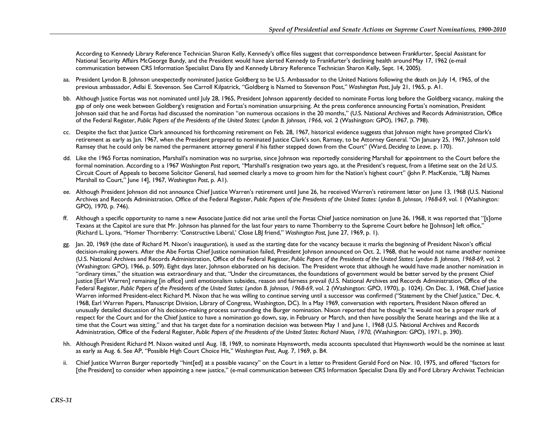According to Kennedy Library Reference Technician Sharon Kelly, Kennedy's office files suggest that correspondence between Frankfurter, Special Assistant for National Security Affairs McGeorge Bundy, and the President would have alerted Kennedy to Frankfurter's declining health around May 17, 1962 (e-mail communication between CRS Information Specialist Dana Ely and Kennedy Library Reference Technician Sharon Kelly, Sept. 14, 2005).

- aa. President Lyndon B. Johnson unexpectedly nominated Justice Goldberg to be U.S. Ambassador to the United Nations following the death on July 14, 1965, of the previous ambassador, Adlai E. Stevenson. See Carroll Kilpatrick, "Goldberg is Named to Stevenson Post," *Washington Post*, July 21, 1965, p. A1.
- bb. Although Justice Fortas was not nominated until July 28, 1965, President Johnson apparently decided to nominate Fortas long before the Goldberg vacancy, making the gap of only one week between Goldberg's resignation and Fortas's nomination unsurprising. At the press conference announcing Fortas's nomination, President Johnson said that he and Fortas had discussed the nomination "on numerous occasions in the 20 months," (U.S. National Archives and Records Administration, Office of the Federal Register, *Public Papers of the Presidents of the United States: Lyndon B. Johnson, 1966*, vol. 2 (Washington: GPO), 1967, p. 798).
- cc. Despite the fact that Justice Clark announced his forthcoming retirement on Feb. 28, 1967, historical evidence suggests that Johnson might have prompted Clark's retirement as early as Jan. 1967, when the President prepared to nominated Justice Clark's son, Ramsey, to be Attorney General. "On January 25, 1967, Johnson told Ramsey that he could only be named the permanent attorney general if his father stepped down from the Court" (Ward, *Deciding to Leave*, p. 170).
- dd. Like the 1965 Fortas nomination, Marshall's nomination was no surprise, since Johnson was reportedly considering Marshall for appointment to the Court before the formal nomination. According to a 1967 *Washington Post* report, "Marshall's resignation two years ago, at the President's request, from a lifetime seat on the 2d U.S. Circuit Court of Appeals to become Solicitor General, had seemed clearly a move to groom him for the Nation's highest court" (John P. MacKenzie, "LBJ Names Marshall to Court," June 14], 1967, *Washington Post*, p. A1).
- ee. Although President Johnson did not announce Chief Justice Warren's retirement until June 26, he received Warren's retirement letter on June 13, 1968 (U.S. National Archives and Records Administration, Office of the Federal Register, *Public Papers of the Presidents of the United States: Lyndon B. Johnson, 1968-69*, vol. 1 (Washington: GPO), 1970, p. 746).
- ff. Although a specific opportunity to name a new Associate Justice did not arise until the Fortas Chief Justice nomination on June 26, 1968, it was reported that "[s]ome Texans at the Capitol are sure that Mr. Johnson has planned for the last four years to name Thornberry to the Supreme Court before he [Johnson] left office," (Richard L. Lyons, "Homer Thornberry: 'Constructive Liberal,' Close LBJ friend," *Washington Post,* June 27, 1969, p. 1).
- gg. Jan. 20, 1969 (the date of Richard M. Nixon's inauguration), is used as the starting date for the vacancy because it marks the beginning of President Nixon's official decision-making powers. After the Abe Fortas Chief Justice nomination failed, President Johnson announced on Oct. 2, 1968, that he would not name another nominee (U.S. National Archives and Records Administration, Office of the Federal Register, *Public Papers of the Presidents of the United States: Lyndon B. Johnson, 1968-69*, vol. 2 (Washington: GPO), 1966, p. 509). Eight days later, Johnson elaborated on his decision. The President wrote that although he would have made another nomination in "ordinary times," the situation was extraordinary and that, "Under the circumstances, the foundations of government would be better served by the present Chief Justice [Earl Warren] remaining [in office] until emotionalism subsides, reason and fairness prevail (U.S. National Archives and Records Administration, Office of the Federal Register, *Public Papers of the Presidents of the United States: Lyndon B. Johnson, 1968-69*, vol. 2 (Washington: GPO, 1970), p. 1024). On Dec. 3, 1968, Chief Justice Warren informed President-elect Richard M. Nixon that he was willing to continue serving until a successor was confirmed ("Statement by the Chief Justice," Dec. 4, 1968, Earl Warren Papers, Manuscript Division, Library of Congress, Washington, DC). In a May 1969, conversation with reporters, President Nixon offered an unusually detailed discussion of his decision-making process surrounding the Burger nomination. Nixon reported that he thought "it would not be a proper mark of respect for the Court and for the Chief Justice to have a nomination go down, say, in February or March, and then have possibly the Senate hearings and the like at a time that the Court was sitting," and that his target date for a nomination decision was between May 1 and June 1, 1968 (U.S. National Archives and Records Administration, Office of the Federal Register, *Public Papers of the Presidents of the United States: Richard Nixon, 1970*, (Washington: GPO), 1971, p. 390).
- hh. Although President Richard M. Nixon waited until Aug. 18, 1969, to nominate Haynsworth, media accounts speculated that Haynsworth would be the nominee at least as early as Aug. 6. See AP, "Possible High Court Choice Hit," *Washington Post*, Aug. 7, 1969, p. B4.
- ii. Chief Justice Warren Burger reportedly "hint[ed] at a possible vacancy" on the Court in a letter to President Gerald Ford on Nov. 10, 1975, and offered "factors for [the President] to consider when appointing a new justice," (e-mail communication between CRS Information Specialist Dana Ely and Ford Library Archivist Technician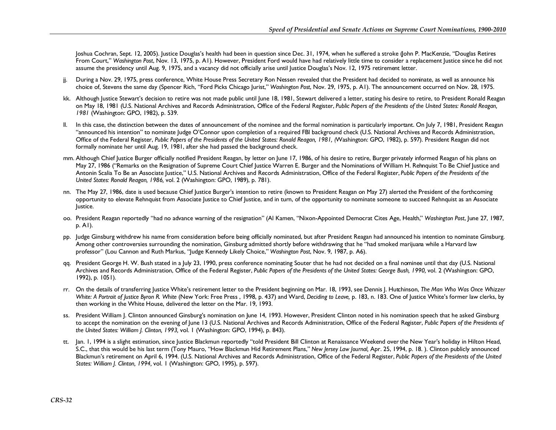Joshua Cochran, Sept. 12, 2005). Justice Douglas's health had been in question since Dec. 31, 1974, when he suffered a stroke (John P. MacKenzie, "Douglas Retires From Court," *Washington Post*, Nov. 13, 1975, p. A1). However, President Ford would have had relatively little time to consider a replacement Justice since he did not assume the presidency until Aug. 9, 1975, and a vacancy did not officially arise until Justice Douglas's Nov. 12, 1975 retirement letter.

- jj. During a Nov. 29, 1975, press conference, White House Press Secretary Ron Nessen revealed that the President had decided to nominate, as well as announce his choice of, Stevens the same day (Spencer Rich, "Ford Picks Chicago Jurist," *Washington Post*, Nov. 29, 1975, p. A1). The announcement occurred on Nov. 28, 1975.
- kk. Although Justice Stewart's decision to retire was not made public until June 18, 1981, Stewart delivered a letter, stating his desire to retire, to President Ronald Reagan on May 18, 1981 (U.S. National Archives and Records Administration, Office of the Federal Register, *Public Papers of the Presidents of the United States: Ronald Reagan, 1981* (Washington: GPO, 1982), p. 539.
- II. In this case, the distinction between the dates of announcement of the nominee and the formal nomination is particularly important. On July 7, 1981, President Reagan "announced his intention" to nominate Judge O'Connor upon completion of a required FBI background check (U.S. National Archives and Records Administration, Office of the Federal Register, *Public Papers of the Presidents of the United States: Ronald Reagan, 1981, (*Washington: GPO, 1982), p. 597). President Reagan did not formally nominate her until Aug. 19, 1981, after she had passed the background check.
- mm. Although Chief Justice Burger officially notified President Reagan, by letter on June 17, 1986, of his desire to retire, Burger privately informed Reagan of his plans on May 27, 1986 ("Remarks on the Resignation of Supreme Court Chief Justice Warren E. Burger and the Nominations of William H. Rehnquist To Be Chief Justice and Antonin Scalia To Be an Associate Justice," U.S. National Archives and Records Administration, Office of the Federal Register, *Public Papers of the Presidents of the United States: Ronald Reagan, 1986,* vol. 2 (Washington: GPO, 1989), p. 781).
- nn. The May 27, 1986, date is used because Chief Justice Burger's intention to retire (known to President Reagan on May 27) alerted the President of the forthcoming opportunity to elevate Rehnquist from Associate Justice to Chief Justice, and in turn, of the opportunity to nominate someone to succeed Rehnquist as an Associate Justice.
- oo. President Reagan reportedly "had no advance warning of the resignation" (Al Kamen, "Nixon-Appointed Democrat Cites Age, Health," *Washington Post*, June 27, 1987, p. A1).
- pp. Judge Ginsburg withdrew his name from consideration before being officially nominated, but after President Reagan had announced his intention to nominate Ginsburg. Among other controversies surrounding the nomination, Ginsburg admitted shortly before withdrawing that he "had smoked marijuana while a Harvard law professor" (Lou Cannon and Ruth Markus, "Judge Kennedy Likely Choice," *Washington Post*, Nov. 9, 1987, p. A6).
- qq. President George H. W. Bush stated in a July 23, 1990, press conference nominating Souter that he had not decided on a final nominee until that day (U.S. National Archives and Records Administration, Office of the Federal Register, *Public Papers of the Presidents of the United States: George Bush, 1990,* vol. 2 (Washington: GPO, 1992), p. 1051).
- rr. On the details of transferring Justice White's retirement letter to the President beginning on Mar. 18, 1993, see Dennis J. Hutchinson, *The Man Who Was Once Whizzer White: A Portrait of Justice Byron R. White* (New York: Free Press , 1998, p. 437) and Ward, *Deciding to Leave,* p. 183, n. 183. One of Justice White's former law clerks, by then working in the White House, delivered the letter on the Mar. 19, 1993.
- ss. President William J. Clinton announced Ginsburg's nomination on June 14, 1993. However, President Clinton noted in his nomination speech that he asked Ginsburg to accept the nomination on the evening of June 13 (U.S. National Archives and Records Administration, Office of the Federal Register, *Public Papers of the Presidents of the United States: William J. Clinton, 1993,* vol. 1 (Washington: GPO, 1994), p. 843).
- tt. Jan. 1, 1994 is a slight estimation, since Justice Blackmun reportedly "told President Bill Clinton at Renaissance Weekend over the New Year's holiday in Hilton Head, S.C., that this would be his last term (Tony Mauro, "How Blackmun Hid Retirement Plans," *New Jersey Law Journal,* Apr. 25, 1994, p. 18. ). Clinton publicly announced Blackmun's retirement on April 6, 1994. (U.S. National Archives and Records Administration, Office of the Federal Register, *Public Papers of the Presidents of the United States: William J. Clinton, 1994,* vol. 1 (Washington: GPO, 1995), p. 597).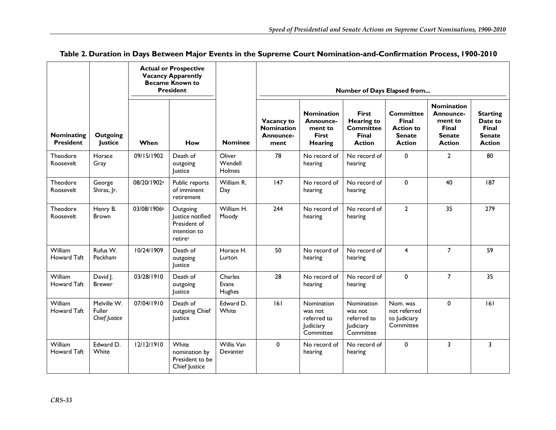|                                |                                        |             | <b>Actual or Prospective</b><br><b>Vacancy Apparently</b><br><b>Became Known to</b><br><b>President</b> |                             |                                                      |                                                                             | Number of Days Elapsed from                                                     |                                                                                        |                                                                                      |                                                                       |  |
|--------------------------------|----------------------------------------|-------------|---------------------------------------------------------------------------------------------------------|-----------------------------|------------------------------------------------------|-----------------------------------------------------------------------------|---------------------------------------------------------------------------------|----------------------------------------------------------------------------------------|--------------------------------------------------------------------------------------|-----------------------------------------------------------------------|--|
| Nominating<br><b>President</b> | Outgoing<br><b>Justice</b>             | When        | How                                                                                                     | <b>Nominee</b>              | Vacancy to<br><b>Nomination</b><br>Announce-<br>ment | <b>Nomination</b><br>Announce-<br>ment to<br><b>First</b><br><b>Hearing</b> | <b>First</b><br><b>Hearing to</b><br><b>Committee</b><br>Final<br><b>Action</b> | <b>Committee</b><br><b>Final</b><br><b>Action to</b><br><b>Senate</b><br><b>Action</b> | <b>Nomination</b><br>Announce-<br>ment to<br>Final<br><b>Senate</b><br><b>Action</b> | <b>Starting</b><br>Date to<br>Final<br><b>Senate</b><br><b>Action</b> |  |
| Theodore<br>Roosevelt          | Horace<br>Gray                         | 09/15/1902  | Death of<br>outgoing<br>lustice                                                                         | Oliver<br>Wendell<br>Holmes | 78                                                   | No record of<br>hearing                                                     | No record of<br>hearing                                                         | $\mathbf 0$                                                                            | $\overline{2}$                                                                       | 80                                                                    |  |
| Theodore<br>Roosevelt          | George<br>Shiras, Jr.                  | 08/20/1902a | Public reports<br>of imminent<br>retirement                                                             | William R.<br>Day           | 147                                                  | No record of<br>hearing                                                     | No record of<br>hearing                                                         | $\mathbf 0$                                                                            | 40                                                                                   | 187                                                                   |  |
| Theodore<br>Roosevelt          | Henry B.<br><b>Brown</b>               | 03/08/1906b | Outgoing<br>lustice notified<br>President of<br>intention to<br>retirec                                 | William H.<br>Moody         | 244                                                  | No record of<br>hearing                                                     | No record of<br>hearing                                                         | $\overline{2}$                                                                         | 35                                                                                   | 279                                                                   |  |
| William<br>Howard Taft         | Rufus W.<br>Peckham                    | 10/24/1909  | Death of<br>outgoing<br>Justice                                                                         | Horace H.<br>Lurton         | 50                                                   | No record of<br>hearing                                                     | No record of<br>hearing                                                         | $\overline{4}$                                                                         | $\overline{7}$                                                                       | 59                                                                    |  |
| <b>William</b><br>Howard Taft  | David J.<br><b>Brewer</b>              | 03/28/1910  | Death of<br>outgoing<br>Justice                                                                         | Charles<br>Evans<br>Hughes  | 28                                                   | No record of<br>hearing                                                     | No record of<br>hearing                                                         | 0                                                                                      | $\overline{7}$                                                                       | 35                                                                    |  |
| William<br>Howard Taft         | Melville W.<br>Fuller<br>Chief Justice | 07/04/1910  | Death of<br>outgoing Chief<br>Justice                                                                   | Edward D.<br>White          | 6                                                    | Nomination<br>was not<br>referred to<br>Judiciary<br>Committee              | Nomination<br>was not<br>referred to<br>Judiciary<br>Committee                  | Nom. was<br>not referred<br>to Judiciary<br>Committee                                  | $\mathbf{0}$                                                                         | 6                                                                     |  |
| William<br>Howard Taft         | Edward D.<br>White                     | 12/12/1910  | White<br>nomination by<br>President to be<br>Chief Justice                                              | Willis Van<br>Devanter      | 0                                                    | No record of<br>hearing                                                     | No record of<br>hearing                                                         | 0                                                                                      | 3                                                                                    | 3                                                                     |  |

#### **Table 2. Duration in Days Between Major Events in the Supreme Court Nomination-and-Confirmation Process, 1900-2010**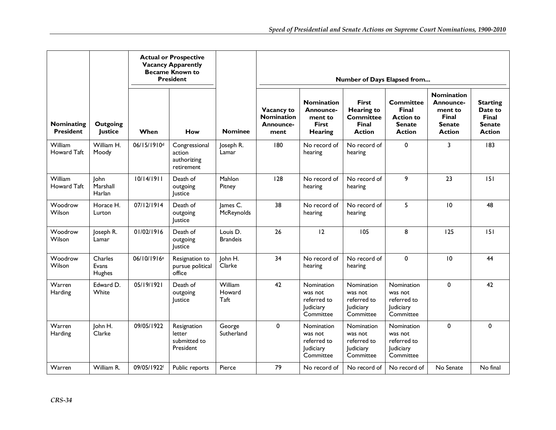|                                |                                   |                         | <b>Actual or Prospective</b><br><b>Vacancy Apparently</b><br><b>Became Known to</b><br><b>President</b> |                             |                                                      |                                                                             |                                                                                        | Number of Days Elapsed from                                                     |                                                                                             |                                                                       |  |  |
|--------------------------------|-----------------------------------|-------------------------|---------------------------------------------------------------------------------------------------------|-----------------------------|------------------------------------------------------|-----------------------------------------------------------------------------|----------------------------------------------------------------------------------------|---------------------------------------------------------------------------------|---------------------------------------------------------------------------------------------|-----------------------------------------------------------------------|--|--|
| Nominating<br><b>President</b> | <b>Outgoing</b><br><b>Justice</b> | When                    | How                                                                                                     | <b>Nominee</b>              | Vacancy to<br><b>Nomination</b><br>Announce-<br>ment | <b>Nomination</b><br>Announce-<br>ment to<br><b>First</b><br><b>Hearing</b> | <b>First</b><br><b>Hearing to</b><br><b>Committee</b><br><b>Final</b><br><b>Action</b> | <b>Committee</b><br>Final<br><b>Action to</b><br><b>Senate</b><br><b>Action</b> | <b>Nomination</b><br>Announce-<br>ment to<br><b>Final</b><br><b>Senate</b><br><b>Action</b> | <b>Starting</b><br>Date to<br>Final<br><b>Senate</b><br><b>Action</b> |  |  |
| William<br>Howard Taft         | William H.<br>Moody               | 06/15/1910 <sup>d</sup> | Congressional<br>action<br>authorizing<br>retirement                                                    | Joseph R.<br>Lamar          | 180                                                  | No record of<br>hearing                                                     | No record of<br>hearing                                                                | $\mathbf 0$                                                                     | $\overline{3}$                                                                              | 183                                                                   |  |  |
| William<br>Howard Taft         | John<br>Marshall<br>Harlan        | 10/14/1911              | Death of<br>outgoing<br><b>Justice</b>                                                                  | Mahlon<br>Pitney            | 128                                                  | No record of<br>hearing                                                     | No record of<br>hearing                                                                | 9                                                                               | 23                                                                                          | 151                                                                   |  |  |
| Woodrow<br>Wilson              | Horace H.<br>Lurton               | 07/12/1914              | Death of<br>outgoing<br><b>Justice</b>                                                                  | James C.<br>McReynolds      | 38                                                   | No record of<br>hearing                                                     | No record of<br>hearing                                                                | 5                                                                               | 10                                                                                          | 48                                                                    |  |  |
| Woodrow<br>Wilson              | Joseph R.<br>Lamar                | 01/02/1916              | Death of<br>outgoing<br>Justice                                                                         | Louis D.<br><b>Brandeis</b> | 26                                                   | 12                                                                          | 105                                                                                    | 8                                                                               | 125                                                                                         | 151                                                                   |  |  |
| Woodrow<br>Wilson              | Charles<br>Evans<br>Hughes        | 06/10/1916 <sup>e</sup> | Resignation to<br>pursue political<br>office                                                            | John H.<br>Clarke           | 34                                                   | No record of<br>hearing                                                     | No record of<br>hearing                                                                | $\mathbf 0$                                                                     | 10                                                                                          | 44                                                                    |  |  |
| Warren<br>Harding              | Edward D.<br>White                | 05/19/1921              | Death of<br>outgoing<br><b>Justice</b>                                                                  | William<br>Howard<br>Taft   | 42                                                   | Nomination<br>was not<br>referred to<br>Judiciary<br>Committee              | Nomination<br>was not<br>referred to<br>Judiciary<br>Committee                         | Nomination<br>was not<br>referred to<br>Judiciary<br>Committee                  | $\mathbf 0$                                                                                 | 42                                                                    |  |  |
| Warren<br>Harding              | John H.<br>Clarke                 | 09/05/1922              | Resignation<br>letter<br>submitted to<br>President                                                      | George<br>Sutherland        | $\mathbf 0$                                          | Nomination<br>was not<br>referred to<br>Judiciary<br>Committee              | Nomination<br>was not<br>referred to<br>Judiciary<br>Committee                         | Nomination<br>was not<br>referred to<br>Judiciary<br>Committee                  | $\mathbf 0$                                                                                 | 0                                                                     |  |  |
| Warren                         | William R.                        | 09/05/1922f             | Public reports                                                                                          | Pierce                      | 79                                                   | No record of                                                                | No record of                                                                           | No record of                                                                    | No Senate                                                                                   | No final                                                              |  |  |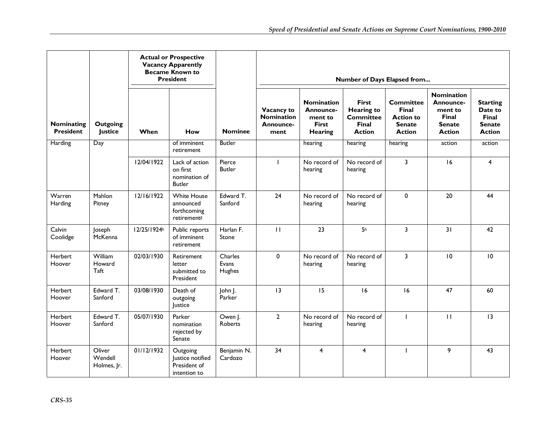|                                |                                   |             | <b>Actual or Prospective</b><br><b>Vacancy Apparently</b><br><b>Became Known to</b><br><b>President</b> |                            |                                                      | Number of Days Elapsed from                                          |                                                                          |                                                                                        |                                                                                             |                                                                       |
|--------------------------------|-----------------------------------|-------------|---------------------------------------------------------------------------------------------------------|----------------------------|------------------------------------------------------|----------------------------------------------------------------------|--------------------------------------------------------------------------|----------------------------------------------------------------------------------------|---------------------------------------------------------------------------------------------|-----------------------------------------------------------------------|
| Nominating<br><b>President</b> | <b>Outgoing</b><br><b>Justice</b> | When        | How                                                                                                     | <b>Nominee</b>             | Vacancy to<br><b>Nomination</b><br>Announce-<br>ment | <b>Nomination</b><br>Announce-<br>ment to<br><b>First</b><br>Hearing | <b>First</b><br><b>Hearing to</b><br><b>Committee</b><br>Final<br>Action | <b>Committee</b><br><b>Final</b><br><b>Action to</b><br><b>Senate</b><br><b>Action</b> | <b>Nomination</b><br>Announce-<br>ment to<br><b>Final</b><br><b>Senate</b><br><b>Action</b> | <b>Starting</b><br>Date to<br>Final<br><b>Senate</b><br><b>Action</b> |
| <b>Harding</b>                 | Day                               |             | of imminent<br>retirement                                                                               | <b>Butler</b>              |                                                      | hearing                                                              | hearing                                                                  | hearing                                                                                | action                                                                                      | action                                                                |
|                                |                                   | 12/04/1922  | Lack of action<br>on first<br>nomination of<br><b>Butler</b>                                            | Pierce<br><b>Butler</b>    | ı                                                    | No record of<br>hearing                                              | No record of<br>hearing                                                  | 3                                                                                      | 16                                                                                          | 4                                                                     |
| Warren<br>Harding              | Mahlon<br>Pitney                  | 12/16/1922  | <b>White House</b><br>announced<br>forthcoming<br>retirements                                           | Edward T.<br>Sanford       | 24                                                   | No record of<br>hearing                                              | No record of<br>hearing                                                  | 0                                                                                      | 20                                                                                          | 44                                                                    |
| Calvin<br>Coolidge             | Joseph<br>McKenna                 | 12/25/1924h | Public reports<br>of imminent<br>retirement                                                             | Harlan F.<br>Stone         | $\mathbf{H}$                                         | 23                                                                   | 5 <sup>h</sup>                                                           | 3                                                                                      | 31                                                                                          | 42                                                                    |
| Herbert<br>Hoover              | William<br>Howard<br>Taft         | 02/03/1930  | Retirement<br>letter<br>submitted to<br>President                                                       | Charles<br>Evans<br>Hughes | $\mathbf 0$                                          | No record of<br>hearing                                              | No record of<br>hearing                                                  | 3                                                                                      | 10                                                                                          | 10                                                                    |
| Herbert<br>Hoover              | Edward T.<br>Sanford              | 03/08/1930  | Death of<br>outgoing<br>lustice                                                                         | John J.<br>Parker          | 13                                                   | 15                                                                   | 16                                                                       | 16                                                                                     | 47                                                                                          | 60                                                                    |
| Herbert<br>Hoover              | Edward T.<br>Sanford              | 05/07/1930  | Parker<br>nomination<br>rejected by<br>Senate                                                           | Owen J.<br>Roberts         | $\overline{2}$                                       | No record of<br>hearing                                              | No record of<br>hearing                                                  | $\overline{1}$                                                                         | $\mathbf{H}$                                                                                | 13                                                                    |
| Herbert<br>Hoover              | Oliver<br>Wendell<br>Holmes, Ir.  | 01/12/1932  | Outgoing<br>Justice notified<br>President of<br>intention to                                            | Benjamin N.<br>Cardozo     | 34                                                   | $\overline{4}$                                                       | $\overline{4}$                                                           | $\mathbf{I}$                                                                           | 9                                                                                           | 43                                                                    |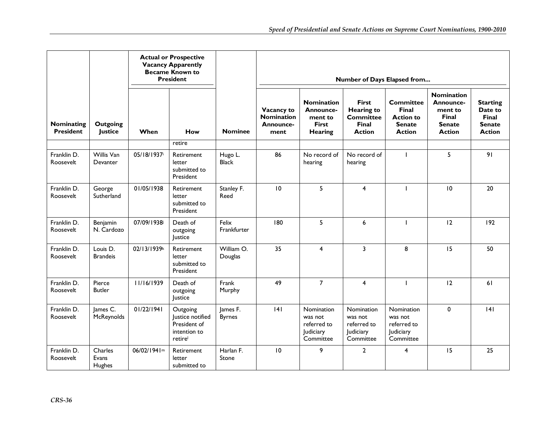|                                       |                                   |             | <b>Actual or Prospective</b><br><b>Vacancy Apparently</b><br>Became Known to<br><b>President</b> |                           | Number of Days Elapsed from                          |                                                                             |                                                                                        |                                                                                        |                                                                                      |                                                                       |  |  |
|---------------------------------------|-----------------------------------|-------------|--------------------------------------------------------------------------------------------------|---------------------------|------------------------------------------------------|-----------------------------------------------------------------------------|----------------------------------------------------------------------------------------|----------------------------------------------------------------------------------------|--------------------------------------------------------------------------------------|-----------------------------------------------------------------------|--|--|
| <b>Nominating</b><br><b>President</b> | <b>Outgoing</b><br><b>Justice</b> | When        | How                                                                                              | <b>Nominee</b>            | Vacancy to<br><b>Nomination</b><br>Announce-<br>ment | <b>Nomination</b><br>Announce-<br>ment to<br><b>First</b><br><b>Hearing</b> | <b>First</b><br><b>Hearing to</b><br><b>Committee</b><br><b>Final</b><br><b>Action</b> | <b>Committee</b><br><b>Final</b><br><b>Action to</b><br><b>Senate</b><br><b>Action</b> | <b>Nomination</b><br>Announce-<br>ment to<br>Final<br><b>Senate</b><br><b>Action</b> | <b>Starting</b><br>Date to<br>Final<br><b>Senate</b><br><b>Action</b> |  |  |
| Franklin D.<br>Roosevelt              | Willis Van<br>Devanter            | 05/18/1937  | retire<br>Retirement<br>letter<br>submitted to<br>President                                      | Hugo L.<br><b>Black</b>   | 86                                                   | No record of<br>hearing                                                     | No record of<br>hearing                                                                | $\mathbf{I}$                                                                           | 5                                                                                    | 91                                                                    |  |  |
| Franklin D.<br>Roosevelt              | George<br>Sutherland              | 01/05/1938  | Retirement<br>letter<br>submitted to<br>President                                                | Stanley F.<br>Reed        | 10                                                   | 5                                                                           | $\overline{4}$                                                                         | $\mathbf{I}$                                                                           | 10                                                                                   | 20                                                                    |  |  |
| Franklin D.<br>Roosevelt              | Benjamin<br>N. Cardozo            | 07/09/1938i | Death of<br>outgoing<br>Justice                                                                  | Felix<br>Frankfurter      | 180                                                  | 5                                                                           | 6                                                                                      | $\mathbf{I}$                                                                           | 12                                                                                   | 192                                                                   |  |  |
| Franklin D.<br>Roosevelt              | Louis D.<br><b>Brandeis</b>       | 02/13/1939k | Retirement<br>letter<br>submitted to<br>President                                                | William O.<br>Douglas     | 35                                                   | $\overline{4}$                                                              | $\overline{\mathbf{3}}$                                                                | 8                                                                                      | 15                                                                                   | 50                                                                    |  |  |
| Franklin D.<br>Roosevelt              | Pierce<br><b>Butler</b>           | 11/16/1939  | Death of<br>outgoing<br>Justice                                                                  | Frank<br>Murphy           | 49                                                   | $\overline{7}$                                                              | $\overline{4}$                                                                         | $\mathbf{I}$                                                                           | 12                                                                                   | 61                                                                    |  |  |
| Franklin D.<br>Roosevelt              | James C.<br>McReynolds            | 01/22/1941  | Outgoing<br>Justice notified<br>President of<br>intention to<br>retire                           | James F.<br><b>Byrnes</b> | 4                                                    | Nomination<br>was not<br>referred to<br>Judiciary<br>Committee              | Nomination<br>was not<br>referred to<br>Judiciary<br>Committee                         | Nomination<br>was not<br>referred to<br>Judiciary<br>Committee                         | $\mathbf 0$                                                                          | 4                                                                     |  |  |
| Franklin D.<br>Roosevelt              | Charles<br>Evans<br>Hughes        | 06/02/1941m | Retirement<br>letter<br>submitted to                                                             | Harlan F.<br>Stone        | 10                                                   | 9                                                                           | $\overline{2}$                                                                         | 4                                                                                      | 15                                                                                   | 25                                                                    |  |  |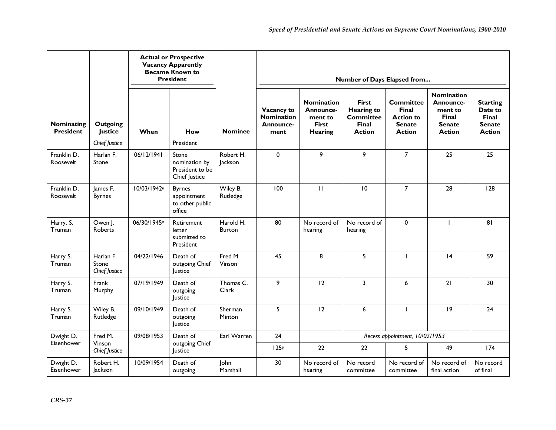|                                |                                     |                         | <b>Actual or Prospective</b><br><b>Vacancy Apparently</b><br><b>Became Known to</b><br><b>President</b> |                            | Number of Days Elapsed from                          |                                                                             |                                                                          |                                                                                        |                                                                                             |                                                                       |
|--------------------------------|-------------------------------------|-------------------------|---------------------------------------------------------------------------------------------------------|----------------------------|------------------------------------------------------|-----------------------------------------------------------------------------|--------------------------------------------------------------------------|----------------------------------------------------------------------------------------|---------------------------------------------------------------------------------------------|-----------------------------------------------------------------------|
| Nominating<br><b>President</b> | <b>Outgoing</b><br><b>Justice</b>   | When                    | How                                                                                                     | <b>Nominee</b>             | Vacancy to<br><b>Nomination</b><br>Announce-<br>ment | <b>Nomination</b><br>Announce-<br>ment to<br><b>First</b><br><b>Hearing</b> | <b>First</b><br><b>Hearing to</b><br><b>Committee</b><br>Final<br>Action | <b>Committee</b><br><b>Final</b><br><b>Action to</b><br><b>Senate</b><br><b>Action</b> | <b>Nomination</b><br>Announce-<br>ment to<br><b>Final</b><br><b>Senate</b><br><b>Action</b> | <b>Starting</b><br>Date to<br>Final<br><b>Senate</b><br><b>Action</b> |
|                                | <b>Chief Justice</b>                |                         | President                                                                                               |                            |                                                      |                                                                             |                                                                          |                                                                                        |                                                                                             |                                                                       |
| Franklin D.<br>Roosevelt       | Harlan F.<br>Stone                  | 06/12/1941              | Stone<br>nomination by<br>President to be<br>Chief Justice                                              | Robert H.<br>Jackson       | $\mathbf 0$                                          | 9                                                                           | 9                                                                        | $\overline{7}$                                                                         | 25                                                                                          | 25                                                                    |
| Franklin D.<br>Roosevelt       | James F.<br><b>Byrnes</b>           | 10/03/1942 <sup>n</sup> | <b>Byrnes</b><br>appointment<br>to other public<br>office                                               | Wiley B.<br>Rutledge       | 100                                                  | $\mathbf{H}$                                                                | 10                                                                       | $\overline{7}$                                                                         | 28                                                                                          | 128                                                                   |
| Harry. S.<br>Truman            | Owen J.<br><b>Roberts</b>           | 06/30/1945°             | Retirement<br>letter<br>submitted to<br>President                                                       | Harold H.<br><b>Burton</b> | 80                                                   | No record of<br>hearing                                                     | No record of<br>hearing                                                  | 0                                                                                      | H                                                                                           | 81                                                                    |
| Harry S.<br>Truman             | Harlan F.<br>Stone<br>Chief Justice | 04/22/1946              | Death of<br>outgoing Chief<br>lustice                                                                   | Fred M.<br>Vinson          | 45                                                   | 8                                                                           | 5                                                                        | I                                                                                      | 4                                                                                           | 59                                                                    |
| Harry S.<br>Truman             | Frank<br>Murphy                     | 07/19/1949              | Death of<br>outgoing<br>lustice                                                                         | Thomas C.<br>Clark         | 9                                                    | 12                                                                          | $\overline{3}$                                                           | 6                                                                                      | 21                                                                                          | 30                                                                    |
| Harry S.<br>Truman             | Wiley B.<br>Rutledge                | 09/10/1949              | Death of<br>outgoing<br>Justice                                                                         | Sherman<br>Minton          | 5                                                    | 12                                                                          | 6                                                                        | $\mathbf{I}$                                                                           | 19                                                                                          | 24                                                                    |
| Dwight D.                      | Fred M.                             | 09/08/1953              | Death of                                                                                                | Earl Warren                | 24                                                   |                                                                             |                                                                          | Recess appointment, 10/02/1953                                                         |                                                                                             |                                                                       |
| Eisenhower                     | Vinson<br>Chief Justice             |                         | outgoing Chief<br>Justice                                                                               |                            | 125P                                                 | 22                                                                          | 22                                                                       | 5                                                                                      | 49                                                                                          | 174                                                                   |
| Dwight D.<br>Eisenhower        | Robert H.<br>Jackson                | 10/09/1954              | Death of<br>outgoing                                                                                    | John<br>Marshall           | 30                                                   | No record of<br>hearing                                                     | No record<br>committee                                                   | No record of<br>committee                                                              | No record of<br>final action                                                                | No record<br>of final                                                 |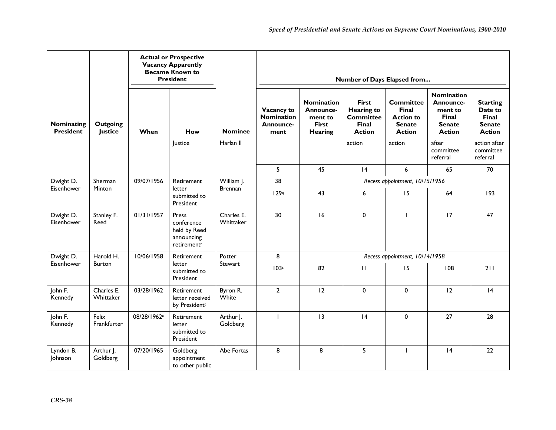|                                |                                   | <b>Actual or Prospective</b><br><b>Vacancy Apparently</b><br>Became Known to<br><b>President</b> |                                                                              |                         | Number of Days Elapsed from                          |                                                                             |                                                                                        |                                                                                        |                                                                                             |                                                                       |  |  |
|--------------------------------|-----------------------------------|--------------------------------------------------------------------------------------------------|------------------------------------------------------------------------------|-------------------------|------------------------------------------------------|-----------------------------------------------------------------------------|----------------------------------------------------------------------------------------|----------------------------------------------------------------------------------------|---------------------------------------------------------------------------------------------|-----------------------------------------------------------------------|--|--|
| Nominating<br><b>President</b> | <b>Outgoing</b><br><b>Justice</b> | When                                                                                             | <b>How</b>                                                                   | <b>Nominee</b>          | Vacancy to<br><b>Nomination</b><br>Announce-<br>ment | <b>Nomination</b><br>Announce-<br>ment to<br><b>First</b><br><b>Hearing</b> | <b>First</b><br><b>Hearing to</b><br><b>Committee</b><br><b>Final</b><br><b>Action</b> | <b>Committee</b><br><b>Final</b><br><b>Action to</b><br><b>Senate</b><br><b>Action</b> | <b>Nomination</b><br>Announce-<br>ment to<br><b>Final</b><br><b>Senate</b><br><b>Action</b> | <b>Starting</b><br>Date to<br>Final<br><b>Senate</b><br><b>Action</b> |  |  |
|                                |                                   |                                                                                                  | Justice                                                                      | Harlan II               |                                                      |                                                                             | action                                                                                 | action                                                                                 | after<br>committee<br>referral                                                              | action after<br>committee<br>referral                                 |  |  |
|                                |                                   |                                                                                                  |                                                                              |                         | 5                                                    | 45                                                                          | 4                                                                                      | 6                                                                                      | 65                                                                                          | 70                                                                    |  |  |
| Dwight D.                      | Sherman                           | 09/07/1956                                                                                       | Retirement                                                                   | William J.              | 38                                                   |                                                                             |                                                                                        | Recess appointment, 10/15/1956                                                         |                                                                                             |                                                                       |  |  |
| Eisenhower                     | Minton                            |                                                                                                  | letter<br>submitted to<br>President                                          | <b>Brennan</b>          | 1299                                                 | 43                                                                          | 6                                                                                      | 15                                                                                     | 64                                                                                          | 193                                                                   |  |  |
| Dwight D.<br>Eisenhower        | Stanley F.<br>Reed                | 01/31/1957                                                                                       | Press<br>conference<br>held by Reed<br>announcing<br>retirement <sup>r</sup> | Charles E.<br>Whittaker | 30                                                   | 16                                                                          | $\mathbf 0$                                                                            | $\mathbf{I}$                                                                           | 17                                                                                          | 47                                                                    |  |  |
| Dwight D.                      | Harold H.                         | 10/06/1958                                                                                       | Retirement                                                                   | Potter                  | 8                                                    | Recess appointment, 10/14/1958                                              |                                                                                        |                                                                                        |                                                                                             |                                                                       |  |  |
| Eisenhower                     | <b>Burton</b>                     |                                                                                                  | letter<br>submitted to<br>President                                          | Stewart                 | 103s                                                 | 82                                                                          | $\mathbf{H}$                                                                           | 15                                                                                     | 108                                                                                         | 211                                                                   |  |  |
| John F.<br>Kennedy             | Charles E.<br>Whittaker           | 03/28/1962                                                                                       | Retirement<br>letter received<br>by President <sup>t</sup>                   | Byron R.<br>White       | $\overline{2}$                                       | 12                                                                          | $\pmb{0}$                                                                              | $\mathbf 0$                                                                            | 12                                                                                          | 4                                                                     |  |  |
| John F.<br>Kennedy             | Felix<br>Frankfurter              | 08/28/1962u                                                                                      | Retirement<br>letter<br>submitted to<br>President                            | Arthur J.<br>Goldberg   | $\mathbf{I}$                                         | 13                                                                          | 4                                                                                      | $\mathbf 0$                                                                            | 27                                                                                          | 28                                                                    |  |  |
| Lyndon B.<br>Johnson           | Arthur J.<br>Goldberg             | 07/20/1965                                                                                       | Goldberg<br>appointment<br>to other public                                   | Abe Fortas              | 8                                                    | 8                                                                           | 5                                                                                      | $\mathbf{I}$                                                                           | 4                                                                                           | 22                                                                    |  |  |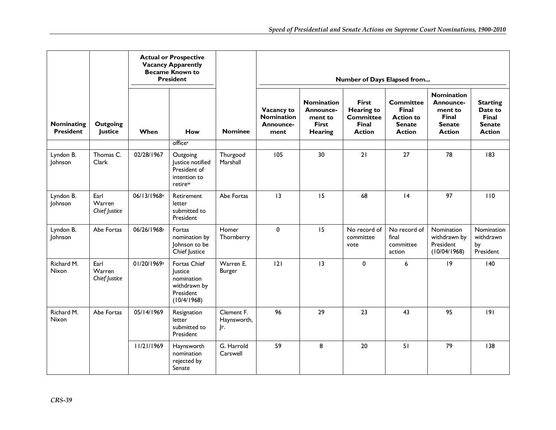|                                       |                                   |             | <b>Actual or Prospective</b><br><b>Vacancy Apparently</b><br><b>Became Known to</b><br><b>President</b> |                                  |                                                      |                                                                             | Number of Days Elapsed from                                              |                                                                                        |                                                                                      |                                                                       |  |  |
|---------------------------------------|-----------------------------------|-------------|---------------------------------------------------------------------------------------------------------|----------------------------------|------------------------------------------------------|-----------------------------------------------------------------------------|--------------------------------------------------------------------------|----------------------------------------------------------------------------------------|--------------------------------------------------------------------------------------|-----------------------------------------------------------------------|--|--|
| <b>Nominating</b><br><b>President</b> | <b>Outgoing</b><br><b>Justice</b> | When        | How                                                                                                     | <b>Nominee</b>                   | Vacancy to<br><b>Nomination</b><br>Announce-<br>ment | <b>Nomination</b><br>Announce-<br>ment to<br><b>First</b><br><b>Hearing</b> | First<br><b>Hearing to</b><br><b>Committee</b><br>Final<br><b>Action</b> | <b>Committee</b><br><b>Final</b><br><b>Action to</b><br><b>Senate</b><br><b>Action</b> | <b>Nomination</b><br>Announce-<br>ment to<br>Final<br><b>Senate</b><br><b>Action</b> | <b>Starting</b><br>Date to<br>Final<br><b>Senate</b><br><b>Action</b> |  |  |
| Lyndon B.<br>Johnson                  | Thomas C.<br>Clark                | 02/28/1967  | officev<br>Outgoing<br>Justice notified<br>President of<br>intention to<br>retire <sub>w</sub>          | Thurgood<br>Marshall             | 105                                                  | 30                                                                          | 21                                                                       | 27                                                                                     | 78                                                                                   | 183                                                                   |  |  |
| Lyndon B.<br>Johnson                  | Earl<br>Warren<br>Chief Justice   | 06/13/1968× | Retirement<br>letter<br>submitted to<br>President                                                       | Abe Fortas                       | 3                                                    | 15                                                                          | 68                                                                       | 4                                                                                      | 97                                                                                   | 110                                                                   |  |  |
| Lyndon B.<br>Johnson                  | Abe Fortas                        | 06/26/1968y | Fortas<br>nomination by<br>Johnson to be<br>Chief Justice                                               | Homer<br>Thornberry              | $\mathbf 0$                                          | 15                                                                          | No record of<br>committee<br>vote                                        | No record of<br>final<br>committee<br>action                                           | Nomination<br>withdrawn by<br>President<br>(10/04/1968)                              | Nomination<br>withdrawn<br>by<br>President                            |  |  |
| Richard M.<br>Nixon                   | Earl<br>Warren<br>Chief Justice   | 01/20/1969z | Fortas Chief<br>lustice<br>nomination<br>withdrawn by<br>President<br>(10/4/1968)                       | Warren E.<br><b>Burger</b>       | 2                                                    | 3                                                                           | $\mathbf 0$                                                              | 6                                                                                      | 9                                                                                    | 140                                                                   |  |  |
| Richard M.<br>Nixon                   | Abe Fortas                        | 05/14/1969  | Resignation<br>letter<br>submitted to<br>President                                                      | Clement F.<br>Haynsworth,<br>Jr. | 96                                                   | 29                                                                          | 23                                                                       | 43                                                                                     | 95                                                                                   | 9                                                                     |  |  |
|                                       |                                   | 11/21/1969  | Haynsworth<br>nomination<br>rejected by<br>Senate                                                       | G. Harrold<br>Carswell           | 59                                                   | 8                                                                           | 20                                                                       | 51                                                                                     | 79                                                                                   | 138                                                                   |  |  |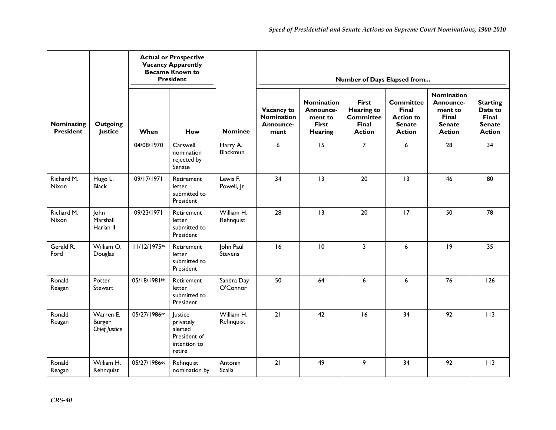|                                       | <b>Actual or Prospective</b><br><b>Vacancy Apparently</b><br><b>Became Known to</b><br><b>President</b> |              |                                                                           | Number of Days Elapsed from |                                                      |                                                                      |                                                                                 |                                                                                        |                                                                                      |                                                                       |  |
|---------------------------------------|---------------------------------------------------------------------------------------------------------|--------------|---------------------------------------------------------------------------|-----------------------------|------------------------------------------------------|----------------------------------------------------------------------|---------------------------------------------------------------------------------|----------------------------------------------------------------------------------------|--------------------------------------------------------------------------------------|-----------------------------------------------------------------------|--|
| <b>Nominating</b><br><b>President</b> | <b>Outgoing</b><br><b>Justice</b>                                                                       | When         | How                                                                       | <b>Nominee</b>              | Vacancy to<br><b>Nomination</b><br>Announce-<br>ment | <b>Nomination</b><br>Announce-<br>ment to<br>First<br><b>Hearing</b> | <b>First</b><br><b>Hearing to</b><br><b>Committee</b><br>Final<br><b>Action</b> | <b>Committee</b><br><b>Final</b><br><b>Action to</b><br><b>Senate</b><br><b>Action</b> | <b>Nomination</b><br>Announce-<br>ment to<br>Final<br><b>Senate</b><br><b>Action</b> | <b>Starting</b><br>Date to<br>Final<br><b>Senate</b><br><b>Action</b> |  |
|                                       |                                                                                                         | 04/08/1970   | Carswell<br>nomination<br>rejected by<br>Senate                           | Harry A.<br>Blackmun        | 6                                                    | 15                                                                   | $\overline{7}$                                                                  | 6                                                                                      | 28                                                                                   | 34                                                                    |  |
| Richard M.<br><b>Nixon</b>            | Hugo L.<br><b>Black</b>                                                                                 | 09/17/1971   | Retirement<br>letter<br>submitted to<br>President                         | Lewis F.<br>Powell, Jr.     | 34                                                   | 13                                                                   | 20                                                                              | 3                                                                                      | 46                                                                                   | 80                                                                    |  |
| Richard M.<br>Nixon                   | John<br>Marshall<br>Harlan II                                                                           | 09/23/1971   | Retirement<br>letter<br>submitted to<br>President                         | William H.<br>Rehnquist     | 28                                                   | 13                                                                   | 20                                                                              | 17                                                                                     | 50                                                                                   | 78                                                                    |  |
| Gerald R.<br>Ford                     | William O.<br>Douglas                                                                                   | 11/12/1975aa | Retirement<br>letter<br>submitted to<br>President                         | John Paul<br><b>Stevens</b> | 16                                                   | 10                                                                   | $\overline{3}$                                                                  | 6                                                                                      | 9                                                                                    | 35                                                                    |  |
| Ronald<br>Reagan                      | Potter<br>Stewart                                                                                       | 05/18/1981bb | Retirement<br>letter<br>submitted to<br>President                         | Sandra Day<br>O'Connor      | 50                                                   | 64                                                                   | 6                                                                               | 6                                                                                      | 76                                                                                   | 126                                                                   |  |
| Ronald<br>Reagan                      | Warren E.<br><b>Burger</b><br>Chief Justice                                                             | 05/27/1986cc | Justice<br>privately<br>alerted<br>President of<br>intention to<br>retire | William H.<br>Rehnquist     | 21                                                   | 42                                                                   | 16                                                                              | 34                                                                                     | 92                                                                                   | 113                                                                   |  |
| Ronald<br>Reagan                      | William H.<br>Rehnquist                                                                                 | 05/27/1986dd | Rehnquist<br>nomination by                                                | Antonin<br>Scalia           | 21                                                   | 49                                                                   | 9                                                                               | 34                                                                                     | 92                                                                                   | 113                                                                   |  |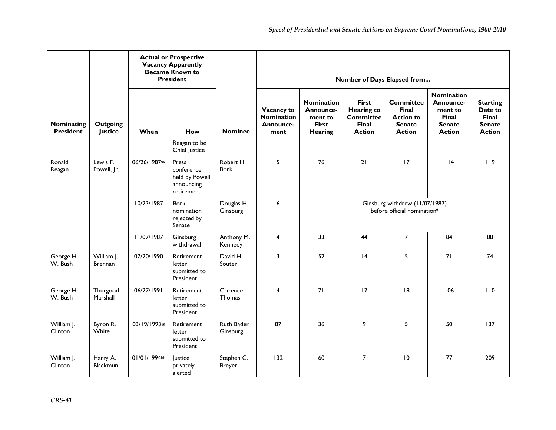|                                       |                                   | <b>Actual or Prospective</b><br><b>Vacancy Apparently</b><br><b>Became Known to</b><br><b>President</b> |                                                                   |                             | Number of Days Elapsed from                          |                                                                      |                                                                          |                                                                                 |                                                                                      |                                                                       |  |
|---------------------------------------|-----------------------------------|---------------------------------------------------------------------------------------------------------|-------------------------------------------------------------------|-----------------------------|------------------------------------------------------|----------------------------------------------------------------------|--------------------------------------------------------------------------|---------------------------------------------------------------------------------|--------------------------------------------------------------------------------------|-----------------------------------------------------------------------|--|
| <b>Nominating</b><br><b>President</b> | <b>Outgoing</b><br><b>Justice</b> | When                                                                                                    | How                                                               | <b>Nominee</b>              | Vacancy to<br><b>Nomination</b><br>Announce-<br>ment | <b>Nomination</b><br>Announce-<br>ment to<br><b>First</b><br>Hearing | First<br><b>Hearing to</b><br><b>Committee</b><br>Final<br><b>Action</b> | <b>Committee</b><br>Final<br><b>Action to</b><br><b>Senate</b><br><b>Action</b> | <b>Nomination</b><br>Announce-<br>ment to<br>Final<br><b>Senate</b><br><b>Action</b> | <b>Starting</b><br>Date to<br>Final<br><b>Senate</b><br><b>Action</b> |  |
|                                       |                                   |                                                                                                         | Reagan to be<br>Chief Justice                                     |                             |                                                      |                                                                      |                                                                          |                                                                                 |                                                                                      |                                                                       |  |
| Ronald<br>Reagan                      | Lewis F.<br>Powell, Jr.           | 06/26/1987ee                                                                                            | Press<br>conference<br>held by Powell<br>announcing<br>retirement | Robert H.<br><b>Bork</b>    | 5                                                    | 76                                                                   | 21                                                                       | 17                                                                              | 114                                                                                  | 119                                                                   |  |
|                                       |                                   | 10/23/1987                                                                                              | Bork<br>nomination<br>rejected by<br>Senate                       | Douglas H.<br>Ginsburg      | $6\phantom{1}$                                       |                                                                      |                                                                          | Ginsburg withdrew (11/07/1987)<br>before official nomination <sup>ff</sup>      |                                                                                      |                                                                       |  |
|                                       |                                   | 11/07/1987                                                                                              | Ginsburg<br>withdrawal                                            | Anthony M.<br>Kennedy       | $\overline{\mathbf{4}}$                              | 33                                                                   | 44                                                                       | $\overline{7}$                                                                  | 84                                                                                   | 88                                                                    |  |
| George H.<br>W. Bush                  | William J.<br><b>Brennan</b>      | 07/20/1990                                                                                              | Retirement<br>letter<br>submitted to<br>President                 | David H.<br>Souter          | $\mathbf{3}$                                         | 52                                                                   | 4                                                                        | 5                                                                               | 71                                                                                   | 74                                                                    |  |
| George H.<br>W. Bush                  | Thurgood<br>Marshall              | 06/27/1991                                                                                              | Retirement<br>letter<br>submitted to<br>President                 | Clarence<br>Thomas          | $\overline{4}$                                       | 71                                                                   | 17                                                                       | 8                                                                               | 106                                                                                  | 110                                                                   |  |
| William J.<br>Clinton                 | Byron R.<br>White                 | 03/19/1993露                                                                                             | Retirement<br>letter<br>submitted to<br>President                 | Ruth Bader<br>Ginsburg      | 87                                                   | 36                                                                   | 9                                                                        | 5 <sup>5</sup>                                                                  | 50                                                                                   | 137                                                                   |  |
| William J.<br>Clinton                 | Harry A.<br>Blackmun              | 01/01/1994hh                                                                                            | lustice<br>privately<br>alerted                                   | Stephen G.<br><b>Breyer</b> | 132                                                  | 60                                                                   | $\overline{7}$                                                           | 10                                                                              | 77                                                                                   | 209                                                                   |  |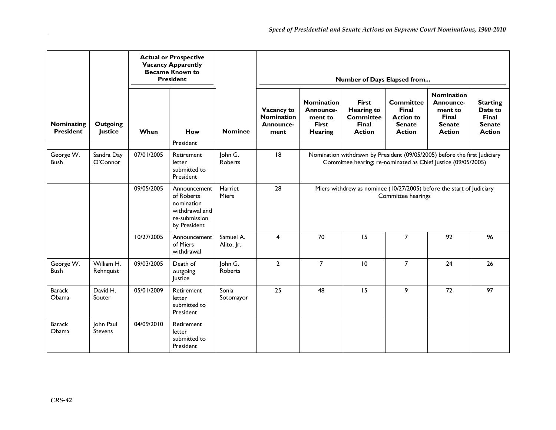|                                |                                   |            | <b>Actual or Prospective</b><br><b>Vacancy Apparently</b><br><b>Became Known to</b><br><b>President</b> |                         |                                                      | Number of Days Elapsed from                                                                                                                |                                                                          |                                                                                 |                                                                                      |                                                                       |
|--------------------------------|-----------------------------------|------------|---------------------------------------------------------------------------------------------------------|-------------------------|------------------------------------------------------|--------------------------------------------------------------------------------------------------------------------------------------------|--------------------------------------------------------------------------|---------------------------------------------------------------------------------|--------------------------------------------------------------------------------------|-----------------------------------------------------------------------|
| Nominating<br><b>President</b> | <b>Outgoing</b><br><b>Justice</b> | When       | How                                                                                                     | <b>Nominee</b>          | Vacancy to<br><b>Nomination</b><br>Announce-<br>ment | <b>Nomination</b><br>Announce-<br>ment to<br><b>First</b><br><b>Hearing</b>                                                                | <b>First</b><br>Hearing to<br><b>Committee</b><br>Final<br><b>Action</b> | <b>Committee</b><br>Final<br><b>Action to</b><br><b>Senate</b><br><b>Action</b> | <b>Nomination</b><br>Announce-<br>ment to<br>Final<br><b>Senate</b><br><b>Action</b> | <b>Starting</b><br>Date to<br>Final<br><b>Senate</b><br><b>Action</b> |
|                                |                                   |            | President                                                                                               |                         |                                                      |                                                                                                                                            |                                                                          |                                                                                 |                                                                                      |                                                                       |
| George W.<br>Bush              | Sandra Day<br>O'Connor            | 07/01/2005 | Retirement<br>letter<br>submitted to<br>President                                                       | John G.<br>Roberts      | 18                                                   | Nomination withdrawn by President (09/05/2005) before the first Judiciary<br>Committee hearing; re-nominated as Chief Justice (09/05/2005) |                                                                          |                                                                                 |                                                                                      |                                                                       |
|                                |                                   | 09/05/2005 | Announcement<br>of Roberts<br>nomination<br>withdrawal and<br>re-submission<br>by President             | Harriet<br>Miers        | 28                                                   | Miers withdrew as nominee (10/27/2005) before the start of Judiciary<br>Committee hearings                                                 |                                                                          |                                                                                 |                                                                                      |                                                                       |
|                                |                                   | 10/27/2005 | Announcement<br>of Miers<br>withdrawal                                                                  | Samuel A.<br>Alito, Jr. | $\overline{4}$                                       | 70                                                                                                                                         | 15                                                                       | $\overline{7}$                                                                  | 92                                                                                   | 96                                                                    |
| George W.<br><b>Bush</b>       | William H.<br>Rehnquist           | 09/03/2005 | Death of<br>outgoing<br>lustice                                                                         | John G.<br>Roberts      | $\overline{2}$                                       | $\overline{7}$                                                                                                                             | 10                                                                       | $\overline{7}$                                                                  | 24                                                                                   | 26                                                                    |
| <b>Barack</b><br>Obama         | David H.<br>Souter                | 05/01/2009 | Retirement<br>letter<br>submitted to<br>President                                                       | Sonia<br>Sotomayor      | 25                                                   | 48                                                                                                                                         | 15                                                                       | 9                                                                               | 72                                                                                   | 97                                                                    |
| <b>Barack</b><br>Obama         | John Paul<br><b>Stevens</b>       | 04/09/2010 | Retirement<br>letter<br>submitted to<br>President                                                       |                         |                                                      |                                                                                                                                            |                                                                          |                                                                                 |                                                                                      |                                                                       |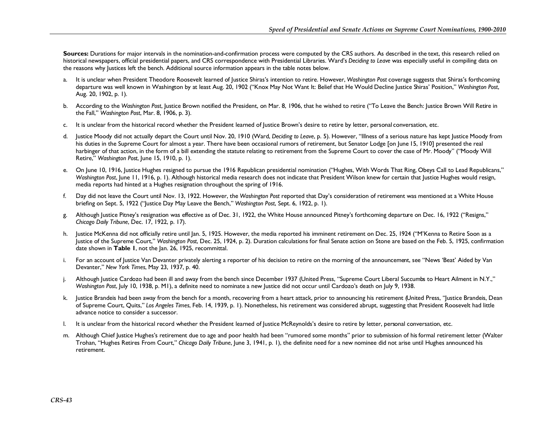Sources: Durations for major intervals in the nomination-and-confirmation process were computed by the CRS authors. As described in the text, this research relied on historical newspapers, official presidential papers, and CRS correspondence with Presidential Libraries. Ward's *Deciding to Leave* was especially useful in compiling data on the reasons why Justices left the bench. Additional source information appears in the table notes below.

- a. It is unclear when President Theodore Roosevelt learned of Justice Shiras's intention to retire. However, *Washington Post* coverage suggests that Shiras's forthcoming departure was well known in Washington by at least Aug. 20, 1902 ("Knox May Not Want It: Belief that He Would Decline Justice Shiras' Position," *Washington Post*, Aug. 20, 1902, p. 1).
- b. According to the *Washington Post*, Justice Brown notified the President, on Mar. 8, 1906, that he wished to retire ("To Leave the Bench: Justice Brown Will Retire in the Fall," *Washington Post*, Mar. 8, 1906, p. 3).
- c. It is unclear from the historical record whether the President learned of Justice Brown's desire to retire by letter, personal conversation, etc.
- d. Justice Moody did not actually depart the Court until Nov. 20, 1910 (Ward, *Deciding to Leave*, p. 5). However, "Illness of a serious nature has kept Justice Moody from his duties in the Supreme Court for almost a year. There have been occasional rumors of retirement, but Senator Lodge [on |une 15, 1910] presented the real harbinger of that action, in the form of a bill extending the statute relating to retirement from the Supreme Court to cover the case of Mr. Moody" ("Moody Will Retire," *Washington Post*, June 15, 1910, p. 1).
- e. On June 10, 1916, Justice Hughes resigned to pursue the 1916 Republican presidential nomination ("Hughes, With Words That Ring, Obeys Call to Lead Republicans," *Washington Post*, June 11, 1916, p. 1). Although historical media research does not indicate that President Wilson knew for certain that Justice Hughes would resign, media reports had hinted at a Hughes resignation throughout the spring of 1916.
- f. Day did not leave the Court until Nov. 13, 1922. However, the *Washington Post* reported that Day's consideration of retirement was mentioned at a White House briefing on Sept. 5, 1922 ("Justice Day May Leave the Bench," *Washington Post*, Sept. 6, 1922, p. 1).
- g. Although Justice Pitney's resignation was effective as of Dec. 31, 1922, the White House announced Pitney's forthcoming departure on Dec. 16, 1922 ("Resigns," *Chicago Daily Tribune*, Dec. 17, 1922, p. 17).
- h. Justice McKenna did not officially retire until Jan. 5, 1925. However, the media reported his imminent retirement on Dec. 25, 1924 ("M'Kenna to Retire Soon as a Justice of the Supreme Court," *Washington Post*, Dec. 25, 1924, p. 2). Duration calculations for final Senate action on Stone are based on the Feb. 5, 1925, confirmation date shown in **Table 1**, not the Jan. 26, 1925, recommittal.
- i. For an account of Justice Van Devanter privately alerting a reporter of his decision to retire on the morning of the announcement, see "News 'Beat' Aided by Van Devanter," *New York Times*, May 23, 1937, p. 40.
- j. Although Justice Cardozo had been ill and away from the bench since December 1937 (United Press, "Supreme Court Liberal Succumbs to Heart Ailment in N.Y.," *Washington Post*, July 10, 1938, p. M1), a definite need to nominate a new Justice did not occur until Cardozo's death on July 9, 1938.
- k. Justice Brandeis had been away from the bench for a month, recovering from a heart attack, prior to announcing his retirement (United Press, "Justice Brandeis, Dean of Supreme Court, Quits," *Los Angeles Times*, Feb. 14, 1939, p. 1). Nonetheless, his retirement was considered abrupt, suggesting that President Roosevelt had little advance notice to consider a successor.
- l. It is unclear from the historical record whether the President learned of Justice McReynolds's desire to retire by letter, personal conversation, etc.
- m. Although Chief Justice Hughes's retirement due to age and poor health had been "rumored some months" prior to submission of his formal retirement letter (Walter Trohan, "Hughes Retires From Court," *Chicago Daily Tribune*, June 3, 1941, p. 1), the definite need for a new nominee did not arise until Hughes announced his retirement.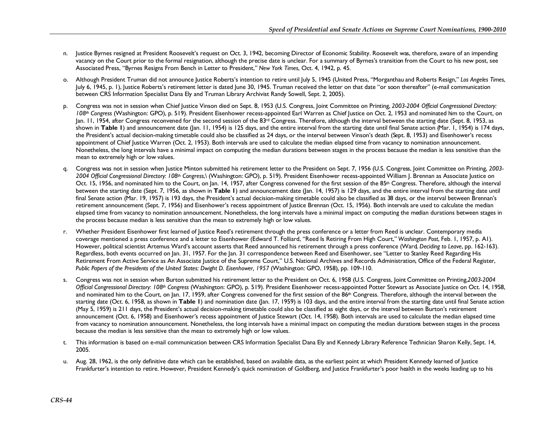- n. Justice Byrnes resigned at President Roosevelt's request on Oct. 3, 1942, becoming Director of Economic Stability. Roosevelt was, therefore, aware of an impending vacancy on the Court prior to the formal resignation, although the precise date is unclear. For a summary of Byrnes's transition from the Court to his new post, see Associated Press, "Byrnes Resigns From Bench in Letter to President," *New York Times*, Oct. 4, 1942, p. 45.
- o. Although President Truman did not announce Justice Roberts's intention to retire until July 5, 1945 (United Press, "Morganthau and Roberts Resign," *Los Angeles Times*, July 6, 1945, p. 1), Justice Roberts's retirement letter is dated June 30, 1945. Truman received the letter on that date "or soon thereafter" (e-mail communication between CRS Information Specialist Dana Ely and Truman Library Archivist Randy Sowell, Sept. 2, 2005).
- p. Congress was not in session when Chief Justice Vinson died on Sept. 8, 1953 (U.S. Congress, Joint Committee on Printing, *2003-2004 Official Congressional Directory: 108th Congress* (Washington: GPO), p. 519). President Eisenhower recess-appointed Earl Warren as Chief Justice on Oct. 2, 1953 and nominated him to the Court, on Jan. 11, 1954, after Congress reconvened for the second session of the 83rd Congress. Therefore, although the interval between the starting date (Sept. 8, 1953, as shown in **Table 1**) and announcement date (Jan. 11, 1954) is 125 days, and the entire interval from the starting date until final Senate action (Mar. 1, 1954) is 174 days, the President's actual decision-making timetable could also be classified as 24 days, or the interval between Vinson's death (Sept. 8, 1953) and Eisenhower's recess appointment of Chief Justice Warren (Oct. 2, 1953). Both intervals are used to calculate the median elapsed time from vacancy to nomination announcement. Nonetheless, the long intervals have a minimal impact on computing the median durations between stages in the process because the median is less sensitive than the mean to extremely high or low values.
- q. Congress was not in session when Justice Minton submitted his retirement letter to the President on Sept. 7, 1956 (U.S. Congress, Joint Committee on Printing, *2003- 2004 Official Congressional Directory: 108th Congress*,\ (Washington: GPO), p. 519). President Eisenhower recess-appointed William J. Brennan as Associate Justice on Oct. 15, 1956, and nominated him to the Court, on Jan. 14, 1957, after Congress convened for the first session of the 85<sup>th</sup> Congress. Therefore, although the interval between the starting date (Sept. 7, 1956, as shown in **Table 1**) and announcement date (Jan. 14, 1957) is 129 days, and the entire interval from the starting date until final Senate action (Mar. 19, 1957) is 193 days, the President's actual decision-making timetable could also be classified as 38 days, or the interval between Brennan's retirement announcement (Sept. 7, 1956) and Eisenhower's recess appointment of Justice Brennan (Oct. 15, 1956). Both intervals are used to calculate the median elapsed time from vacancy to nomination announcement. Nonetheless, the long intervals have a minimal impact on computing the median durations between stages in the process because median is less sensitive than the mean to extremely high or low values.
- r. Whether President Eisenhower first learned of Justice Reed's retirement through the press conference or a letter from Reed is unclear. Contemporary media coverage mentioned a press conference and a letter to Eisenhower (Edward T. Folliard, "Reed Is Retiring From High Court," *Washington Post*, Feb. 1, 1957, p. A1). However, political scientist Artemus Ward's account asserts that Reed announced his retirement through a press conference (Ward, *Deciding to Leave*, pp. 162-163). Regardless, both events occurred on Jan. 31, 1957. For the Jan. 31 correspondence between Reed and Eisenhower, see "Letter to Stanley Reed Regarding His Retirement From Active Service as An Associate Justice of the Supreme Court," U.S. National Archives and Records Administration, Office of the Federal Register, *Public Papers of the Presidents of the United States: Dwight D. Eisenhower, 1957* (Washington: GPO, 1958), pp. 109-110.
- s. Congress was not in session when Burton submitted his retirement letter to the President on Oct. 6, 1958 (U.S. Congress, Joint Committee on Printing,*2003-2004 Official Congressional Directory: 108th Congress* (Washington: GPO), p. 519). President Eisenhower recess-appointed Potter Stewart as Associate Justice on Oct. 14, 1958, and nominated him to the Court, on Jan. 17, 1959, after Congress convened for the first session of the 86<sup>th</sup> Congress. Therefore, although the interval between the starting date (Oct. 6, 1958, as shown in **Table 1**) and nomination date (Jan. 17, 1959) is 103 days, and the entire interval from the starting date until final Senate action (May 5, 1959) is 211 days, the President's actual decision-making timetable could also be classified as eight days, or the interval between Burton's retirement announcement (Oct. 6, 1958) and Eisenhower's recess appointment of Justice Stewart (Oct. 14, 1958). Both intervals are used to calculate the median elapsed time from vacancy to nomination announcement. Nonetheless, the long intervals have a minimal impact on computing the median durations between stages in the process because the median is less sensitive than the mean to extremely high or low values.
- t. This information is based on e-mail communication between CRS Information Specialist Dana Ely and Kennedy Library Reference Technician Sharon Kelly, Sept. 14, 2005.
- u. Aug. 28, 1962, is the only definitive date which can be established, based on available data, as the earliest point at which President Kennedy learned of Justice Frankfurter's intention to retire. However, President Kennedy's quick nomination of Goldberg, and Justice Frankfurter's poor health in the weeks leading up to his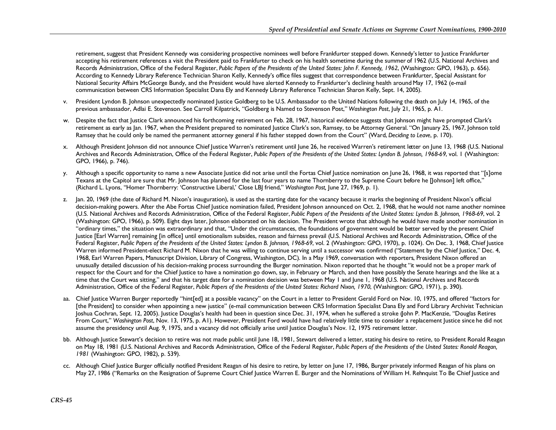retirement, suggest that President Kennedy was considering prospective nominees well before Frankfurter stepped down. Kennedy's letter to Justice Frankfurter accepting his retirement references a visit the President paid to Frankfurter to check on his health sometime during the summer of 1962 (U.S. National Archives and Records Administration, Office of the Federal Register, *Public Papers of the Presidents of the United States: John F. Kennedy, 1962*, (Washington: GPO, 1963), p. 656). According to Kennedy Library Reference Technician Sharon Kelly, Kennedy's office files suggest that correspondence between Frankfurter, Special Assistant for National Security Affairs McGeorge Bundy, and the President would have alerted Kennedy to Frankfurter's declining health around May 17, 1962 (e-mail communication between CRS Information Specialist Dana Ely and Kennedy Library Reference Technician Sharon Kelly, Sept. 14, 2005).

- v. President Lyndon B. Johnson unexpectedly nominated Justice Goldberg to be U.S. Ambassador to the United Nations following the death on July 14, 1965, of the previous ambassador, Adlai E. Stevenson. See Carroll Kilpatrick, "Goldberg is Named to Stevenson Post," *Washington Post*, July 21, 1965, p. A1.
- w. Despite the fact that Justice Clark announced his forthcoming retirement on Feb. 28, 1967, historical evidence suggests that Johnson might have prompted Clark's retirement as early as Jan. 1967, when the President prepared to nominated Justice Clark's son, Ramsey, to be Attorney General. "On January 25, 1967, Johnson told Ramsey that he could only be named the permanent attorney general if his father stepped down from the Court" (Ward, *Deciding to Leave*, p. 170).
- x. Although President Johnson did not announce Chief Justice Warren's retirement until June 26, he received Warren's retirement letter on June 13, 1968 (U.S. National Archives and Records Administration, Office of the Federal Register, *Public Papers of the Presidents of the United States: Lyndon B. Johnson, 1968-69*, vol. 1 (Washington: GPO, 1966), p. 746).
- y. Although a specific opportunity to name a new Associate Justice did not arise until the Fortas Chief Justice nomination on June 26, 1968, it was reported that "[s]ome Texans at the Capitol are sure that Mr. Johnson has planned for the last four years to name Thornberry to the Supreme Court before he [Johnson] left office," (Richard L. Lyons, "Homer Thornberry: 'Constructive Liberal,' Close LBJ friend," *Washington Post,* June 27, 1969, p. 1).
- z. Jan. 20, 1969 (the date of Richard M. Nixon's inauguration), is used as the starting date for the vacancy because it marks the beginning of President Nixon's official decision-making powers. After the Abe Fortas Chief Justice nomination failed, President Johnson announced on Oct. 2, 1968, that he would not name another nominee (U.S. National Archives and Records Administration, Office of the Federal Register, *Public Papers of the Presidents of the United States: Lyndon B. Johnson, 1968-69*, vol. 2 (Washington: GPO, 1966), p. 509). Eight days later, Johnson elaborated on his decision. The President wrote that although he would have made another nomination in "ordinary times," the situation was extraordinary and that, "Under the circumstances, the foundations of government would be better served by the present Chief Justice [Earl Warren] remaining [in office] until emotionalism subsides, reason and fairness prevail (U.S. National Archives and Records Administration, Office of the Federal Register, *Public Papers of the Presidents of the United States: Lyndon B. Johnson, 1968-69*, vol. 2 (Washington: GPO, 1970), p. 1024). On Dec. 3, 1968, Chief Justice Warren informed President-elect Richard M. Nixon that he was willing to continue serving until a successor was confirmed ("Statement by the Chief Justice," Dec. 4, 1968, Earl Warren Papers, Manuscript Division, Library of Congress, Washington, DC). In a May 1969, conversation with reporters, President Nixon offered an unusually detailed discussion of his decision-making process surrounding the Burger nomination. Nixon reported that he thought "it would not be a proper mark of respect for the Court and for the Chief Justice to have a nomination go down, say, in February or March, and then have possibly the Senate hearings and the like at a time that the Court was sitting," and that his target date for a nomination decision was between May 1 and June 1, 1968 (U.S. National Archives and Records Administration, Office of the Federal Register, *Public Papers of the Presidents of the United States: Richard Nixon, 1970*, (Washington: GPO, 1971), p. 390).
- aa. Chief Justice Warren Burger reportedly "hint[ed] at a possible vacancy" on the Court in a letter to President Gerald Ford on Nov. 10, 1975, and offered "factors for [the President] to consider when appointing a new justice" (e-mail communication between CRS Information Specialist Dana Ely and Ford Library Archivist Technician Joshua Cochran, Sept. 12, 2005). Justice Douglas's health had been in question since Dec. 31, 1974, when he suffered a stroke (John P. MacKenzie, "Douglas Retires From Court," *Washington Post*, Nov. 13, 1975, p. A1). However, President Ford would have had relatively little time to consider a replacement Justice since he did not assume the presidency until Aug. 9, 1975, and a vacancy did not officially arise until Justice Douglas's Nov. 12, 1975 retirement letter.
- bb. Although Justice Stewart's decision to retire was not made public until June 18, 1981, Stewart delivered a letter, stating his desire to retire, to President Ronald Reagan on May 18, 1981 (U.S. National Archives and Records Administration, Office of the Federal Register, *Public Papers of the Presidents of the United States: Ronald Reagan, 1981* (Washington: GPO, 1982), p. 539).
- cc. Although Chief Justice Burger officially notified President Reagan of his desire to retire, by letter on June 17, 1986, Burger privately informed Reagan of his plans on May 27, 1986 ("Remarks on the Resignation of Supreme Court Chief Justice Warren E. Burger and the Nominations of William H. Rehnquist To Be Chief Justice and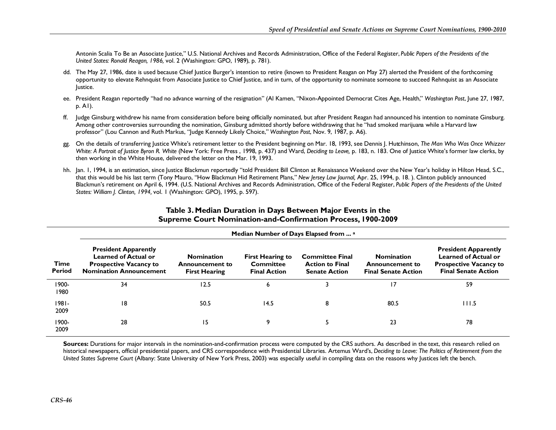Antonin Scalia To Be an Associate Justice," U.S. National Archives and Records Administration, Office of the Federal Register, *Public Papers of the Presidents of the United States: Ronald Reagan, 1986,* vol. 2 (Washington: GPO, 1989), p. 781).

- dd. The May 27, 1986, date is used because Chief Justice Burger's intention to retire (known to President Reagan on May 27) alerted the President of the forthcoming opportunity to elevate Rehnquist from Associate Justice to Chief Justice, and in turn, of the opportunity to nominate someone to succeed Rehnquist as an Associate Justice.
- ee. President Reagan reportedly "had no advance warning of the resignation" (Al Kamen, "Nixon-Appointed Democrat Cites Age, Health," *Washington Post*, June 27, 1987, p. A1).
- ff. Judge Ginsburg withdrew his name from consideration before being officially nominated, but after President Reagan had announced his intention to nominate Ginsburg. Among other controversies surrounding the nomination, Ginsburg admitted shortly before withdrawing that he "had smoked marijuana while a Harvard law professor" (Lou Cannon and Ruth Markus, "Judge Kennedy Likely Choice," *Washington Post*, Nov. 9, 1987, p. A6).
- gg. On the details of transferring Justice White's retirement letter to the President beginning on Mar. 18, 1993, see Dennis J. Hutchinson, *The Man Who Was Once Whizzer White: A Portrait of Justice Byron R. White* (New York: Free Press , 1998, p. 437) and Ward, *Deciding to Leave,* p. 183, n. 183. One of Justice White's former law clerks, by then working in the White House, delivered the letter on the Mar. 19, 1993.
- hh. Jan. I, 1994, is an estimation, since Justice Blackmun reportedly "told President Bill Clinton at Renaissance Weekend over the New Year's holiday in Hilton Head, S.C., that this would be his last term (Tony Mauro, "How Blackmun Hid Retirement Plans," *New Jersey Law Journal,* Apr. 25, 1994, p. 18. ). Clinton publicly announced Blackmun's retirement on April 6, 1994. (U.S. National Archives and Records Administration, Office of the Federal Register, *Public Papers of the Presidents of the United States: William J. Clinton, 1994,* vol. 1 (Washington: GPO), 1995, p. 597).

|                       | Median Number of Days Elapsed from  a                                                                                         |                                                                     |                                                                    |                                                                          |                                                                           |                                                                                                                           |  |  |  |  |  |  |  |
|-----------------------|-------------------------------------------------------------------------------------------------------------------------------|---------------------------------------------------------------------|--------------------------------------------------------------------|--------------------------------------------------------------------------|---------------------------------------------------------------------------|---------------------------------------------------------------------------------------------------------------------------|--|--|--|--|--|--|--|
| Time<br><b>Period</b> | <b>President Apparently</b><br><b>Learned of Actual or</b><br><b>Prospective Vacancy to</b><br><b>Nomination Announcement</b> | <b>Nomination</b><br><b>Announcement to</b><br><b>First Hearing</b> | <b>First Hearing to</b><br><b>Committee</b><br><b>Final Action</b> | <b>Committee Final</b><br><b>Action to Final</b><br><b>Senate Action</b> | <b>Nomination</b><br><b>Announcement to</b><br><b>Final Senate Action</b> | <b>President Apparently</b><br><b>Learned of Actual or</b><br><b>Prospective Vacancy to</b><br><b>Final Senate Action</b> |  |  |  |  |  |  |  |
| 1900-<br>1980         | 34                                                                                                                            | 12.5                                                                | 6                                                                  |                                                                          | 17                                                                        | 59                                                                                                                        |  |  |  |  |  |  |  |
| 1981-<br>2009         | 18                                                                                                                            | 50.5                                                                | 14.5                                                               | 8                                                                        | 80.5                                                                      | 111.5                                                                                                                     |  |  |  |  |  |  |  |
| 1900-<br>2009         | 28                                                                                                                            | 15                                                                  | 9                                                                  |                                                                          | 23                                                                        | 78                                                                                                                        |  |  |  |  |  |  |  |

#### **Table 3. Median Duration in Days Between Major Events in the Supreme Court Nomination-and-Confirmation Process, 1900-2009**

Sources: Durations for major intervals in the nomination-and-confirmation process were computed by the CRS authors. As described in the text, this research relied on historical newspapers, official presidential papers, and CRS correspondence with Presidential Libraries. Artemus Ward's, Deciding to Leave: The Politics of Retirement from the *United States Supreme Court* (Albany: State University of New York Press, 2003) was especially useful in compiling data on the reasons why Justices left the bench.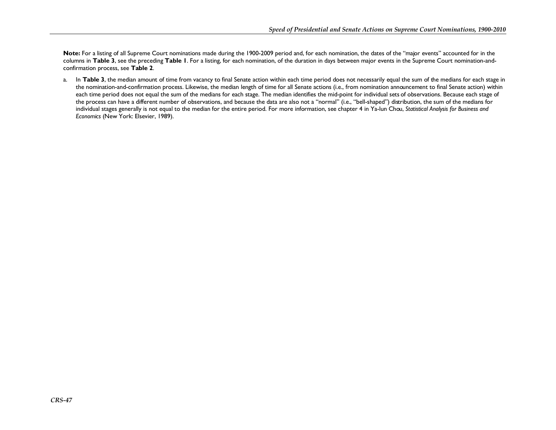**Note:** For a listing of all Supreme Court nominations made during the 1900-2009 period and, for each nomination, the dates of the "major events" accounted for in the columns in **Table 3**, see the preceding **Table 1**. For a listing, for each nomination, of the duration in days between major events in the Supreme Court nomination-andconfirmation process, see **Table 2**.

a. In Table 3, the median amount of time from vacancy to final Senate action within each time period does not necessarily equal the sum of the medians for each stage in the nomination-and-confirmation process. Likewise, the median length of time for all Senate actions (i.e., from nomination announcement to final Senate action) within each time period does not equal the sum of the medians for each stage. The median identifies the mid-point for individual sets of observations. Because each stage of the process can have a different number of observations, and because the data are also not a "normal" (i.e., "bell-shaped") distribution, the sum of the medians for individual stages generally is not equal to the median for the entire period. For more information, see chapter 4 in Ya-lun Chou, *Statistical Analysis for Business and Economics* (New York: Elsevier, 1989).